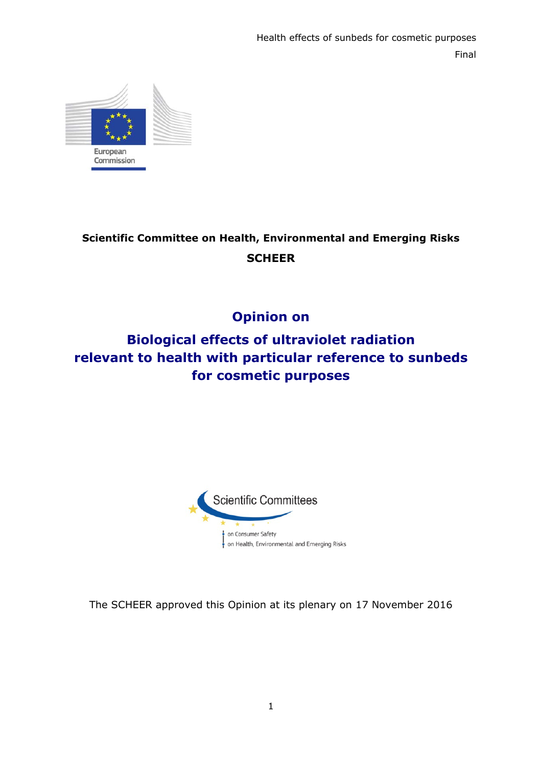

# **Scientific Committee on Health, Environmental and Emerging Risks SCHEER**

# **Opinion on**

# **Biological effects of ultraviolet radiation relevant to health with particular reference to sunbeds for cosmetic purposes**



The SCHEER approved this Opinion at its plenary on 17 November 2016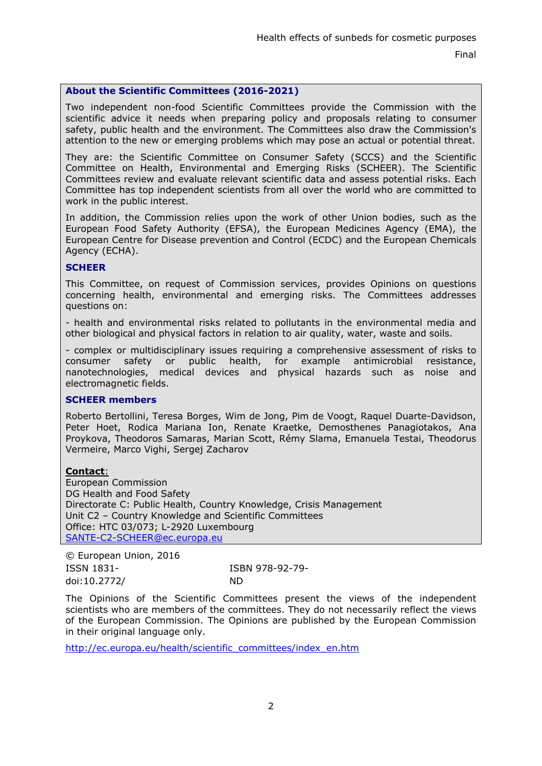# **About the Scientific Committees (2016-2021)**

Two independent non-food Scientific Committees provide the Commission with the scientific advice it needs when preparing policy and proposals relating to consumer safety, public health and the environment. The Committees also draw the Commission's attention to the new or emerging problems which may pose an actual or potential threat.

They are: the Scientific Committee on Consumer Safety (SCCS) and the Scientific Committee on Health, Environmental and Emerging Risks (SCHEER). The Scientific Committees review and evaluate relevant scientific data and assess potential risks. Each Committee has top independent scientists from all over the world who are committed to work in the public interest.

In addition, the Commission relies upon the work of other Union bodies, such as the European Food Safety Authority (EFSA), the European Medicines Agency (EMA), the European Centre for Disease prevention and Control (ECDC) and the European Chemicals Agency (ECHA).

## **SCHEER**

This Committee, on request of Commission services, provides Opinions on questions concerning health, environmental and emerging risks. The Committees addresses questions on:

- health and environmental risks related to pollutants in the environmental media and other biological and physical factors in relation to air quality, water, waste and soils.

- complex or multidisciplinary issues requiring a comprehensive assessment of risks to consumer safety or public health, for example antimicrobial resistance, nanotechnologies, medical devices and physical hazards such as noise and electromagnetic fields.

#### **SCHEER members**

Roberto Bertollini, Teresa Borges, Wim de Jong, Pim de Voogt, Raquel Duarte-Davidson, Peter Hoet, Rodica Mariana Ion, Renate Kraetke, Demosthenes Panagiotakos, Ana Proykova, Theodoros Samaras, Marian Scott, Rémy Slama, Emanuela Testai, Theodorus Vermeire, Marco Vighi, Sergej Zacharov

#### **Contact**:

European Commission DG Health and Food Safety Directorate C: Public Health, Country Knowledge, Crisis Management Unit C2 – Country Knowledge and Scientific Committees Office: HTC 03/073; L-2920 Luxembourg [SANTE-C2-SCHEER@ec.europa.eu](mailto:SANTE-C2-SCHEER@ec.europa.eu)

| © European Union, 2016 |                 |
|------------------------|-----------------|
| ISSN 1831-             | ISBN 978-92-79- |
| doi:10.2772/           | ND.             |

The Opinions of the Scientific Committees present the views of the independent scientists who are members of the committees. They do not necessarily reflect the views of the European Commission. The Opinions are published by the European Commission in their original language only.

[http://ec.europa.eu/health/scientific\\_committees/index\\_en.htm](http://ec.europa.eu/health/scientific_committees/index_en.htm)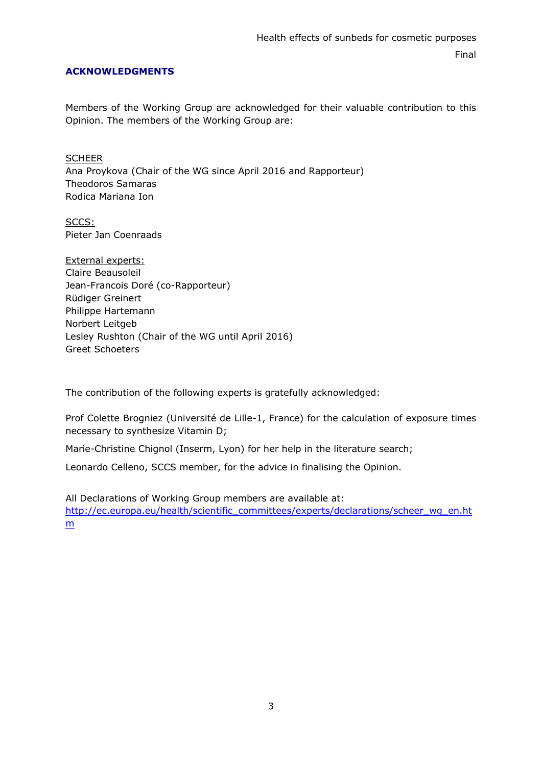# **ACKNOWLEDGMENTS**

Members of the Working Group are acknowledged for their valuable contribution to this Opinion. The members of the Working Group are:

**SCHEER** Ana Proykova (Chair of the WG since April 2016 and Rapporteur) Theodoros Samaras Rodica Mariana Ion

SCCS: Pieter Jan Coenraads

External experts: Claire Beausoleil Jean-Francois Doré (co-Rapporteur) Rüdiger Greinert Philippe Hartemann Norbert Leitgeb Lesley Rushton (Chair of the WG until April 2016) Greet Schoeters

The contribution of the following experts is gratefully acknowledged:

Prof Colette Brogniez (Université de Lille-1, France) for the calculation of exposure times necessary to synthesize Vitamin D;

Marie-Christine Chignol (Inserm, Lyon) for her help in the literature search;

Leonardo Celleno, SCCS member, for the advice in finalising the Opinion.

All Declarations of Working Group members are available at: [http://ec.europa.eu/health/scientific\\_committees/experts/declarations/scheer\\_wg\\_en.ht](http://ec.europa.eu/health/scientific_committees/experts/declarations/scheer_wg_en.htm) m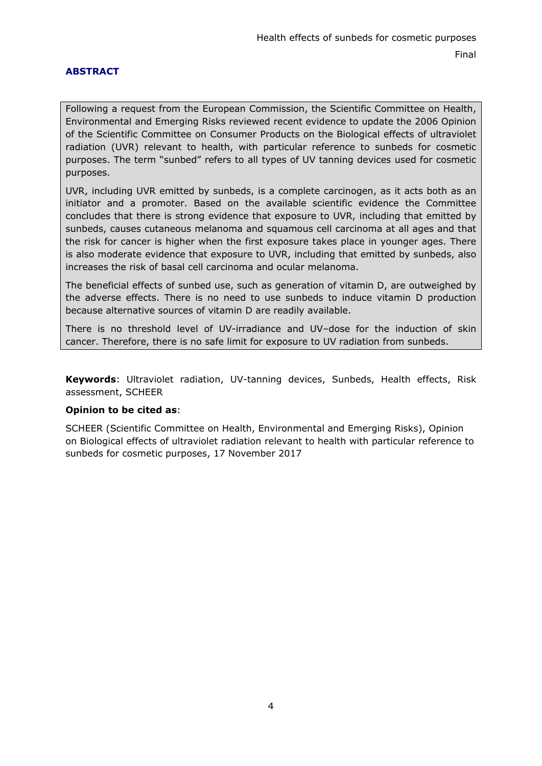# **ABSTRACT**

Following a request from the European Commission, the Scientific Committee on Health, Environmental and Emerging Risks reviewed recent evidence to update the 2006 Opinion of the Scientific Committee on Consumer Products on the Biological effects of ultraviolet radiation (UVR) relevant to health, with particular reference to sunbeds for cosmetic purposes. The term "sunbed" refers to all types of UV tanning devices used for cosmetic purposes.

UVR, including UVR emitted by sunbeds, is a complete carcinogen, as it acts both as an initiator and a promoter. Based on the available scientific evidence the Committee concludes that there is strong evidence that exposure to UVR, including that emitted by sunbeds, causes cutaneous melanoma and squamous cell carcinoma at all ages and that the risk for cancer is higher when the first exposure takes place in younger ages. There is also moderate evidence that exposure to UVR, including that emitted by sunbeds, also increases the risk of basal cell carcinoma and ocular melanoma.

The beneficial effects of sunbed use, such as generation of vitamin D, are outweighed by the adverse effects. There is no need to use sunbeds to induce vitamin D production because alternative sources of vitamin D are readily available.

There is no threshold level of UV-irradiance and UV–dose for the induction of skin cancer. Therefore, there is no safe limit for exposure to UV radiation from sunbeds.

**Keywords**: Ultraviolet radiation, UV-tanning devices, Sunbeds, Health effects, Risk assessment, SCHEER

# **Opinion to be cited as**:

SCHEER (Scientific Committee on Health, Environmental and Emerging Risks), Opinion on Biological effects of ultraviolet radiation relevant to health with particular reference to sunbeds for cosmetic purposes, 17 November 2017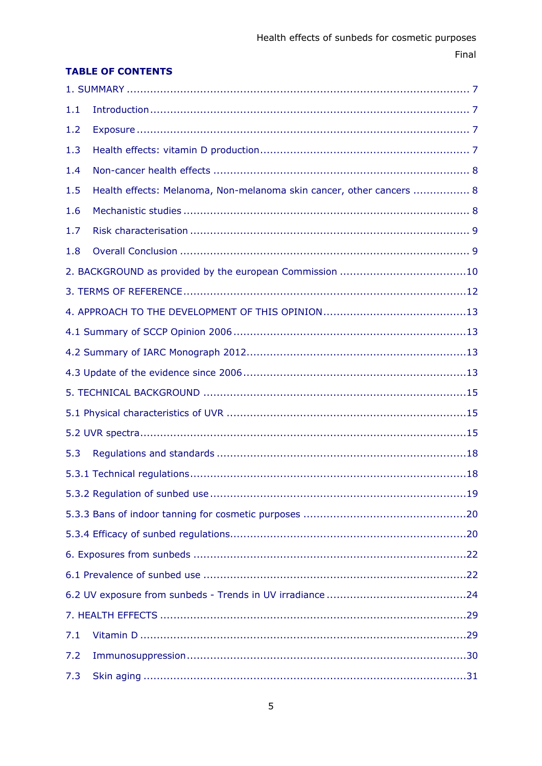# **TABLE OF CONTENTS**

| 1.1 |                                                                      |
|-----|----------------------------------------------------------------------|
| 1.2 |                                                                      |
| 1.3 |                                                                      |
| 1.4 |                                                                      |
| 1.5 | Health effects: Melanoma, Non-melanoma skin cancer, other cancers  8 |
| 1.6 |                                                                      |
| 1.7 |                                                                      |
| 1.8 |                                                                      |
|     |                                                                      |
|     |                                                                      |
|     |                                                                      |
|     |                                                                      |
|     |                                                                      |
|     |                                                                      |
|     |                                                                      |
|     |                                                                      |
|     |                                                                      |
| 5.3 |                                                                      |
|     |                                                                      |
|     |                                                                      |
|     |                                                                      |
|     |                                                                      |
|     |                                                                      |
|     |                                                                      |
|     |                                                                      |
|     |                                                                      |
| 7.1 |                                                                      |
| 7.2 |                                                                      |
| 7.3 |                                                                      |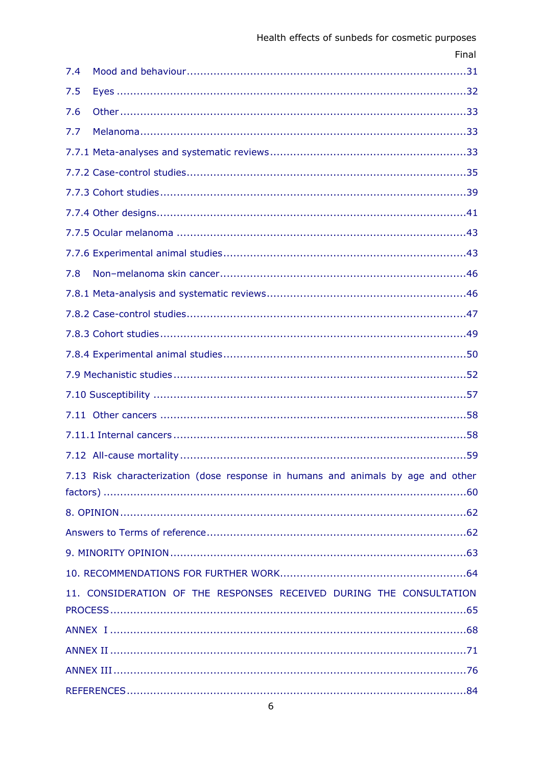|     | Final                                                                            |
|-----|----------------------------------------------------------------------------------|
| 7.4 |                                                                                  |
| 7.5 |                                                                                  |
| 7.6 |                                                                                  |
| 7.7 |                                                                                  |
|     |                                                                                  |
|     |                                                                                  |
|     |                                                                                  |
|     |                                                                                  |
|     |                                                                                  |
|     |                                                                                  |
| 7.8 |                                                                                  |
|     |                                                                                  |
|     |                                                                                  |
|     |                                                                                  |
|     |                                                                                  |
|     |                                                                                  |
|     |                                                                                  |
|     |                                                                                  |
|     |                                                                                  |
|     | .59                                                                              |
|     | 7.13 Risk characterization (dose response in humans and animals by age and other |
|     |                                                                                  |
|     |                                                                                  |
|     |                                                                                  |
|     |                                                                                  |
|     |                                                                                  |
|     | 11. CONSIDERATION OF THE RESPONSES RECEIVED DURING THE CONSULTATION              |
|     |                                                                                  |
|     |                                                                                  |
|     |                                                                                  |
|     |                                                                                  |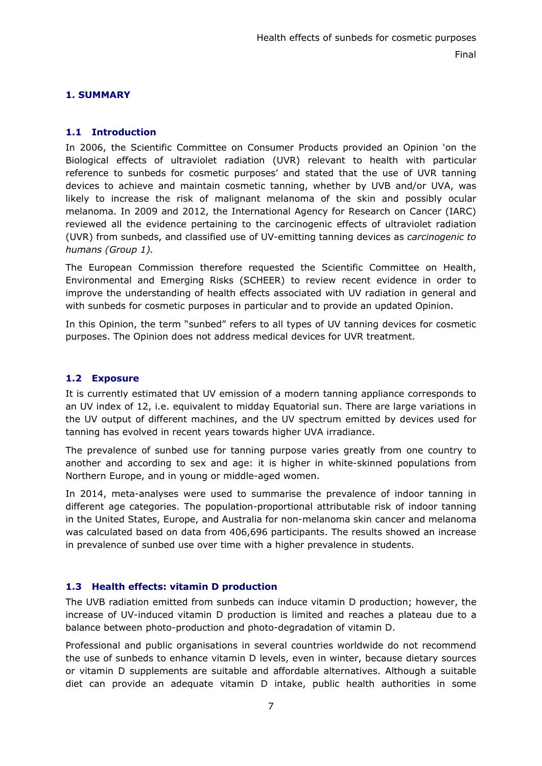# <span id="page-6-0"></span>**1. SUMMARY**

# <span id="page-6-1"></span>**1.1 Introduction**

In 2006, the Scientific Committee on Consumer Products provided an Opinion 'on the Biological effects of ultraviolet radiation (UVR) relevant to health with particular reference to sunbeds for cosmetic purposes' and stated that the use of UVR tanning devices to achieve and maintain cosmetic tanning, whether by UVB and/or UVA, was likely to increase the risk of malignant melanoma of the skin and possibly ocular melanoma. In 2009 and 2012, the International Agency for Research on Cancer (IARC) reviewed all the evidence pertaining to the carcinogenic effects of ultraviolet radiation (UVR) from sunbeds, and classified use of UV-emitting tanning devices as *carcinogenic to humans (Group 1).*

The European Commission therefore requested the Scientific Committee on Health, Environmental and Emerging Risks (SCHEER) to review recent evidence in order to improve the understanding of health effects associated with UV radiation in general and with sunbeds for cosmetic purposes in particular and to provide an updated Opinion.

In this Opinion, the term "sunbed" refers to all types of UV tanning devices for cosmetic purposes. The Opinion does not address medical devices for UVR treatment.

## <span id="page-6-2"></span>**1.2 Exposure**

It is currently estimated that UV emission of a modern tanning appliance corresponds to an UV index of 12, i.e. equivalent to midday Equatorial sun. There are large variations in the UV output of different machines, and the UV spectrum emitted by devices used for tanning has evolved in recent years towards higher UVA irradiance.

The prevalence of sunbed use for tanning purpose varies greatly from one country to another and according to sex and age: it is higher in white-skinned populations from Northern Europe, and in young or middle-aged women.

In 2014, meta-analyses were used to summarise the prevalence of indoor tanning in different age categories. The population-proportional attributable risk of indoor tanning in the United States, Europe, and Australia for non-melanoma skin cancer and melanoma was calculated based on data from 406,696 participants. The results showed an increase in prevalence of sunbed use over time with a higher prevalence in students.

# <span id="page-6-3"></span>**1.3 Health effects: vitamin D production**

The UVB radiation emitted from sunbeds can induce vitamin D production; however, the increase of UV-induced vitamin D production is limited and reaches a plateau due to a balance between photo-production and photo-degradation of vitamin D.

Professional and public organisations in several countries worldwide do not recommend the use of sunbeds to enhance vitamin D levels, even in winter, because dietary sources or vitamin D supplements are suitable and affordable alternatives. Although a suitable diet can provide an adequate vitamin D intake, public health authorities in some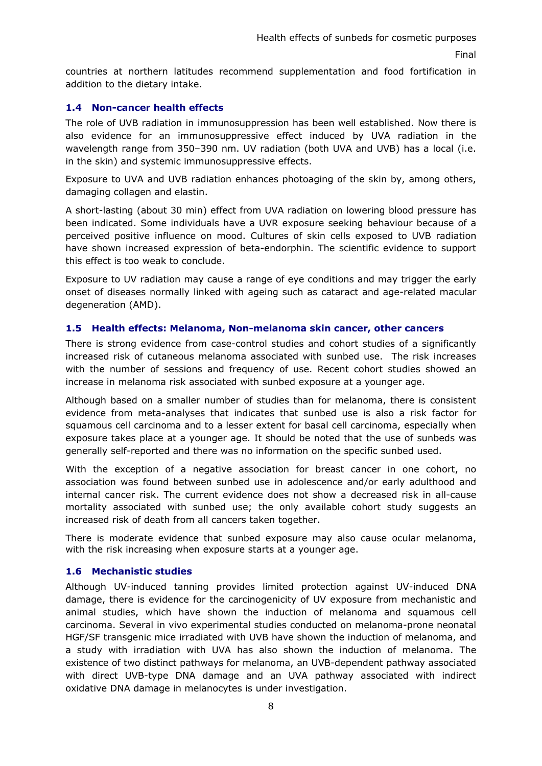countries at northern latitudes recommend supplementation and food fortification in addition to the dietary intake.

# <span id="page-7-0"></span>**1.4 Non-cancer health effects**

The role of UVB radiation in immunosuppression has been well established. Now there is also evidence for an immunosuppressive effect induced by UVA radiation in the wavelength range from 350–390 nm. UV radiation (both UVA and UVB) has a local (i.e. in the skin) and systemic immunosuppressive effects.

Exposure to UVA and UVB radiation enhances photoaging of the skin by, among others, damaging collagen and elastin.

A short-lasting (about 30 min) effect from UVA radiation on lowering blood pressure has been indicated. Some individuals have a UVR exposure seeking behaviour because of a perceived positive influence on mood. Cultures of skin cells exposed to UVB radiation have shown increased expression of beta-endorphin. The scientific evidence to support this effect is too weak to conclude.

Exposure to UV radiation may cause a range of eye conditions and may trigger the early onset of diseases normally linked with ageing such as cataract and age-related macular degeneration (AMD).

## <span id="page-7-1"></span>**1.5 Health effects: Melanoma, Non-melanoma skin cancer, other cancers**

There is strong evidence from case-control studies and cohort studies of a significantly increased risk of cutaneous melanoma associated with sunbed use. The risk increases with the number of sessions and frequency of use. Recent cohort studies showed an increase in melanoma risk associated with sunbed exposure at a younger age.

Although based on a smaller number of studies than for melanoma, there is consistent evidence from meta-analyses that indicates that sunbed use is also a risk factor for squamous cell carcinoma and to a lesser extent for basal cell carcinoma, especially when exposure takes place at a younger age. It should be noted that the use of sunbeds was generally self-reported and there was no information on the specific sunbed used.

With the exception of a negative association for breast cancer in one cohort, no association was found between sunbed use in adolescence and/or early adulthood and internal cancer risk. The current evidence does not show a decreased risk in all-cause mortality associated with sunbed use; the only available cohort study suggests an increased risk of death from all cancers taken together.

There is moderate evidence that sunbed exposure may also cause ocular melanoma, with the risk increasing when exposure starts at a younger age.

#### <span id="page-7-2"></span>**1.6 Mechanistic studies**

Although UV-induced tanning provides limited protection against UV-induced DNA damage, there is evidence for the carcinogenicity of UV exposure from mechanistic and animal studies, which have shown the induction of melanoma and squamous cell carcinoma. Several in vivo experimental studies conducted on melanoma-prone neonatal HGF/SF transgenic mice irradiated with UVB have shown the induction of melanoma, and a study with irradiation with UVA has also shown the induction of melanoma. The existence of two distinct pathways for melanoma, an UVB-dependent pathway associated with direct UVB-type DNA damage and an UVA pathway associated with indirect oxidative DNA damage in melanocytes is under investigation.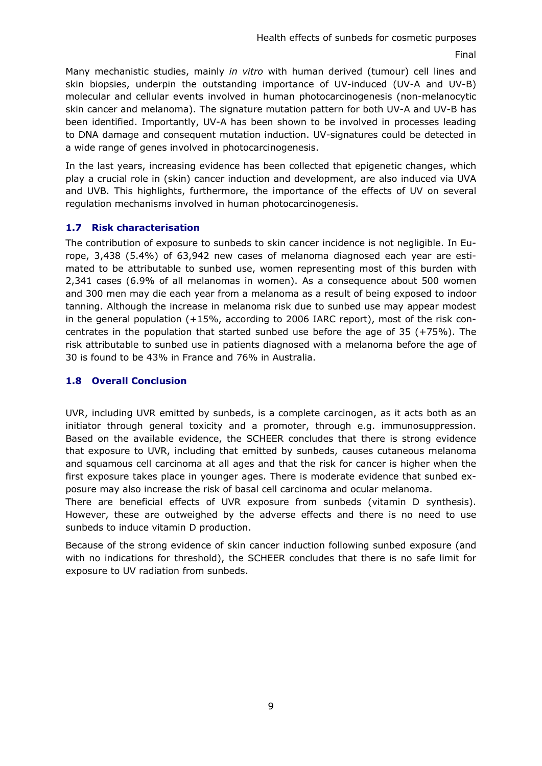Many mechanistic studies, mainly *in vitro* with human derived (tumour) cell lines and skin biopsies, underpin the outstanding importance of UV-induced (UV-A and UV-B) molecular and cellular events involved in human photocarcinogenesis (non-melanocytic skin cancer and melanoma). The signature mutation pattern for both UV-A and UV-B has been identified. Importantly, UV-A has been shown to be involved in processes leading to DNA damage and consequent mutation induction. UV-signatures could be detected in a wide range of genes involved in photocarcinogenesis.

In the last years, increasing evidence has been collected that epigenetic changes, which play a crucial role in (skin) cancer induction and development, are also induced via UVA and UVB. This highlights, furthermore, the importance of the effects of UV on several regulation mechanisms involved in human photocarcinogenesis.

## <span id="page-8-0"></span>**1.7 Risk characterisation**

The contribution of exposure to sunbeds to skin cancer incidence is not negligible. In Europe, 3,438 (5.4%) of 63,942 new cases of melanoma diagnosed each year are estimated to be attributable to sunbed use, women representing most of this burden with 2,341 cases (6.9% of all melanomas in women). As a consequence about 500 women and 300 men may die each year from a melanoma as a result of being exposed to indoor tanning. Although the increase in melanoma risk due to sunbed use may appear modest in the general population (+15%, according to 2006 IARC report), most of the risk concentrates in the population that started sunbed use before the age of 35 (+75%). The risk attributable to sunbed use in patients diagnosed with a melanoma before the age of 30 is found to be 43% in France and 76% in Australia.

# <span id="page-8-1"></span>**1.8 Overall Conclusion**

UVR, including UVR emitted by sunbeds, is a complete carcinogen, as it acts both as an initiator through general toxicity and a promoter, through e.g. immunosuppression. Based on the available evidence, the SCHEER concludes that there is strong evidence that exposure to UVR, including that emitted by sunbeds, causes cutaneous melanoma and squamous cell carcinoma at all ages and that the risk for cancer is higher when the first exposure takes place in younger ages. There is moderate evidence that sunbed exposure may also increase the risk of basal cell carcinoma and ocular melanoma.

There are beneficial effects of UVR exposure from sunbeds (vitamin D synthesis). However, these are outweighed by the adverse effects and there is no need to use sunbeds to induce vitamin D production.

Because of the strong evidence of skin cancer induction following sunbed exposure (and with no indications for threshold), the SCHEER concludes that there is no safe limit for exposure to UV radiation from sunbeds.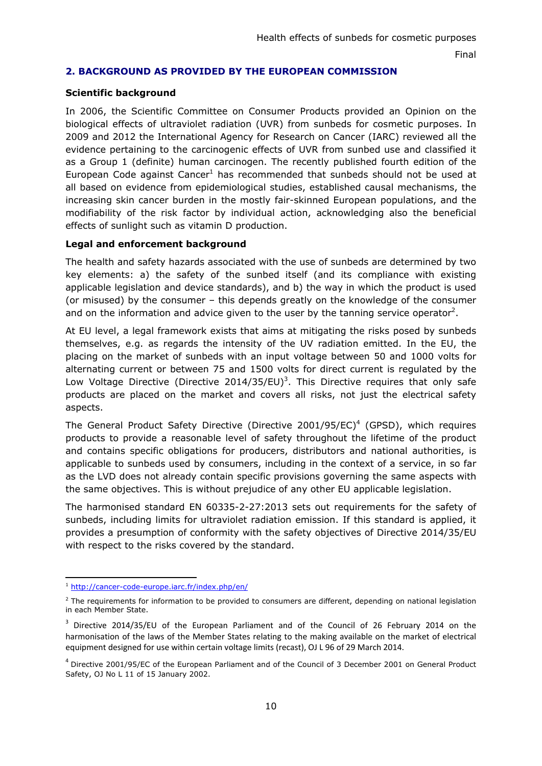# <span id="page-9-0"></span>**2. BACKGROUND AS PROVIDED BY THE EUROPEAN COMMISSION**

#### **Scientific background**

In 2006, the Scientific Committee on Consumer Products provided an Opinion on the biological effects of ultraviolet radiation (UVR) from sunbeds for cosmetic purposes. In 2009 and 2012 the International Agency for Research on Cancer (IARC) reviewed all the evidence pertaining to the carcinogenic effects of UVR from sunbed use and classified it as a Group 1 (definite) human carcinogen. The recently published fourth edition of the European Code against Cancer<sup>1</sup> has recommended that sunbeds should not be used at all based on evidence from epidemiological studies, established causal mechanisms, the increasing skin cancer burden in the mostly fair-skinned European populations, and the modifiability of the risk factor by individual action, acknowledging also the beneficial effects of sunlight such as vitamin D production.

## **Legal and enforcement background**

The health and safety hazards associated with the use of sunbeds are determined by two key elements: a) the safety of the sunbed itself (and its compliance with existing applicable legislation and device standards), and b) the way in which the product is used (or misused) by the consumer – this depends greatly on the knowledge of the consumer and on the information and advice given to the user by the tanning service operator<sup>2</sup>.

At EU level, a legal framework exists that aims at mitigating the risks posed by sunbeds themselves, e.g. as regards the intensity of the UV radiation emitted. In the EU, the placing on the market of sunbeds with an input voltage between 50 and 1000 volts for alternating current or between 75 and 1500 volts for direct current is regulated by the Low Voltage Directive (Directive 2014/35/EU)<sup>3</sup>. This Directive requires that only safe products are placed on the market and covers all risks, not just the electrical safety aspects.

The General Product Safety Directive (Directive 2001/95/EC)<sup>4</sup> (GPSD), which requires products to provide a reasonable level of safety throughout the lifetime of the product and contains specific obligations for producers, distributors and national authorities, is applicable to sunbeds used by consumers, including in the context of a service, in so far as the LVD does not already contain specific provisions governing the same aspects with the same objectives. This is without prejudice of any other EU applicable legislation.

The harmonised standard EN 60335-2-27:2013 sets out requirements for the safety of sunbeds, including limits for ultraviolet radiation emission. If this standard is applied, it provides a presumption of conformity with the safety objectives of Directive 2014/35/EU with respect to the risks covered by the standard.

<sup>1</sup> <http://cancer-code-europe.iarc.fr/index.php/en/>

 $<sup>2</sup>$  The requirements for information to be provided to consumers are different, depending on national legislation</sup> in each Member State.

<sup>&</sup>lt;sup>3</sup> Directive 2014/35/EU of the European Parliament and of the Council of 26 February 2014 on the harmonisation of the laws of the Member States relating to the making available on the market of electrical equipment designed for use within certain voltage limits (recast), OJ L 96 of 29 March 2014.

<sup>4</sup> Directive 2001/95/EC of the European Parliament and of the Council of 3 December 2001 on General Product Safety, OJ No L 11 of 15 January 2002.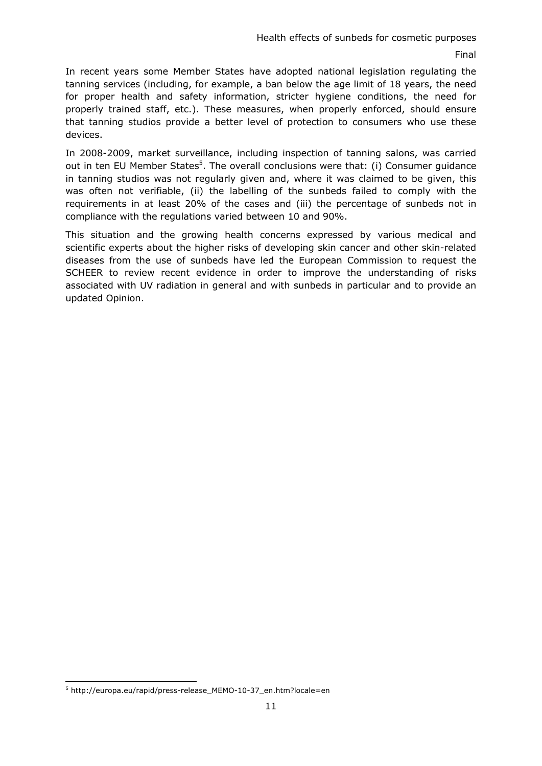In recent years some Member States have adopted national legislation regulating the tanning services (including, for example, a ban below the age limit of 18 years, the need for proper health and safety information, stricter hygiene conditions, the need for properly trained staff, etc.). These measures, when properly enforced, should ensure that tanning studios provide a better level of protection to consumers who use these devices.

In 2008-2009, market surveillance, including inspection of tanning salons, was carried out in ten EU Member States<sup>5</sup>. The overall conclusions were that: (i) Consumer guidance in tanning studios was not regularly given and, where it was claimed to be given, this was often not verifiable, (ii) the labelling of the sunbeds failed to comply with the requirements in at least 20% of the cases and (iii) the percentage of sunbeds not in compliance with the regulations varied between 10 and 90%.

This situation and the growing health concerns expressed by various medical and scientific experts about the higher risks of developing skin cancer and other skin-related diseases from the use of sunbeds have led the European Commission to request the SCHEER to review recent evidence in order to improve the understanding of risks associated with UV radiation in general and with sunbeds in particular and to provide an updated Opinion.

<sup>5</sup> http://europa.eu/rapid/press-release\_MEMO-10-37\_en.htm?locale=en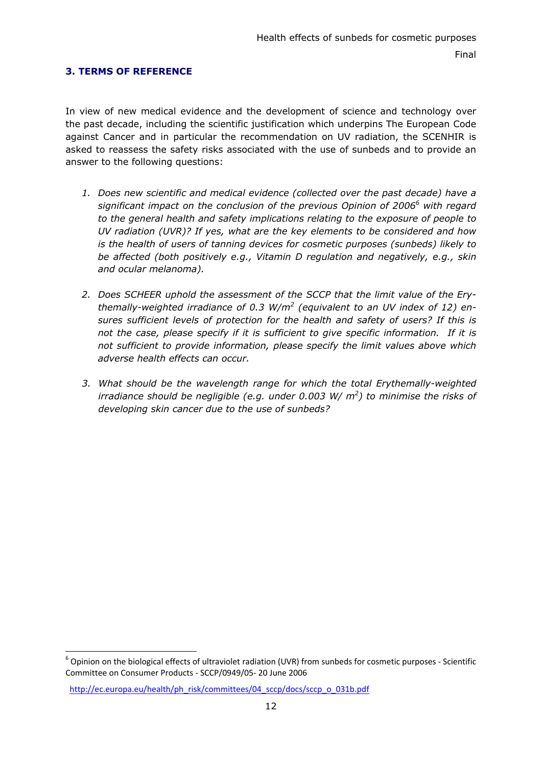# <span id="page-11-0"></span>**3. TERMS OF REFERENCE**

In view of new medical evidence and the development of science and technology over the past decade, including the scientific justification which underpins The European Code against Cancer and in particular the recommendation on UV radiation, the SCENHIR is asked to reassess the safety risks associated with the use of sunbeds and to provide an answer to the following questions:

- *1. Does new scientific and medical evidence (collected over the past decade) have a*  significant impact on the conclusion of the previous Opinion of 2006<sup>6</sup> with regard *to the general health and safety implications relating to the exposure of people to UV radiation (UVR)? If yes, what are the key elements to be considered and how is the health of users of tanning devices for cosmetic purposes (sunbeds) likely to be affected (both positively e.g., Vitamin D regulation and negatively, e.g., skin and ocular melanoma).*
- *2. Does SCHEER uphold the assessment of the SCCP that the limit value of the Erythemally-weighted irradiance of 0.3 W/m2 (equivalent to an UV index of 12) ensures sufficient levels of protection for the health and safety of users? If this is not the case, please specify if it is sufficient to give specific information. If it is not sufficient to provide information, please specify the limit values above which adverse health effects can occur.*
- *3. What should be the wavelength range for which the total Erythemally-weighted irradiance should be negligible (e.g. under 0.003 W/ m2 ) to minimise the risks of developing skin cancer due to the use of sunbeds?*

<sup>6</sup> Opinion on the biological effects of ultraviolet radiation (UVR) from sunbeds for cosmetic purposes *-* Scientific Committee on Consumer Products - SCCP/0949/05- 20 June 2006

http://ec.europa.eu/health/ph\_risk/committees/04\_sccp/docs/sccp\_o\_031b.pdf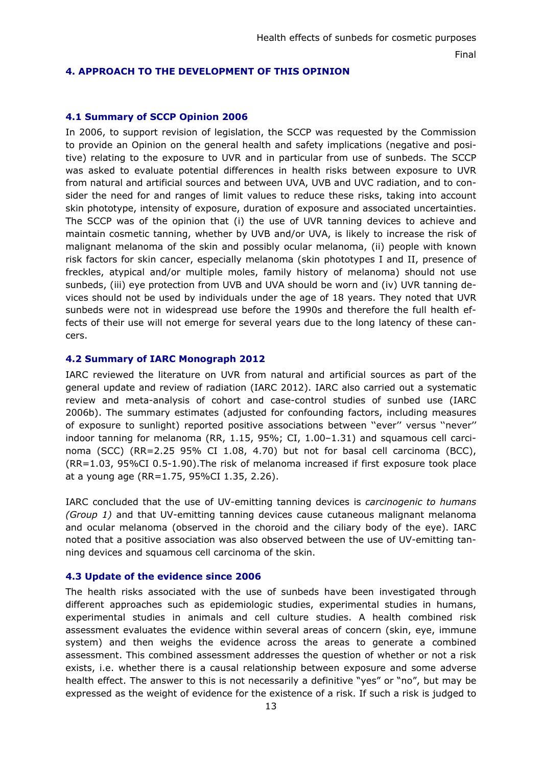### <span id="page-12-0"></span>**4. APPROACH TO THE DEVELOPMENT OF THIS OPINION**

## <span id="page-12-1"></span>**4.1 Summary of SCCP Opinion 2006**

In 2006, to support revision of legislation, the SCCP was requested by the Commission to provide an Opinion on the general health and safety implications (negative and positive) relating to the exposure to UVR and in particular from use of sunbeds. The SCCP was asked to evaluate potential differences in health risks between exposure to UVR from natural and artificial sources and between UVA, UVB and UVC radiation, and to consider the need for and ranges of limit values to reduce these risks, taking into account skin phototype, intensity of exposure, duration of exposure and associated uncertainties. The SCCP was of the opinion that (i) the use of UVR tanning devices to achieve and maintain cosmetic tanning, whether by UVB and/or UVA, is likely to increase the risk of malignant melanoma of the skin and possibly ocular melanoma, (ii) people with known risk factors for skin cancer, especially melanoma (skin phototypes I and II, presence of freckles, atypical and/or multiple moles, family history of melanoma) should not use sunbeds, (iii) eye protection from UVB and UVA should be worn and (iv) UVR tanning devices should not be used by individuals under the age of 18 years. They noted that UVR sunbeds were not in widespread use before the 1990s and therefore the full health effects of their use will not emerge for several years due to the long latency of these cancers.

## <span id="page-12-2"></span>**4.2 Summary of IARC Monograph 2012**

IARC reviewed the literature on UVR from natural and artificial sources as part of the general update and review of radiation (IARC 2012). IARC also carried out a systematic review and meta-analysis of cohort and case-control studies of sunbed use (IARC 2006b). The summary estimates (adjusted for confounding factors, including measures of exposure to sunlight) reported positive associations between ''ever'' versus ''never'' indoor tanning for melanoma (RR, 1.15, 95%; CI, 1.00–1.31) and squamous cell carcinoma (SCC) (RR=2.25 95% CI 1.08, 4.70) but not for basal cell carcinoma (BCC), (RR=1.03, 95%CI 0.5-1.90).The risk of melanoma increased if first exposure took place at a young age (RR=1.75, 95%CI 1.35, 2.26).

IARC concluded that the use of UV-emitting tanning devices is *carcinogenic to humans (Group 1)* and that UV-emitting tanning devices cause cutaneous malignant melanoma and ocular melanoma (observed in the choroid and the ciliary body of the eye). IARC noted that a positive association was also observed between the use of UV-emitting tanning devices and squamous cell carcinoma of the skin.

#### <span id="page-12-3"></span>**4.3 Update of the evidence since 2006**

The health risks associated with the use of sunbeds have been investigated through different approaches such as epidemiologic studies, experimental studies in humans, experimental studies in animals and cell culture studies. A health combined risk assessment evaluates the evidence within several areas of concern (skin, eye, immune system) and then weighs the evidence across the areas to generate a combined assessment. This combined assessment addresses the question of whether or not a risk exists, i.e. whether there is a causal relationship between exposure and some adverse health effect. The answer to this is not necessarily a definitive "yes" or "no", but may be expressed as the weight of evidence for the existence of a risk. If such a risk is judged to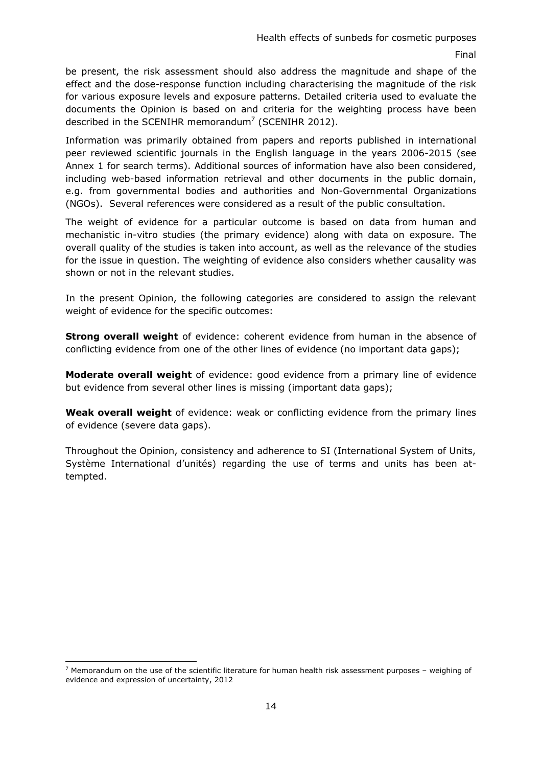be present, the risk assessment should also address the magnitude and shape of the effect and the dose-response function including characterising the magnitude of the risk for various exposure levels and exposure patterns. Detailed criteria used to evaluate the documents the Opinion is based on and criteria for the weighting process have been described in the SCENIHR memorandum<sup>7</sup> (SCENIHR 2012).

Information was primarily obtained from papers and reports published in international peer reviewed scientific journals in the English language in the years 2006-2015 (see Annex 1 for search terms). Additional sources of information have also been considered, including web-based information retrieval and other documents in the public domain, e.g. from governmental bodies and authorities and Non-Governmental Organizations (NGOs). Several references were considered as a result of the public consultation.

The weight of evidence for a particular outcome is based on data from human and mechanistic in-vitro studies (the primary evidence) along with data on exposure. The overall quality of the studies is taken into account, as well as the relevance of the studies for the issue in question. The weighting of evidence also considers whether causality was shown or not in the relevant studies.

In the present Opinion, the following categories are considered to assign the relevant weight of evidence for the specific outcomes:

**Strong overall weight** of evidence: coherent evidence from human in the absence of conflicting evidence from one of the other lines of evidence (no important data gaps);

**Moderate overall weight** of evidence: good evidence from a primary line of evidence but evidence from several other lines is missing (important data gaps);

**Weak overall weight** of evidence: weak or conflicting evidence from the primary lines of evidence (severe data gaps).

Throughout the Opinion, consistency and adherence to SI (International System of Units, Système International d'unités) regarding the use of terms and units has been attempted.

<sup>-</sup> $^7$  Memorandum on the use of the scientific literature for human health risk assessment purposes - weighing of evidence and expression of uncertainty, 2012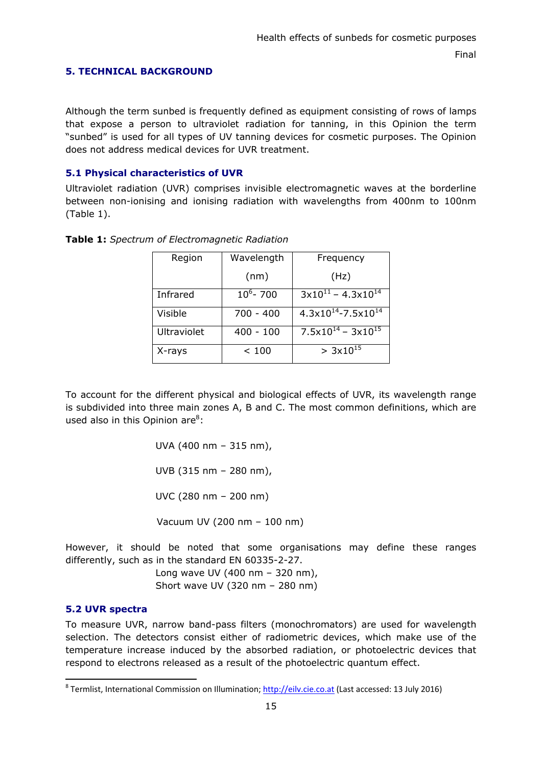# <span id="page-14-0"></span>**5. TECHNICAL BACKGROUND**

Although the term sunbed is frequently defined as equipment consisting of rows of lamps that expose a person to ultraviolet radiation for tanning, in this Opinion the term "sunbed" is used for all types of UV tanning devices for cosmetic purposes. The Opinion does not address medical devices for UVR treatment.

# <span id="page-14-1"></span>**5.1 Physical characteristics of UVR**

Ultraviolet radiation (UVR) comprises invisible electromagnetic waves at the borderline between non-ionising and ionising radiation with wavelengths from 400nm to 100nm (Table 1).

| Region             | Wavelength   | Frequency                                 |  |  |
|--------------------|--------------|-------------------------------------------|--|--|
|                    | (nm)         | (Hz)                                      |  |  |
| Infrared           | $10^6 - 700$ | $3x10^{11} - 4.3x10^{14}$                 |  |  |
| Visible            | 700 - 400    | $4.3 \times 10^{14} - 7.5 \times 10^{14}$ |  |  |
| <b>Ultraviolet</b> | $400 - 100$  | $7.5 \times 10^{14} - 3 \times 10^{15}$   |  |  |
| X-rays             | < 100        | $> 3x10^{15}$                             |  |  |

**Table 1:** *Spectrum of Electromagnetic Radiation*

To account for the different physical and biological effects of UVR, its wavelength range is subdivided into three main zones A, B and C. The most common definitions, which are used also in this Opinion are<sup>8</sup>:

> UVA (400 nm – 315 nm), UVB (315 nm – 280 nm), UVC (280 nm – 200 nm) Vacuum UV (200 nm – 100 nm)

However, it should be noted that some organisations may define these ranges differently, such as in the standard EN 60335-2-27.

> Long wave UV (400 nm – 320 nm), Short wave UV (320 nm – 280 nm)

# <span id="page-14-2"></span>**5.2 UVR spectra**

-

To measure UVR, narrow band-pass filters (monochromators) are used for wavelength selection. The detectors consist either of radiometric devices, which make use of the temperature increase induced by the absorbed radiation, or photoelectric devices that respond to electrons released as a result of the photoelectric quantum effect.

<sup>&</sup>lt;sup>8</sup> Termlist, International Commission on Illumination[; http://eilv.cie.co.at \(](http://eilv.cie.co.at/)Last accessed: 13 July 2016)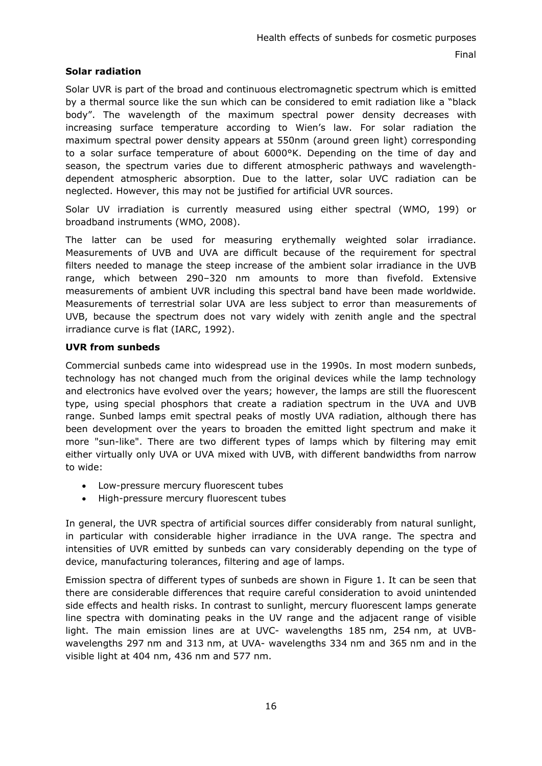# **Solar radiation**

Solar UVR is part of the broad and continuous electromagnetic spectrum which is emitted by a thermal source like the sun which can be considered to emit radiation like a "black body". The wavelength of the maximum spectral power density decreases with increasing surface temperature according to Wien's law. For solar radiation the maximum spectral power density appears at 550nm (around green light) corresponding to a solar surface temperature of about 6000°K. Depending on the time of day and season, the spectrum varies due to different atmospheric pathways and wavelengthdependent atmospheric absorption. Due to the latter, solar UVC radiation can be neglected. However, this may not be justified for artificial UVR sources.

Solar UV irradiation is currently measured using either spectral (WMO, 199) or broadband instruments (WMO, 2008).

The latter can be used for measuring erythemally weighted solar irradiance. Measurements of UVB and UVA are difficult because of the requirement for spectral filters needed to manage the steep increase of the ambient solar irradiance in the UVB range, which between 290–320 nm amounts to more than fivefold. Extensive measurements of ambient UVR including this spectral band have been made worldwide. Measurements of terrestrial solar UVA are less subject to error than measurements of UVB, because the spectrum does not vary widely with zenith angle and the spectral irradiance curve is flat (IARC, 1992).

## **UVR from sunbeds**

Commercial sunbeds came into widespread use in the 1990s. In most modern sunbeds, technology has not changed much from the original devices while the lamp technology and electronics have evolved over the years; however, the lamps are still the fluorescent type, using special phosphors that create a radiation spectrum in the UVA and UVB range. Sunbed lamps emit spectral peaks of mostly UVA radiation, although there has been development over the years to broaden the emitted light spectrum and make it more "sun-like". There are two different types of lamps which by filtering may emit either virtually only UVA or UVA mixed with UVB, with different bandwidths from narrow to wide:

- Low-pressure mercury fluorescent tubes
- High-pressure mercury fluorescent tubes

In general, the UVR spectra of artificial sources differ considerably from natural sunlight, in particular with considerable higher irradiance in the UVA range. The spectra and intensities of UVR emitted by sunbeds can vary considerably depending on the type of device, manufacturing tolerances, filtering and age of lamps.

Emission spectra of different types of sunbeds are shown in Figure 1. It can be seen that there are considerable differences that require careful consideration to avoid unintended side effects and health risks. In contrast to sunlight, mercury fluorescent lamps generate line spectra with dominating peaks in the UV range and the adjacent range of visible light. The main emission lines are at UVC- wavelengths 185 nm, 254 nm, at UVBwavelengths 297 nm and 313 nm, at UVA- wavelengths 334 nm and 365 nm and in the visible light at 404 nm, 436 nm and 577 nm.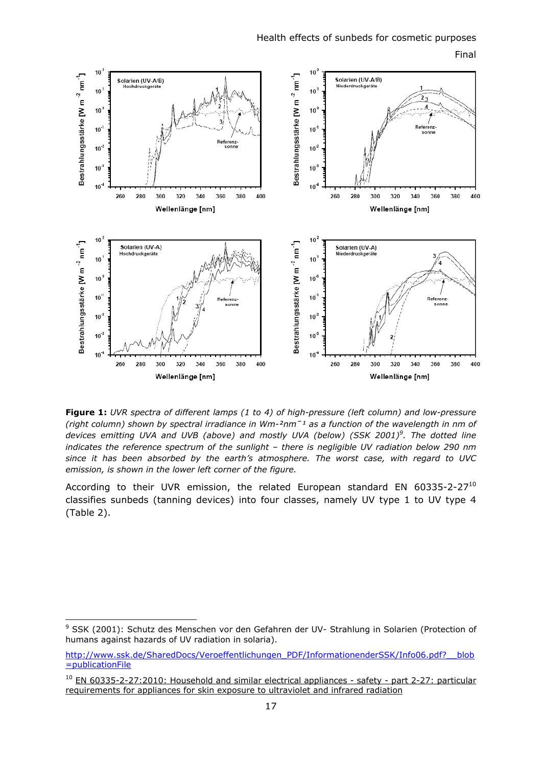

**Figure 1:** *UVR spectra of different lamps (1 to 4) of high-pressure (left column) and low-pressure (right column) shown by spectral irradiance in Wm-²nmˉ¹ as a function of the wavelength in nm of [devices emitting UVA and UVB \(above\) and mostly UVA \(below\) \(SSK 2001\)](http://www.ssk.de/SharedDocs/Veroeffentlichungen_PDF/InformationenderSSK/Info06.pdf?__blob=publicationFile)<sup>9</sup> . The dotted line indicates the reference spectrum of the sunlight – there is negligible UV radiation below 290 nm since it has been absorbed by the earth's atmosphere. The worst case, with regard to UVC emission, is shown in the lower left corner of the figure.* 

According to their UVR emission, the related European standard EN 60335-2-27<sup>10</sup> classifies sunbeds (tanning devices) into four classes, namely UV type 1 to UV type 4 (Table 2).

<sup>&</sup>lt;sup>9</sup> SSK (2001): Schutz des Menschen vor den Gefahren der UV- Strahlung in Solarien (Protection of humans against hazards of UV radiation in solaria).

http://www.ssk.de/SharedDocs/Veroeffentlichungen\_PDF/InformationenderSSK/Info06.pdf?\_\_blob [=publicationFile](http://www.ssk.de/SharedDocs/Veroeffentlichungen_PDF/InformationenderSSK/Info06.pdf?__blob=publicationFile) 

<sup>&</sup>lt;sup>10</sup> EN 60335-2-27:2010: Household and similar electrical appliances - safety - part 2-27: particular [requirements for appliances for skin exposure to ultraviolet and infrared radiation](http://www.freestd.us/soft2/594008.htm)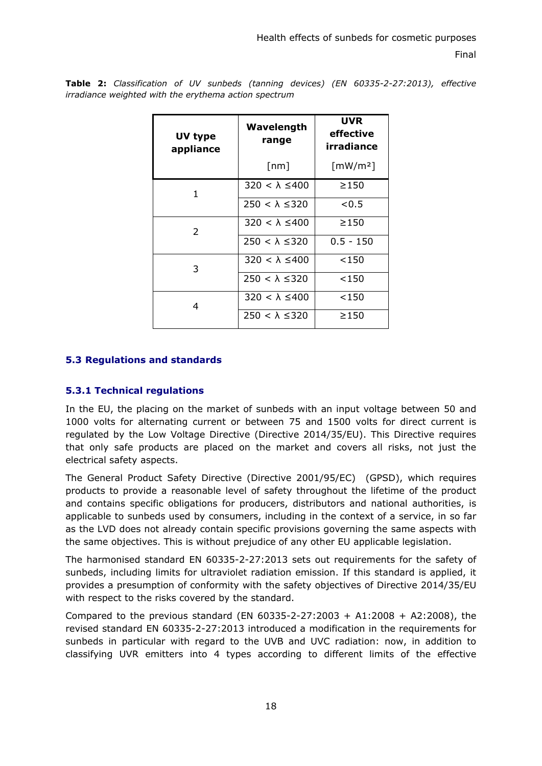| UV type<br>appliance | Wavelength<br>range      | <b>UVR</b><br>effective<br>irradiance |  |
|----------------------|--------------------------|---------------------------------------|--|
|                      | $\lceil nm \rceil$       | $\lceil$ mW/m <sup>2</sup> ]          |  |
| 1                    | $320 < \lambda \leq 400$ | >150                                  |  |
|                      | $250 < \lambda \leq 320$ | < 0.5                                 |  |
| 2                    | $320 < \lambda \leq 400$ | >150                                  |  |
|                      | $250 < \lambda \leq 320$ | $0.5 - 150$                           |  |
| 3                    | $320 < \lambda \leq 400$ | < 150                                 |  |
|                      | $250 < \lambda \leq 320$ | < 150                                 |  |
| 4                    | $320 < \lambda \leq 400$ | < 150                                 |  |
|                      | $250 < \lambda \leq 320$ | >150                                  |  |

**Table 2:** *Classification of UV sunbeds (tanning devices) (EN 60335-2-27:2013), effective irradiance weighted with the erythema action spectrum*

## <span id="page-17-0"></span>**5.3 Regulations and standards**

#### <span id="page-17-1"></span>**5.3.1 Technical regulations**

In the EU, the placing on the market of sunbeds with an input voltage between 50 and 1000 volts for alternating current or between 75 and 1500 volts for direct current is regulated by the Low Voltage Directive (Directive 2014/35/EU). This Directive requires that only safe products are placed on the market and covers all risks, not just the electrical safety aspects.

The General Product Safety Directive (Directive 2001/95/EC) (GPSD), which requires products to provide a reasonable level of safety throughout the lifetime of the product and contains specific obligations for producers, distributors and national authorities, is applicable to sunbeds used by consumers, including in the context of a service, in so far as the LVD does not already contain specific provisions governing the same aspects with the same objectives. This is without prejudice of any other EU applicable legislation.

The harmonised standard EN 60335-2-27:2013 sets out requirements for the safety of sunbeds, including limits for ultraviolet radiation emission. If this standard is applied, it provides a presumption of conformity with the safety objectives of Directive 2014/35/EU with respect to the risks covered by the standard.

Compared to the previous standard (EN 60335-2-27:2003 + A1:2008 + A2:2008), the revised standard EN 60335-2-27:2013 introduced a modification in the requirements for sunbeds in particular with regard to the UVB and UVC radiation: now, in addition to classifying UVR emitters into 4 types according to different limits of the effective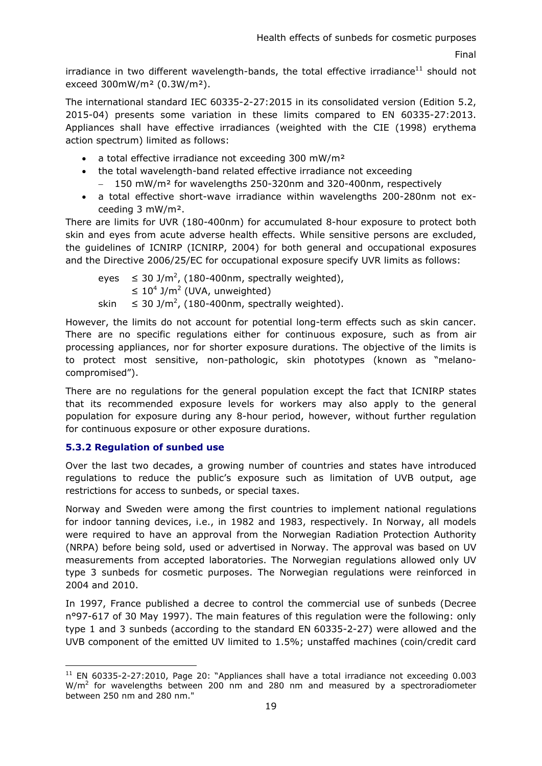irradiance in two different wavelength-bands, the total effective irradiance<sup>11</sup> should not exceed 300mW/m² (0.3W/m²).

The international standard IEC 60335-2-27:2015 in its consolidated version (Edition 5.2, 2015-04) presents some variation in these limits compared to EN 60335-27:2013. Appliances shall have effective irradiances (weighted with the CIE (1998) erythema action spectrum) limited as follows:

- a total effective irradiance not exceeding 300 mW/m<sup>2</sup>
- the total wavelength-band related effective irradiance not exceeding
	- − 150 mW/m² for wavelengths 250-320nm and 320-400nm, respectively
- a total effective short-wave irradiance within wavelengths 200-280nm not exceeding 3 mW/m².

There are limits for UVR (180-400nm) for accumulated 8-hour exposure to protect both skin and eyes from acute adverse health effects. While sensitive persons are excluded, the guidelines of ICNIRP (ICNIRP, 2004) for both general and occupational exposures and the Directive 2006/25/EC for occupational exposure specify UVR limits as follows:

eyes  $\leq 30$  J/m<sup>2</sup>, (180-400nm, spectrally weighted),  $\leq 10^4$  J/m<sup>2</sup> (UVA, unweighted) skin  $\leq 30$  J/m<sup>2</sup>, (180-400nm, spectrally weighted).

However, the limits do not account for potential long-term effects such as skin cancer. There are no specific regulations either for continuous exposure, such as from air processing appliances, nor for shorter exposure durations. The objective of the limits is to protect most sensitive, non-pathologic, skin phototypes (known as "melanocompromised").

There are no regulations for the general population except the fact that ICNIRP states that its recommended exposure levels for workers may also apply to the general population for exposure during any 8-hour period, however, without further regulation for continuous exposure or other exposure durations.

# <span id="page-18-0"></span>**5.3.2 Regulation of sunbed use**

-

Over the last two decades, a growing number of countries and states have introduced regulations to reduce the public's exposure such as limitation of UVB output, age restrictions for access to sunbeds, or special taxes.

Norway and Sweden were among the first countries to implement national regulations for indoor tanning devices, i.e., in 1982 and 1983, respectively. In Norway, all models were required to have an approval from the Norwegian Radiation Protection Authority (NRPA) before being sold, used or advertised in Norway. The approval was based on UV measurements from accepted laboratories. The Norwegian regulations allowed only UV type 3 sunbeds for cosmetic purposes. The Norwegian regulations were reinforced in 2004 and 2010.

In 1997, France published a decree to control the commercial use of sunbeds (Decree n°97-617 of 30 May 1997). The main features of this regulation were the following: only type 1 and 3 sunbeds (according to the standard EN 60335-2-27) were allowed and the UVB component of the emitted UV limited to 1.5%; unstaffed machines (coin/credit card

 $11$  EN 60335-2-27:2010, Page 20: "Appliances shall have a total irradiance not exceeding 0.003  $W/m<sup>2</sup>$  for wavelengths between 200 nm and 280 nm and measured by a spectroradiometer between 250 nm and 280 nm."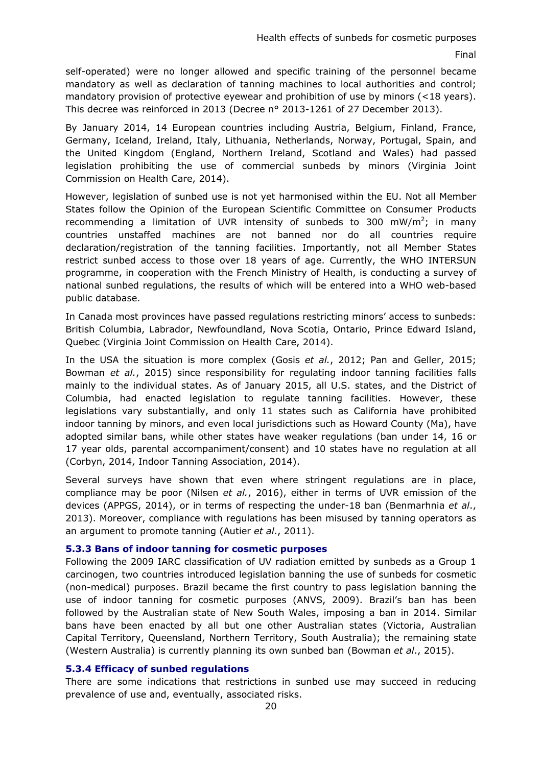self-operated) were no longer allowed and specific training of the personnel became mandatory as well as declaration of tanning machines to local authorities and control; mandatory provision of protective eyewear and prohibition of use by minors (<18 years). This decree was reinforced in 2013 (Decree n° 2013-1261 of 27 December 2013).

By January 2014, 14 European countries including Austria, Belgium, Finland, France, Germany, Iceland, Ireland, Italy, Lithuania, Netherlands, Norway, Portugal, Spain, and the United Kingdom (England, Northern Ireland, Scotland and Wales) had passed legislation prohibiting the use of commercial sunbeds by minors (Virginia Joint Commission on Health Care, 2014).

However, legislation of sunbed use is not yet harmonised within the EU. Not all Member States follow the Opinion of the European Scientific Committee on Consumer Products recommending a limitation of UVR intensity of sunbeds to 300 mW/m<sup>2</sup>; in many countries unstaffed machines are not banned nor do all countries require declaration/registration of the tanning facilities. Importantly, not all Member States restrict sunbed access to those over 18 years of age. Currently, the WHO INTERSUN programme, in cooperation with the French Ministry of Health, is conducting a survey of national sunbed regulations, the results of which will be entered into a WHO web-based public database.

In Canada most provinces have passed regulations restricting minors' access to sunbeds: British Columbia, Labrador, Newfoundland, Nova Scotia, Ontario, Prince Edward Island, Quebec (Virginia Joint Commission on Health Care, 2014).

In the USA the situation is more complex (Gosis *et al.*, 2012; Pan and Geller, 2015; Bowman *et al.*, 2015) since responsibility for regulating indoor tanning facilities falls mainly to the individual states. As of January 2015, all U.S. states, and the District of Columbia, had enacted legislation to regulate tanning facilities. However, these legislations vary substantially, and only 11 states such as California have prohibited indoor tanning by minors, and even local jurisdictions such as Howard County (Ma), have adopted similar bans, while other states have weaker regulations (ban under 14, 16 or 17 year olds, parental accompaniment/consent) and 10 states have no regulation at all (Corbyn, 2014, Indoor Tanning Association, 2014).

Several surveys have shown that even where stringent regulations are in place, compliance may be poor (Nilsen *et al.*, 2016), either in terms of UVR emission of the devices (APPGS, 2014), or in terms of respecting the under-18 ban (Benmarhnia *et al*., 2013). Moreover, compliance with regulations has been misused by tanning operators as an argument to promote tanning (Autier *et al*., 2011).

#### <span id="page-19-0"></span>**5.3.3 Bans of indoor tanning for cosmetic purposes**

Following the 2009 IARC classification of UV radiation emitted by sunbeds as a Group 1 carcinogen, two countries introduced legislation banning the use of sunbeds for cosmetic (non-medical) purposes. Brazil became the first country to pass legislation banning the use of indoor tanning for cosmetic purposes (ANVS, 2009). Brazil's ban has been followed by the Australian state of New South Wales, imposing a ban in 2014. Similar bans have been enacted by all but one other Australian states (Victoria, Australian Capital Territory, Queensland, Northern Territory, South Australia); the remaining state (Western Australia) is currently planning its own sunbed ban (Bowman *et al*., 2015).

#### <span id="page-19-1"></span>**5.3.4 Efficacy of sunbed regulations**

There are some indications that restrictions in sunbed use may succeed in reducing prevalence of use and, eventually, associated risks.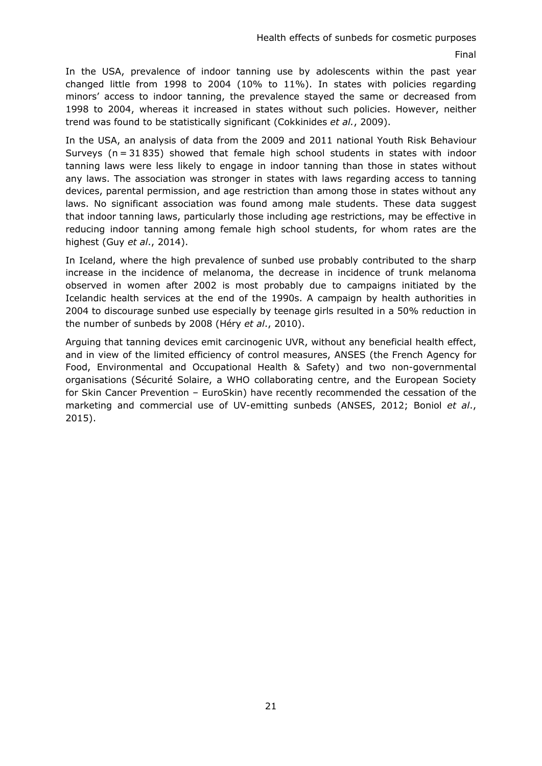In the USA, prevalence of indoor tanning use by adolescents within the past year changed little from 1998 to 2004 (10% to 11%). In states with policies regarding minors' access to indoor tanning, the prevalence stayed the same or decreased from 1998 to 2004, whereas it increased in states without such policies. However, neither trend was found to be statistically significant (Cokkinides *et al.*, 2009).

In the USA, an analysis of data from the 2009 and 2011 national Youth Risk Behaviour Surveys ( $n = 31835$ ) showed that female high school students in states with indoor tanning laws were less likely to engage in indoor tanning than those in states without any laws. The association was stronger in states with laws regarding access to tanning devices, parental permission, and age restriction than among those in states without any laws. No significant association was found among male students. These data suggest that indoor tanning laws, particularly those including age restrictions, may be effective in reducing indoor tanning among female high school students, for whom rates are the highest (Guy *et al*., 2014).

In Iceland, where the high prevalence of sunbed use probably contributed to the sharp increase in the incidence of melanoma, the decrease in incidence of trunk melanoma observed in women after 2002 is most probably due to campaigns initiated by the Icelandic health services at the end of the 1990s. A campaign by health authorities in 2004 to discourage sunbed use especially by teenage girls resulted in a 50% reduction in the number of sunbeds by 2008 (Héry *et al*., 2010).

Arguing that tanning devices emit carcinogenic UVR, without any beneficial health effect, and in view of the limited efficiency of control measures, ANSES (the French Agency for Food, Environmental and Occupational Health & Safety) and two non-governmental organisations (Sécurité Solaire, a WHO collaborating centre, and the European Society for Skin Cancer Prevention – EuroSkin) have recently recommended the cessation of the marketing and commercial use of UV-emitting sunbeds (ANSES, 2012; Boniol *et al*., 2015).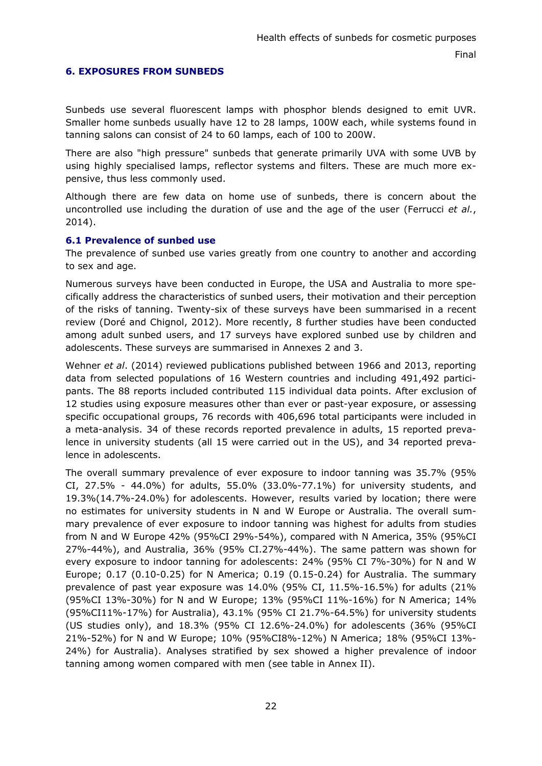## <span id="page-21-0"></span>**6. EXPOSURES FROM SUNBEDS**

Sunbeds use several fluorescent lamps with phosphor blends designed to emit UVR. Smaller home sunbeds usually have 12 to 28 lamps, 100W each, while systems found in tanning salons can consist of 24 to 60 lamps, each of 100 to 200W.

There are also "high pressure" sunbeds that generate primarily UVA with some UVB by using highly specialised lamps, reflector systems and filters. These are much more expensive, thus less commonly used.

Although there are few data on home use of sunbeds, there is concern about the uncontrolled use including the duration of use and the age of the user (Ferrucci *et al.*, 2014).

#### <span id="page-21-1"></span>**6.1 Prevalence of sunbed use**

The prevalence of sunbed use varies greatly from one country to another and according to sex and age.

Numerous surveys have been conducted in Europe, the USA and Australia to more specifically address the characteristics of sunbed users, their motivation and their perception of the risks of tanning. Twenty-six of these surveys have been summarised in a recent review (Doré and Chignol, 2012). More recently, 8 further studies have been conducted among adult sunbed users, and 17 surveys have explored sunbed use by children and adolescents. These surveys are summarised in Annexes 2 and 3.

Wehner *et al*. (2014) reviewed publications published between 1966 and 2013, reporting data from selected populations of 16 Western countries and including 491,492 participants. The 88 reports included contributed 115 individual data points. After exclusion of 12 studies using exposure measures other than ever or past-year exposure, or assessing specific occupational groups, 76 records with 406,696 total participants were included in a meta-analysis. 34 of these records reported prevalence in adults, 15 reported prevalence in university students (all 15 were carried out in the US), and 34 reported prevalence in adolescents.

The overall summary prevalence of ever exposure to indoor tanning was 35.7% (95% CI, 27.5% - 44.0%) for adults, 55.0% (33.0%-77.1%) for university students, and 19.3%(14.7%-24.0%) for adolescents. However, results varied by location; there were no estimates for university students in N and W Europe or Australia. The overall summary prevalence of ever exposure to indoor tanning was highest for adults from studies from N and W Europe 42% (95%CI 29%-54%), compared with N America, 35% (95%CI 27%-44%), and Australia, 36% (95% CI.27%-44%). The same pattern was shown for every exposure to indoor tanning for adolescents: 24% (95% CI 7%-30%) for N and W Europe; 0.17 (0.10-0.25) for N America; 0.19 (0.15-0.24) for Australia. The summary prevalence of past year exposure was 14.0% (95% CI, 11.5%-16.5%) for adults (21% (95%CI 13%-30%) for N and W Europe; 13% (95%CI 11%-16%) for N America; 14% (95%CI11%-17%) for Australia), 43.1% (95% CI 21.7%-64.5%) for university students (US studies only), and 18.3% (95% CI 12.6%-24.0%) for adolescents (36% (95%CI 21%-52%) for N and W Europe; 10% (95%CI8%-12%) N America; 18% (95%CI 13%- 24%) for Australia). Analyses stratified by sex showed a higher prevalence of indoor tanning among women compared with men (see table in Annex II).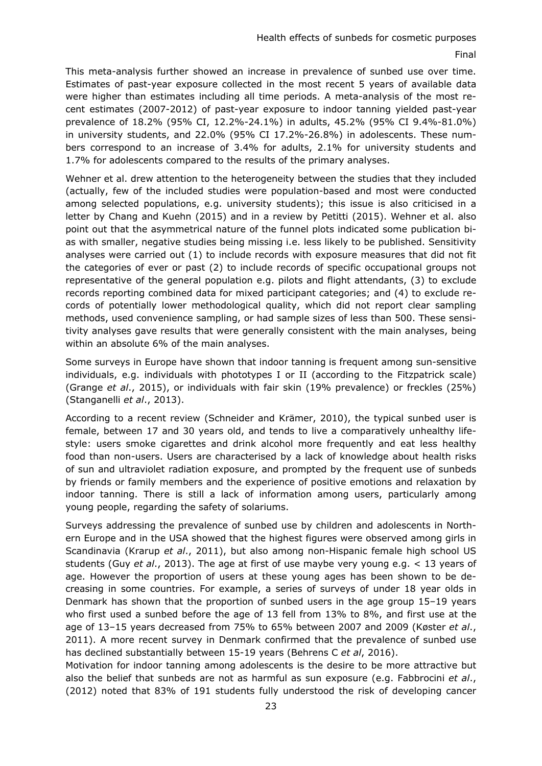This meta-analysis further showed an increase in prevalence of sunbed use over time. Estimates of past-year exposure collected in the most recent 5 years of available data were higher than estimates including all time periods. A meta-analysis of the most recent estimates (2007-2012) of past-year exposure to indoor tanning yielded past-year prevalence of 18.2% (95% CI, 12.2%-24.1%) in adults, 45.2% (95% CI 9.4%-81.0%) in university students, and 22.0% (95% CI 17.2%-26.8%) in adolescents. These numbers correspond to an increase of 3.4% for adults, 2.1% for university students and 1.7% for adolescents compared to the results of the primary analyses.

Wehner et al. drew attention to the heterogeneity between the studies that they included (actually, few of the included studies were population-based and most were conducted among selected populations, e.g. university students); this issue is also criticised in a letter by Chang and Kuehn (2015) and in a review by Petitti (2015). Wehner et al. also point out that the asymmetrical nature of the funnel plots indicated some publication bias with smaller, negative studies being missing i.e. less likely to be published. Sensitivity analyses were carried out (1) to include records with exposure measures that did not fit the categories of ever or past (2) to include records of specific occupational groups not representative of the general population e.g. pilots and flight attendants, (3) to exclude records reporting combined data for mixed participant categories; and (4) to exclude records of potentially lower methodological quality, which did not report clear sampling methods, used convenience sampling, or had sample sizes of less than 500. These sensitivity analyses gave results that were generally consistent with the main analyses, being within an absolute 6% of the main analyses.

Some surveys in Europe have shown that indoor tanning is frequent among sun-sensitive individuals, e.g. individuals with phototypes I or II (according to the Fitzpatrick scale) (Grange *et al*., 2015), or individuals with fair skin (19% prevalence) or freckles (25%) (Stanganelli *et al*., 2013).

According to a recent review (Schneider and Krämer, 2010), the typical sunbed user is female, between 17 and 30 years old, and tends to live a comparatively unhealthy lifestyle: users smoke cigarettes and drink alcohol more frequently and eat less healthy food than non-users. Users are characterised by a lack of knowledge about health risks of sun and ultraviolet radiation exposure, and prompted by the frequent use of sunbeds by friends or family members and the experience of positive emotions and relaxation by indoor tanning. There is still a lack of information among users, particularly among young people, regarding the safety of solariums.

Surveys addressing the prevalence of sunbed use by children and adolescents in Northern Europe and in the USA showed that the highest figures were observed among girls in Scandinavia (Krarup *et al*., 2011), but also among non-Hispanic female high school US students (Guy *et al*., 2013). The age at first of use maybe very young e.g. < 13 years of age. However the proportion of users at these young ages has been shown to be decreasing in some countries. For example, a series of surveys of under 18 year olds in Denmark has shown that the proportion of sunbed users in the age group 15–19 years who first used a sunbed before the age of 13 fell from 13% to 8%, and first use at the age of 13–15 years decreased from 75% to 65% between 2007 and 2009 (Køster *et al*., 2011). A more recent survey in Denmark confirmed that the prevalence of sunbed use has declined substantially between 15-19 years (Behrens C *et al*, 2016).

Motivation for indoor tanning among adolescents is the desire to be more attractive but also the belief that sunbeds are not as harmful as sun exposure (e.g. Fabbrocini *et al*., (2012) noted that 83% of 191 students fully understood the risk of developing cancer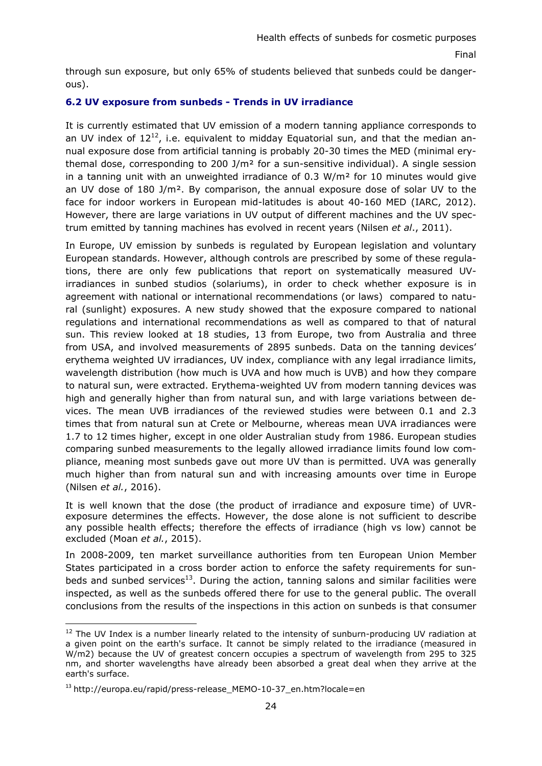through sun exposure, but only 65% of students believed that sunbeds could be dangerous).

# <span id="page-23-0"></span>**6.2 UV exposure from sunbeds - Trends in UV irradiance**

It is currently estimated that UV emission of a modern tanning appliance corresponds to an UV index of  $12^{12}$ , i.e. equivalent to midday Equatorial sun, and that the median annual exposure dose from artificial tanning is probably 20-30 times the MED (minimal erythemal dose, corresponding to 200 J/m<sup>2</sup> for a sun-sensitive individual). A single session in a tanning unit with an unweighted irradiance of  $0.3 \text{ W/m}^2$  for 10 minutes would give an UV dose of 180 J/m². By comparison, the annual exposure dose of solar UV to the face for indoor workers in European mid-latitudes is about 40-160 MED (IARC, 2012). However, there are large variations in UV output of different machines and the UV spectrum emitted by tanning machines has evolved in recent years (Nilsen *et al*., 2011).

In Europe, UV emission by sunbeds is regulated by European legislation and voluntary European standards. However, although controls are prescribed by some of these regulations, there are only few publications that report on systematically measured UVirradiances in sunbed studios (solariums), in order to check whether exposure is in agreement with national or international recommendations (or laws) compared to natural (sunlight) exposures. A new study showed that the exposure compared to national regulations and international recommendations as well as compared to that of natural sun. This review looked at 18 studies, 13 from Europe, two from Australia and three from USA, and involved measurements of 2895 sunbeds. Data on the tanning devices' erythema weighted UV irradiances, UV index, compliance with any legal irradiance limits, wavelength distribution (how much is UVA and how much is UVB) and how they compare to natural sun, were extracted. Erythema-weighted UV from modern tanning devices was high and generally higher than from natural sun, and with large variations between devices. The mean UVB irradiances of the reviewed studies were between 0.1 and 2.3 times that from natural sun at Crete or Melbourne, whereas mean UVA irradiances were 1.7 to 12 times higher, except in one older Australian study from 1986. European studies comparing sunbed measurements to the legally allowed irradiance limits found low compliance, meaning most sunbeds gave out more UV than is permitted. UVA was generally much higher than from natural sun and with increasing amounts over time in Europe (Nilsen *et al.*, 2016).

It is well known that the dose (the product of irradiance and exposure time) of UVRexposure determines the effects. However, the dose alone is not sufficient to describe any possible health effects; therefore the effects of irradiance (high vs low) cannot be excluded (Moan *et al.*, 2015).

In 2008-2009, ten market surveillance authorities from ten European Union Member States participated in a cross border action to enforce the safety requirements for sunbeds and sunbed services<sup>13</sup>. During the action, tanning salons and similar facilities were inspected, as well as the sunbeds offered there for use to the general public. The overall conclusions from the results of the inspections in this action on sunbeds is that consumer

<sup>&</sup>lt;sup>12</sup> The UV Index is a number linearly related to the intensity of sunburn-producing UV radiation at a given point on the earth's surface. It cannot be simply related to the irradiance (measured in W/m2) because the UV of greatest concern occupies a spectrum of wavelength from 295 to 325 nm, and shorter wavelengths have already been absorbed a great deal when they arrive at the earth's surface.

<sup>&</sup>lt;sup>13</sup> http://europa.eu/rapid/press-release\_MEMO-10-37\_en.htm?locale=en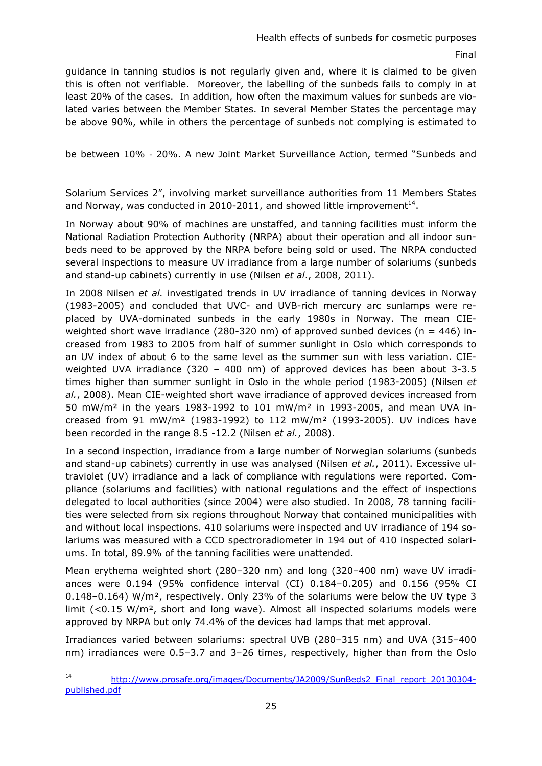guidance in tanning studios is not regularly given and, where it is claimed to be given this is often not verifiable. Moreover, the labelling of the sunbeds fails to comply in at least 20% of the cases. In addition, how often the maximum values for sunbeds are violated varies between the Member States. In several Member States the percentage may be above 90%, while in others the percentage of sunbeds not complying is estimated to

be between 10% ‐ 20%. A new Joint Market Surveillance Action, termed "Sunbeds and

Solarium Services 2", involving market surveillance authorities from 11 Members States and Norway, was conducted in 2010-2011, and showed little improvement<sup>14</sup>.

In Norway about 90% of machines are unstaffed, and tanning facilities must inform the National Radiation Protection Authority (NRPA) about their operation and all indoor sunbeds need to be approved by the NRPA before being sold or used. The NRPA conducted several inspections to measure UV irradiance from a large number of solariums (sunbeds and stand-up cabinets) currently in use (Nilsen *et al*., 2008, 2011).

In 2008 Nilsen *et al.* investigated trends in UV irradiance of tanning devices in Norway (1983-2005) and concluded that UVC- and UVB-rich mercury arc sunlamps were replaced by UVA-dominated sunbeds in the early 1980s in Norway. The mean CIEweighted short wave irradiance (280-320 nm) of approved sunbed devices ( $n = 446$ ) increased from 1983 to 2005 from half of summer sunlight in Oslo which corresponds to an UV index of about 6 to the same level as the summer sun with less variation. CIEweighted UVA irradiance (320 – 400 nm) of approved devices has been about 3-3.5 times higher than summer sunlight in Oslo in the whole period (1983-2005) (Nilsen *et al.*, 2008). Mean CIE-weighted short wave irradiance of approved devices increased from 50 mW/m² in the years 1983-1992 to 101 mW/m² in 1993-2005, and mean UVA increased from 91 mW/m<sup>2</sup> (1983-1992) to 112 mW/m<sup>2</sup> (1993-2005). UV indices have been recorded in the range 8.5 -12.2 (Nilsen *et al.*, 2008).

In a second inspection, irradiance from a large number of Norwegian solariums (sunbeds and stand-up cabinets) currently in use was analysed (Nilsen *et al.*, 2011). Excessive ultraviolet (UV) irradiance and a lack of compliance with regulations were reported. Compliance (solariums and facilities) with national regulations and the effect of inspections delegated to local authorities (since 2004) were also studied. In 2008, 78 tanning facilities were selected from six regions throughout Norway that contained municipalities with and without local inspections. 410 solariums were inspected and UV irradiance of 194 solariums was measured with a CCD spectroradiometer in 194 out of 410 inspected solariums. In total, 89.9% of the tanning facilities were unattended.

Mean erythema weighted short (280–320 nm) and long (320–400 nm) wave UV irradiances were 0.194 (95% confidence interval (CI) 0.184–0.205) and 0.156 (95% CI 0.148–0.164) W/m<sup>2</sup>, respectively. Only 23% of the solariums were below the UV type 3 limit (*<*0.15 W/m², short and long wave). Almost all inspected solariums models were approved by NRPA but only 74.4% of the devices had lamps that met approval.

Irradiances varied between solariums: spectral UVB (280–315 nm) and UVA (315–400 nm) irradiances were 0.5–3.7 and 3–26 times, respectively, higher than from the Oslo

 $14$ http://www.prosafe.org/images/Documents/JA2009/SunBeds2\_Final\_report\_20130304[published.pdf](http://www.prosafe.org/images/Documents/JA2009/SunBeds2_Final_report_20130304-published.pdf)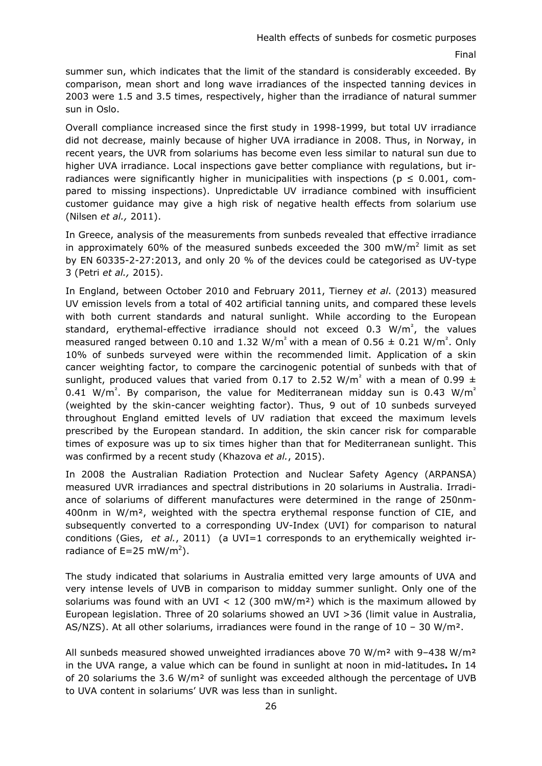summer sun, which indicates that the limit of the standard is considerably exceeded. By comparison, mean short and long wave irradiances of the inspected tanning devices in 2003 were 1.5 and 3.5 times, respectively, higher than the irradiance of natural summer sun in Oslo.

Overall compliance increased since the first study in 1998-1999, but total UV irradiance did not decrease, mainly because of higher UVA irradiance in 2008. Thus, in Norway, in recent years, the UVR from solariums has become even less similar to natural sun due to higher UVA irradiance. Local inspections gave better compliance with regulations, but irradiances were significantly higher in municipalities with inspections ( $p \le 0.001$ , compared to missing inspections). Unpredictable UV irradiance combined with insufficient customer guidance may give a high risk of negative health effects from solarium use (Nilsen *et al.,* 2011).

In Greece, analysis of the measurements from sunbeds revealed that effective irradiance in approximately 60% of the measured sunbeds exceeded the 300 mW/m<sup>2</sup> limit as set by EN 60335-2-27:2013, and only 20 % of the devices could be categorised as UV-type 3 (Petri *et al.,* 2015).

In England, between October 2010 and February 2011, Tierney *et al*. (2013) measured UV emission levels from a total of 402 artificial tanning units, and compared these levels with both current standards and natural sunlight. While according to the European standard, erythemal-effective irradiance should not exceed  $0.3 \, W/m^2$ , the values measured ranged between 0.10 and 1.32 W/m<sup>2</sup> with a mean of 0.56  $\pm$  0.21 W/m<sup>2</sup>. Only 10% of sunbeds surveyed were within the recommended limit. Application of a skin cancer weighting factor, to compare the carcinogenic potential of sunbeds with that of sunlight, produced values that varied from 0.17 to 2.52 W/m<sup>2</sup> with a mean of 0.99  $\pm$ 0.41 W/m<sup>2</sup>. By comparison, the value for Mediterranean midday sun is 0.43 W/m<sup>2</sup> (weighted by the skin-cancer weighting factor). Thus, 9 out of 10 sunbeds surveyed throughout England emitted levels of UV radiation that exceed the maximum levels prescribed by the European standard. In addition, the skin cancer risk for comparable times of exposure was up to six times higher than that for Mediterranean sunlight. This was confirmed by a recent study (Khazova *et al.*, 2015).

In 2008 the Australian Radiation Protection and Nuclear Safety Agency (ARPANSA) measured UVR irradiances and spectral distributions in 20 solariums in Australia. Irradiance of solariums of different manufactures were determined in the range of 250nm-400nm in W/m², weighted with the spectra erythemal response function of CIE, and subsequently converted to a corresponding UV-Index (UVI) for comparison to natural conditions (Gies, *et al.*, 2011) (a UVI=1 corresponds to an erythemically weighted irradiance of  $E = 25$  mW/m<sup>2</sup>).

The study indicated that solariums in Australia emitted very large amounts of UVA and very intense levels of UVB in comparison to midday summer sunlight. Only one of the solariums was found with an UVI  $<$  12 (300 mW/m<sup>2</sup>) which is the maximum allowed by European legislation. Three of 20 solariums showed an UVI >36 (limit value in Australia, AS/NZS). At all other solariums, irradiances were found in the range of  $10 - 30$  W/m<sup>2</sup>.

All sunbeds measured showed unweighted irradiances above 70 W/m² with 9–438 W/m² in the UVA range, a value which can be found in sunlight at noon in mid-latitudes**.** In 14 of 20 solariums the 3.6 W/m<sup>2</sup> of sunlight was exceeded although the percentage of UVB to UVA content in solariums' UVR was less than in sunlight.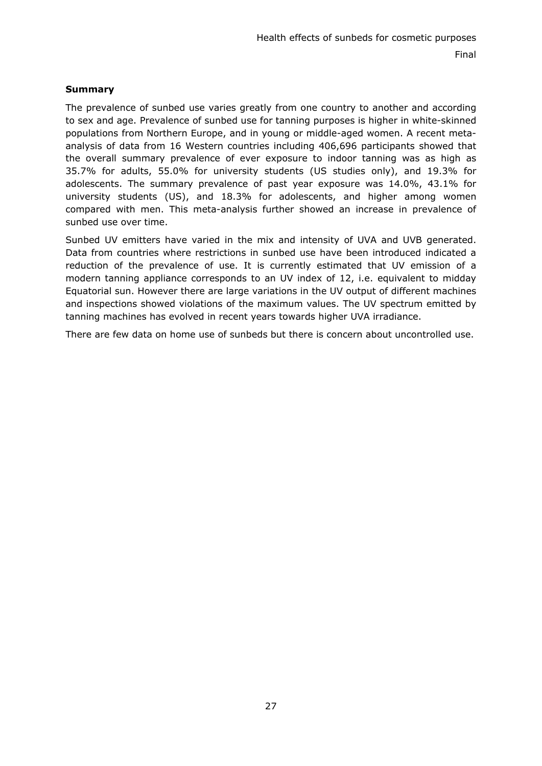# **Summary**

The prevalence of sunbed use varies greatly from one country to another and according to sex and age. Prevalence of sunbed use for tanning purposes is higher in white-skinned populations from Northern Europe, and in young or middle-aged women. A recent metaanalysis of data from 16 Western countries including 406,696 participants showed that the overall summary prevalence of ever exposure to indoor tanning was as high as 35.7% for adults, 55.0% for university students (US studies only), and 19.3% for adolescents. The summary prevalence of past year exposure was 14.0%, 43.1% for university students (US), and 18.3% for adolescents, and higher among women compared with men. This meta-analysis further showed an increase in prevalence of sunbed use over time.

Sunbed UV emitters have varied in the mix and intensity of UVA and UVB generated. Data from countries where restrictions in sunbed use have been introduced indicated a reduction of the prevalence of use. It is currently estimated that UV emission of a modern tanning appliance corresponds to an UV index of 12, i.e. equivalent to midday Equatorial sun. However there are large variations in the UV output of different machines and inspections showed violations of the maximum values. The UV spectrum emitted by tanning machines has evolved in recent years towards higher UVA irradiance.

There are few data on home use of sunbeds but there is concern about uncontrolled use.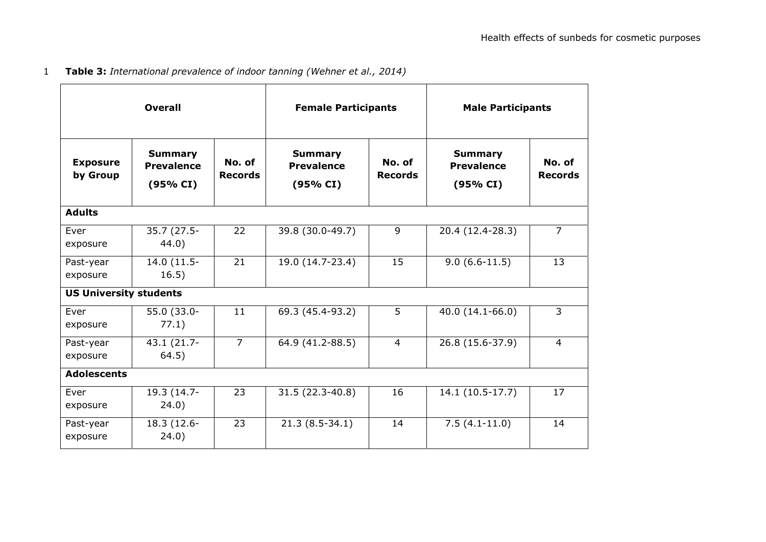1 **Table 3:** *International prevalence of indoor tanning (Wehner et al., 2014)*

| <b>Overall</b>                |                                                 | <b>Female Participants</b> |                                                 | <b>Male Participants</b> |                                                 |                          |
|-------------------------------|-------------------------------------------------|----------------------------|-------------------------------------------------|--------------------------|-------------------------------------------------|--------------------------|
| <b>Exposure</b><br>by Group   | <b>Summary</b><br><b>Prevalence</b><br>(95% CI) | No. of<br><b>Records</b>   | <b>Summary</b><br><b>Prevalence</b><br>(95% CI) | No. of<br><b>Records</b> | <b>Summary</b><br><b>Prevalence</b><br>(95% CI) | No. of<br><b>Records</b> |
| <b>Adults</b>                 |                                                 |                            |                                                 |                          |                                                 |                          |
| Ever<br>exposure              | 35.7 (27.5-<br>44.0)                            | 22                         | 39.8 (30.0-49.7)                                | 9                        | 20.4 (12.4-28.3)                                | $\overline{7}$           |
| Past-year<br>exposure         | 14.0 (11.5-<br>16.5)                            | 21                         | 19.0 (14.7-23.4)                                | 15                       | $9.0(6.6-11.5)$                                 | 13                       |
| <b>US University students</b> |                                                 |                            |                                                 |                          |                                                 |                          |
| Ever<br>exposure              | 55.0 (33.0-<br>77.1)                            | 11                         | 69.3 (45.4-93.2)                                | 5                        | 40.0 (14.1-66.0)                                | $\overline{3}$           |
| Past-year<br>exposure         | 43.1 (21.7-<br>64.5)                            | $\overline{7}$             | 64.9 (41.2-88.5)                                | $\overline{4}$           | 26.8 (15.6-37.9)                                | $\overline{4}$           |
| <b>Adolescents</b>            |                                                 |                            |                                                 |                          |                                                 |                          |
| Ever<br>exposure              | 19.3 (14.7-<br>24.0)                            | 23                         | 31.5 (22.3-40.8)                                | 16                       | $14.1(10.5-17.7)$                               | 17                       |
| Past-year<br>exposure         | 18.3 (12.6-<br>24.0)                            | 23                         | $21.3(8.5-34.1)$                                | 14                       | $7.5(4.1-11.0)$                                 | 14                       |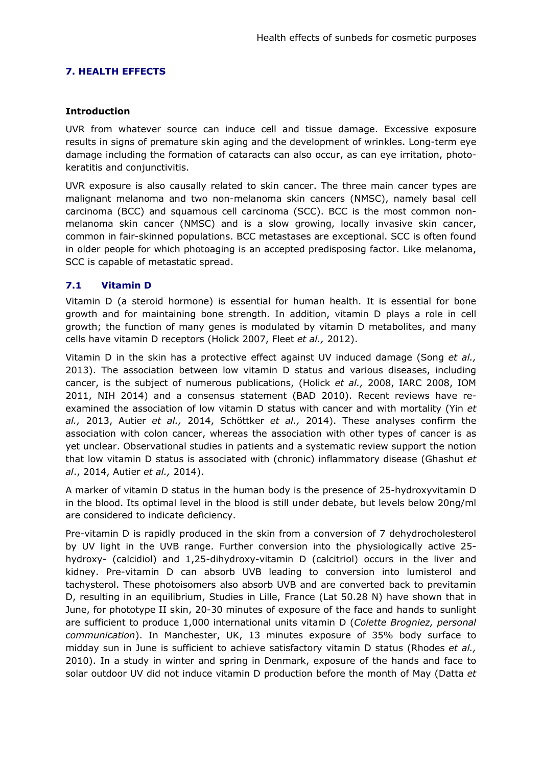# <span id="page-28-0"></span>**7. HEALTH EFFECTS**

## **Introduction**

UVR from whatever source can induce cell and tissue damage. Excessive exposure results in signs of premature skin aging and the development of wrinkles. Long-term eye damage including the formation of cataracts can also occur, as can eye irritation, photokeratitis and conjunctivitis.

UVR exposure is also causally related to skin cancer. The three main cancer types are malignant melanoma and two non-melanoma skin cancers (NMSC), namely basal cell carcinoma (BCC) and squamous cell carcinoma (SCC). BCC is the most common nonmelanoma skin cancer (NMSC) and is a slow growing, locally invasive skin cancer, common in fair-skinned populations. BCC metastases are exceptional. SCC is often found in older people for which photoaging is an accepted predisposing factor. Like melanoma, SCC is capable of metastatic spread.

# <span id="page-28-1"></span>**7.1 Vitamin D**

Vitamin D (a steroid hormone) is essential for human health. It is essential for bone growth and for maintaining bone strength. In addition, vitamin D plays a role in cell growth; the function of many genes is modulated by vitamin D metabolites, and many cells have vitamin D receptors (Holick 2007, Fleet *et al.,* 2012).

Vitamin D in the skin has a protective effect against UV induced damage (Song *et al.,* 2013). The association between low vitamin D status and various diseases, including cancer, is the subject of numerous publications, (Holick *et al.,* 2008, IARC 2008, IOM 2011, NIH 2014) and a consensus statement (BAD 2010). Recent reviews have reexamined the association of low vitamin D status with cancer and with mortality (Yin *et al.,* 2013, Autier *et al.,* 2014, Schöttker *et al.,* 2014). These analyses confirm the association with colon cancer, whereas the association with other types of cancer is as yet unclear. Observational studies in patients and a systematic review support the notion that low vitamin D status is associated with (chronic) inflammatory disease (Ghashut *et al*., 2014, Autier *et al.,* 2014).

A marker of vitamin D status in the human body is the presence of 25-hydroxyvitamin D in the blood. Its optimal level in the blood is still under debate, but levels below 20ng/ml are considered to indicate deficiency.

Pre-vitamin D is rapidly produced in the skin from a conversion of 7 dehydrocholesterol by UV light in the UVB range. Further conversion into the physiologically active 25 hydroxy- (calcidiol) and 1,25-dihydroxy-vitamin D (calcitriol) occurs in the liver and kidney. Pre-vitamin D can absorb UVB leading to conversion into lumisterol and tachysterol. These photoisomers also absorb UVB and are converted back to previtamin D, resulting in an equilibrium, Studies in Lille, France (Lat 50.28 N) have shown that in June, for phototype II skin, 20-30 minutes of exposure of the face and hands to sunlight are sufficient to produce 1,000 international units vitamin D (*Colette Brogniez, personal communication*). In Manchester, UK, 13 minutes exposure of 35% body surface to midday sun in June is sufficient to achieve satisfactory vitamin D status (Rhodes *et al.,* 2010). In a study in winter and spring in Denmark, exposure of the hands and face to solar outdoor UV did not induce vitamin D production before the month of May (Datta *et*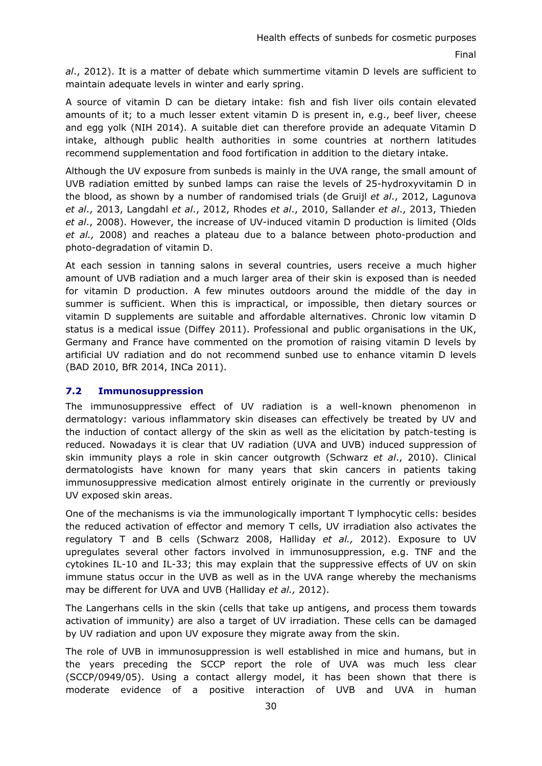*al*., 2012). It is a matter of debate which summertime vitamin D levels are sufficient to maintain adequate levels in winter and early spring.

A source of vitamin D can be dietary intake: fish and fish liver oils contain elevated amounts of it; to a much lesser extent vitamin D is present in, e.g., beef liver, cheese and egg yolk (NIH 2014). A suitable diet can therefore provide an adequate Vitamin D intake, although public health authorities in some countries at northern latitudes recommend supplementation and food fortification in addition to the dietary intake.

Although the UV exposure from sunbeds is mainly in the UVA range, the small amount of UVB radiation emitted by sunbed lamps can raise the levels of 25-hydroxyvitamin D in the blood, as shown by a number of randomised trials (de Gruijl *et al*., 2012, Lagunova *et al*., 2013, Langdahl *et al*., 2012, Rhodes *et al*., 2010, Sallander *et al*., 2013, Thieden *et al*., 2008). However, the increase of UV-induced vitamin D production is limited (Olds *et al.,* 2008) and reaches a plateau due to a balance between photo-production and photo-degradation of vitamin D.

At each session in tanning salons in several countries, users receive a much higher amount of UVB radiation and a much larger area of their skin is exposed than is needed for vitamin D production. A few minutes outdoors around the middle of the day in summer is sufficient. When this is impractical, or impossible, then dietary sources or vitamin D supplements are suitable and affordable alternatives. Chronic low vitamin D status is a medical issue (Diffey 2011). Professional and public organisations in the UK, Germany and France have commented on the promotion of raising vitamin D levels by artificial UV radiation and do not recommend sunbed use to enhance vitamin D levels (BAD 2010, BfR 2014, INCa 2011).

# <span id="page-29-0"></span>**7.2 Immunosuppression**

The immunosuppressive effect of UV radiation is a well-known phenomenon in dermatology: various inflammatory skin diseases can effectively be treated by UV and the induction of contact allergy of the skin as well as the elicitation by patch-testing is reduced. Nowadays it is clear that UV radiation (UVA and UVB) induced suppression of skin immunity plays a role in skin cancer outgrowth (Schwarz *et al*., 2010). Clinical dermatologists have known for many years that skin cancers in patients taking immunosuppressive medication almost entirely originate in the currently or previously UV exposed skin areas.

One of the mechanisms is via the immunologically important T lymphocytic cells: besides the reduced activation of effector and memory T cells, UV irradiation also activates the regulatory T and B cells (Schwarz 2008, Halliday *et al.,* 2012). Exposure to UV upregulates several other factors involved in immunosuppression, e.g. TNF and the cytokines IL-10 and IL-33; this may explain that the suppressive effects of UV on skin immune status occur in the UVB as well as in the UVA range whereby the mechanisms may be different for UVA and UVB (Halliday *et al.,* 2012).

The Langerhans cells in the skin (cells that take up antigens, and process them towards activation of immunity) are also a target of UV irradiation. These cells can be damaged by UV radiation and upon UV exposure they migrate away from the skin.

The role of UVB in immunosuppression is well established in mice and humans, but in the years preceding the SCCP report the role of UVA was much less clear (SCCP/0949/05). Using a contact allergy model, it has been shown that there is moderate evidence of a positive interaction of UVB and UVA in human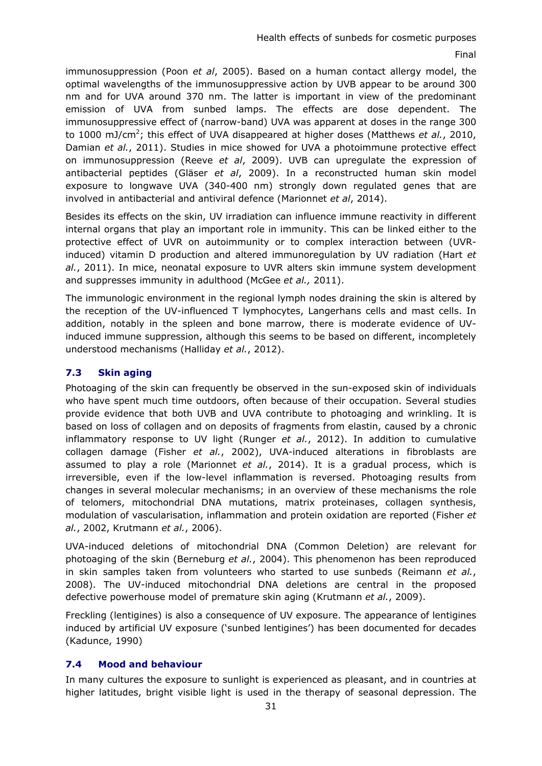immunosuppression (Poon *et al*, 2005). Based on a human contact allergy model, the optimal wavelengths of the immunosuppressive action by UVB appear to be around 300 nm and for UVA around 370 nm. The latter is important in view of the predominant emission of UVA from sunbed lamps. The effects are dose dependent. The immunosuppressive effect of (narrow-band) UVA was apparent at doses in the range 300 to 1000 mJ/cm<sup>2</sup>; this effect of UVA disappeared at higher doses (Matthews *et al.*, 2010, Damian *et al.*, 2011). Studies in mice showed for UVA a photoimmune protective effect on immunosuppression (Reeve *et al*, 2009). UVB can upregulate the expression of antibacterial peptides (Gläser *et al*, 2009). In a reconstructed human skin model exposure to longwave UVA (340-400 nm) strongly down regulated genes that are involved in antibacterial and antiviral defence (Marionnet *et al*, 2014).

Besides its effects on the skin, UV irradiation can influence immune reactivity in different internal organs that play an important role in immunity. This can be linked either to the protective effect of UVR on autoimmunity or to complex interaction between (UVRinduced) vitamin D production and altered immunoregulation by UV radiation (Hart *et al.*, 2011). In mice, neonatal exposure to UVR alters skin immune system development and suppresses immunity in adulthood (McGee *et al.,* 2011).

The immunologic environment in the regional lymph nodes draining the skin is altered by the reception of the UV-influenced T lymphocytes, Langerhans cells and mast cells. In addition, notably in the spleen and bone marrow, there is moderate evidence of UVinduced immune suppression, although this seems to be based on different, incompletely understood mechanisms (Halliday *et al.*, 2012).

# **7.3 Skin aging**

Photoaging of the skin can frequently be observed in the sun-exposed skin of individuals who have spent much time outdoors, often because of their occupation. Several studies provide evidence that both UVB and UVA contribute to photoaging and wrinkling. It is based on loss of collagen and on deposits of fragments from elastin, caused by a chronic inflammatory response to UV light (Runger *et al.*, 2012). In addition to cumulative collagen damage (Fisher *et al.*, 2002), UVA-induced alterations in fibroblasts are assumed to play a role (Marionnet *et al.*, 2014). It is a gradual process, which is irreversible, even if the low-level inflammation is reversed. Photoaging results from changes in several molecular mechanisms; in an overview of these mechanisms the role of telomers, mitochondrial DNA mutations, matrix proteinases, collagen synthesis, modulation of vascularisation, inflammation and protein oxidation are reported (Fisher *et al.*, 2002, Krutmann *et al.*, 2006).

UVA-induced deletions of mitochondrial DNA (Common Deletion) are relevant for photoaging of the skin (Berneburg *et al.*, 2004). This phenomenon has been reproduced in skin samples taken from volunteers who started to use sunbeds (Reimann *et al.*, 2008). The UV-induced mitochondrial DNA deletions are central in the proposed defective powerhouse model of premature skin aging (Krutmann *et al.*, 2009).

Freckling (lentigines) is also a consequence of UV exposure. The appearance of lentigines induced by artificial UV exposure ('sunbed lentigines') has been documented for decades (Kadunce, 1990)

# <span id="page-30-0"></span>**7.4 Mood and behaviour**

In many cultures the exposure to sunlight is experienced as pleasant, and in countries at higher latitudes, bright visible light is used in the therapy of seasonal depression. The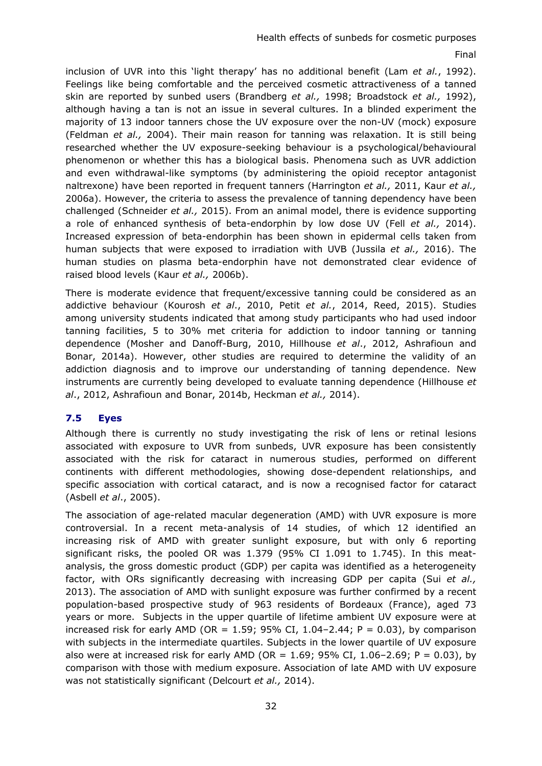inclusion of UVR into this 'light therapy' has no additional benefit (Lam *et al.*, 1992). Feelings like being comfortable and the perceived cosmetic attractiveness of a tanned skin are reported by sunbed users (Brandberg *et al.,* 1998; Broadstock *et al.,* 1992), although having a tan is not an issue in several cultures. In a blinded experiment the majority of 13 indoor tanners chose the UV exposure over the non-UV (mock) exposure (Feldman *et al.,* 2004). Their main reason for tanning was relaxation. It is still being researched whether the UV exposure-seeking behaviour is a psychological/behavioural phenomenon or whether this has a biological basis. Phenomena such as UVR addiction and even withdrawal-like symptoms (by administering the opioid receptor antagonist naltrexone) have been reported in frequent tanners (Harrington *et al.,* 2011, Kaur *et al.,*  2006a). However, the criteria to assess the prevalence of tanning dependency have been challenged (Schneider *et al.,* 2015). From an animal model, there is evidence supporting a role of enhanced synthesis of beta-endorphin by low dose UV (Fell *et al.,* 2014). Increased expression of beta-endorphin has been shown in epidermal cells taken from human subjects that were exposed to irradiation with UVB (Jussila *et al.,* 2016). The human studies on plasma beta-endorphin have not demonstrated clear evidence of raised blood levels (Kaur *et al.,* 2006b).

There is moderate evidence that frequent/excessive tanning could be considered as an addictive behaviour (Kourosh *et al*., 2010, Petit *et al.*, 2014, Reed, 2015). Studies among university students indicated that among study participants who had used indoor tanning facilities, 5 to 30% met criteria for addiction to indoor tanning or tanning dependence (Mosher and Danoff-Burg, 2010, Hillhouse *et al*., 2012, Ashrafioun and Bonar, 2014a). However, other studies are required to determine the validity of an addiction diagnosis and to improve our understanding of tanning dependence. New instruments are currently being developed to evaluate tanning dependence (Hillhouse *et al*., 2012, Ashrafioun and Bonar, 2014b, Heckman *et al.,* 2014).

# <span id="page-31-0"></span>**7.5 Eyes**

Although there is currently no study investigating the risk of lens or retinal lesions associated with exposure to UVR from sunbeds, UVR exposure has been consistently associated with the risk for cataract in numerous studies, performed on different continents with different methodologies, showing dose-dependent relationships, and specific association with cortical cataract, and is now a recognised factor for cataract (Asbell *et al*., 2005).

The association of age-related macular degeneration (AMD) with UVR exposure is more controversial. In a recent meta-analysis of 14 studies, of which 12 identified an increasing risk of AMD with greater sunlight exposure, but with only 6 reporting significant risks, the pooled OR was 1.379 (95% CI 1.091 to 1.745). In this meatanalysis, the gross domestic product (GDP) per capita was identified as a heterogeneity factor, with ORs significantly decreasing with increasing GDP per capita (Sui *et al.,* 2013). The association of AMD with sunlight exposure was further confirmed by a recent population-based prospective study of 963 residents of Bordeaux (France), aged 73 years or more. Subjects in the upper quartile of lifetime ambient UV exposure were at increased risk for early AMD (OR =  $1.59$ ; 95% CI, 1.04-2.44; P = 0.03), by comparison with subjects in the intermediate quartiles. Subjects in the lower quartile of UV exposure also were at increased risk for early AMD (OR =  $1.69$ ; 95% CI, 1.06-2.69; P = 0.03), by comparison with those with medium exposure. Association of late AMD with UV exposure was not statistically significant (Delcourt *et al.,* 2014).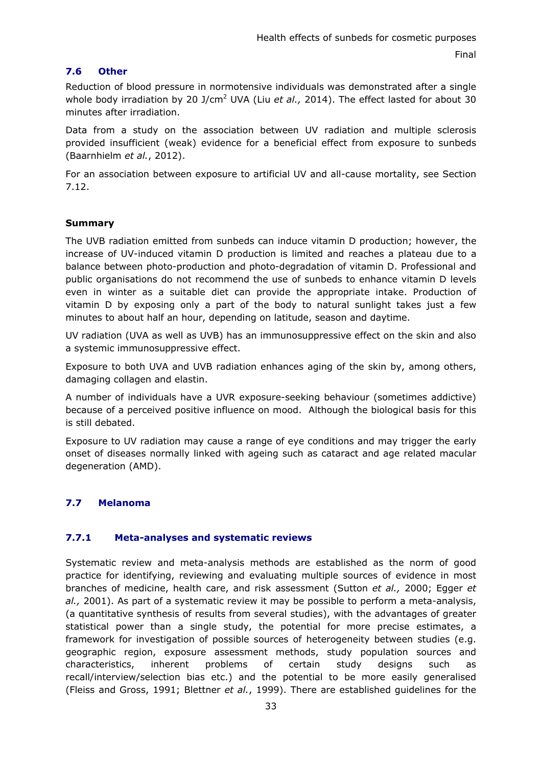# <span id="page-32-0"></span>**7.6 Other**

Reduction of blood pressure in normotensive individuals was demonstrated after a single whole body irradiation by 20 J/cm<sup>2</sup> UVA (Liu et al., 2014). The effect lasted for about 30 minutes after irradiation.

Data from a study on the association between UV radiation and multiple sclerosis provided insufficient (weak) evidence for a beneficial effect from exposure to sunbeds (Baarnhielm *et al.*, 2012).

For an association between exposure to artificial UV and all-cause mortality, see Section 7.12.

# **Summary**

The UVB radiation emitted from sunbeds can induce vitamin D production; however, the increase of UV-induced vitamin D production is limited and reaches a plateau due to a balance between photo-production and photo-degradation of vitamin D. Professional and public organisations do not recommend the use of sunbeds to enhance vitamin D levels even in winter as a suitable diet can provide the appropriate intake. Production of vitamin D by exposing only a part of the body to natural sunlight takes just a few minutes to about half an hour, depending on latitude, season and daytime.

UV radiation (UVA as well as UVB) has an immunosuppressive effect on the skin and also a systemic immunosuppressive effect.

Exposure to both UVA and UVB radiation enhances aging of the skin by, among others, damaging collagen and elastin.

A number of individuals have a UVR exposure-seeking behaviour (sometimes addictive) because of a perceived positive influence on mood. Although the biological basis for this is still debated.

Exposure to UV radiation may cause a range of eye conditions and may trigger the early onset of diseases normally linked with ageing such as cataract and age related macular degeneration (AMD).

# <span id="page-32-1"></span>**7.7 Melanoma**

# <span id="page-32-2"></span>**7.7.1 Meta-analyses and systematic reviews**

Systematic review and meta-analysis methods are established as the norm of good practice for identifying, reviewing and evaluating multiple sources of evidence in most branches of medicine, health care, and risk assessment (Sutton *et al.,* 2000; Egger *et al.,* 2001). As part of a systematic review it may be possible to perform a meta-analysis, (a quantitative synthesis of results from several studies), with the advantages of greater statistical power than a single study, the potential for more precise estimates, a framework for investigation of possible sources of heterogeneity between studies (e.g. geographic region, exposure assessment methods, study population sources and characteristics, inherent problems of certain study designs such as recall/interview/selection bias etc.) and the potential to be more easily generalised (Fleiss and Gross, 1991; Blettner *et al.*, 1999). There are established guidelines for the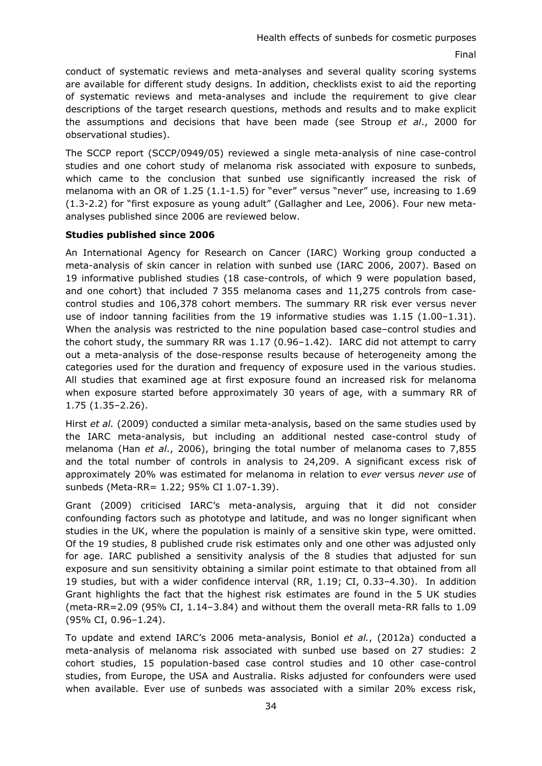conduct of systematic reviews and meta-analyses and several quality scoring systems are available for different study designs. In addition, checklists exist to aid the reporting of systematic reviews and meta-analyses and include the requirement to give clear descriptions of the target research questions, methods and results and to make explicit the assumptions and decisions that have been made (see Stroup *et al*., 2000 for observational studies).

The SCCP report (SCCP/0949/05) reviewed a single meta-analysis of nine case-control studies and one cohort study of melanoma risk associated with exposure to sunbeds, which came to the conclusion that sunbed use significantly increased the risk of melanoma with an OR of 1.25 (1.1-1.5) for "ever" versus "never" use, increasing to 1.69 (1.3-2.2) for "first exposure as young adult" (Gallagher and Lee, 2006). Four new metaanalyses published since 2006 are reviewed below.

#### **Studies published since 2006**

An International Agency for Research on Cancer (IARC) Working group conducted a meta-analysis of skin cancer in relation with sunbed use (IARC 2006, 2007). Based on 19 informative published studies (18 case-controls, of which 9 were population based, and one cohort) that included 7 355 melanoma cases and 11,275 controls from casecontrol studies and 106,378 cohort members. The summary RR risk ever versus never use of indoor tanning facilities from the 19 informative studies was  $1.15$  ( $1.00-1.31$ ). When the analysis was restricted to the nine population based case–control studies and the cohort study, the summary RR was 1.17 (0.96–1.42). IARC did not attempt to carry out a meta-analysis of the dose-response results because of heterogeneity among the categories used for the duration and frequency of exposure used in the various studies. All studies that examined age at first exposure found an increased risk for melanoma when exposure started before approximately 30 years of age, with a summary RR of 1.75 (1.35–2.26).

Hirst *et al.* (2009) conducted a similar meta-analysis, based on the same studies used by the IARC meta-analysis, but including an additional nested case-control study of melanoma (Han *et al*., 2006), bringing the total number of melanoma cases to 7,855 and the total number of controls in analysis to 24,209. A significant excess risk of approximately 20% was estimated for melanoma in relation to *ever* versus *never use* of sunbeds (Meta-RR= 1.22; 95% CI 1.07-1.39).

Grant (2009) criticised IARC's meta-analysis, arguing that it did not consider confounding factors such as phototype and latitude, and was no longer significant when studies in the UK, where the population is mainly of a sensitive skin type, were omitted. Of the 19 studies, 8 published crude risk estimates only and one other was adjusted only for age. IARC published a sensitivity analysis of the 8 studies that adjusted for sun exposure and sun sensitivity obtaining a similar point estimate to that obtained from all 19 studies, but with a wider confidence interval (RR, 1.19; CI, 0.33–4.30). In addition Grant highlights the fact that the highest risk estimates are found in the 5 UK studies (meta-RR=2.09 (95% CI, 1.14–3.84) and without them the overall meta-RR falls to 1.09 (95% CI, 0.96–1.24).

To update and extend IARC's 2006 meta-analysis, Boniol *et al.*, (2012a) conducted a meta-analysis of melanoma risk associated with sunbed use based on 27 studies: 2 cohort studies, 15 population-based case control studies and 10 other case-control studies, from Europe, the USA and Australia. Risks adjusted for confounders were used when available. Ever use of sunbeds was associated with a similar 20% excess risk,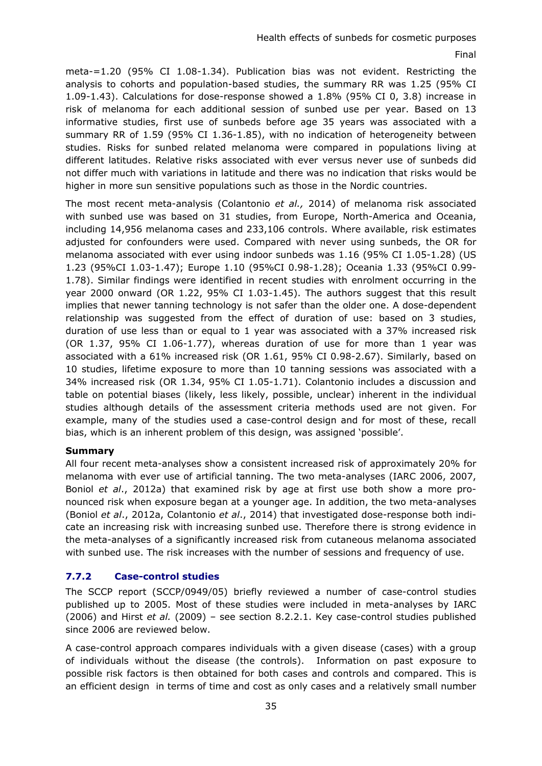meta-=1.20 (95% CI 1.08-1.34). Publication bias was not evident. Restricting the analysis to cohorts and population-based studies, the summary RR was 1.25 (95% CI 1.09-1.43). Calculations for dose-response showed a 1.8% (95% CI 0, 3.8) increase in risk of melanoma for each additional session of sunbed use per year. Based on 13 informative studies, first use of sunbeds before age 35 years was associated with a summary RR of 1.59 (95% CI 1.36-1.85), with no indication of heterogeneity between studies. Risks for sunbed related melanoma were compared in populations living at different latitudes. Relative risks associated with ever versus never use of sunbeds did not differ much with variations in latitude and there was no indication that risks would be higher in more sun sensitive populations such as those in the Nordic countries.

The most recent meta-analysis (Colantonio *et al.,* 2014) of melanoma risk associated with sunbed use was based on 31 studies, from Europe, North-America and Oceania, including 14,956 melanoma cases and 233,106 controls. Where available, risk estimates adjusted for confounders were used. Compared with never using sunbeds, the OR for melanoma associated with ever using indoor sunbeds was 1.16 (95% CI 1.05-1.28) (US 1.23 (95%CI 1.03-1.47); Europe 1.10 (95%CI 0.98-1.28); Oceania 1.33 (95%CI 0.99- 1.78). Similar findings were identified in recent studies with enrolment occurring in the year 2000 onward (OR 1.22, 95% CI 1.03-1.45). The authors suggest that this result implies that newer tanning technology is not safer than the older one. A dose-dependent relationship was suggested from the effect of duration of use: based on 3 studies, duration of use less than or equal to 1 year was associated with a 37% increased risk (OR 1.37, 95% CI 1.06-1.77), whereas duration of use for more than 1 year was associated with a 61% increased risk (OR 1.61, 95% CI 0.98-2.67). Similarly, based on 10 studies, lifetime exposure to more than 10 tanning sessions was associated with a 34% increased risk (OR 1.34, 95% CI 1.05-1.71). Colantonio includes a discussion and table on potential biases (likely, less likely, possible, unclear) inherent in the individual studies although details of the assessment criteria methods used are not given. For example, many of the studies used a case-control design and for most of these, recall bias, which is an inherent problem of this design, was assigned 'possible'.

#### **Summary**

All four recent meta-analyses show a consistent increased risk of approximately 20% for melanoma with ever use of artificial tanning. The two meta-analyses (IARC 2006, 2007, Boniol *et al*., 2012a) that examined risk by age at first use both show a more pronounced risk when exposure began at a younger age. In addition, the two meta-analyses (Boniol *et al*., 2012a, Colantonio *et al*., 2014) that investigated dose-response both indicate an increasing risk with increasing sunbed use. Therefore there is strong evidence in the meta-analyses of a significantly increased risk from cutaneous melanoma associated with sunbed use. The risk increases with the number of sessions and frequency of use.

# <span id="page-34-0"></span>**7.7.2 Case-control studies**

The SCCP report (SCCP/0949/05) briefly reviewed a number of case-control studies published up to 2005. Most of these studies were included in meta-analyses by IARC (2006) and Hirst *et al.* (2009) – see section 8.2.2.1. Key case-control studies published since 2006 are reviewed below.

A case-control approach compares individuals with a given disease (cases) with a group of individuals without the disease (the controls). Information on past exposure to possible risk factors is then obtained for both cases and controls and compared. This is an efficient design in terms of time and cost as only cases and a relatively small number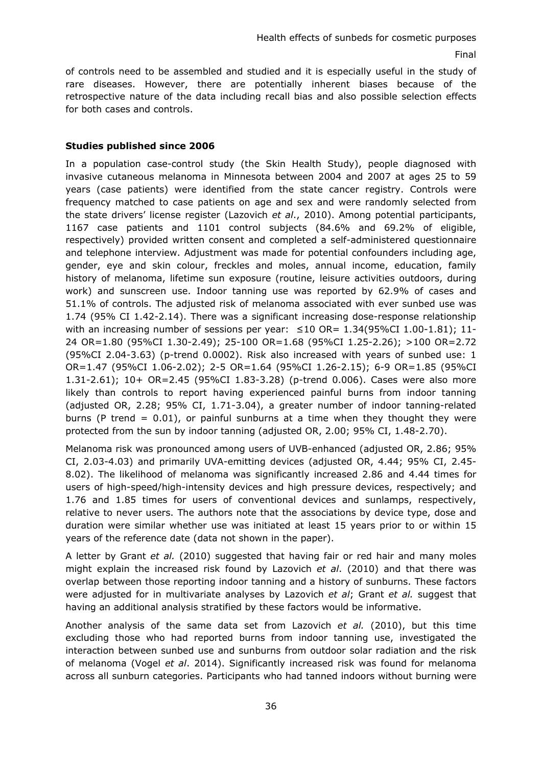of controls need to be assembled and studied and it is especially useful in the study of rare diseases. However, there are potentially inherent biases because of the retrospective nature of the data including recall bias and also possible selection effects for both cases and controls.

## **Studies published since 2006**

In a population case-control study (the Skin Health Study), people diagnosed with invasive cutaneous melanoma in Minnesota between 2004 and 2007 at ages 25 to 59 years (case patients) were identified from the state cancer registry. Controls were frequency matched to case patients on age and sex and were randomly selected from the state drivers' license register (Lazovich *et al*., 2010). Among potential participants, 1167 case patients and 1101 control subjects (84.6% and 69.2% of eligible, respectively) provided written consent and completed a self-administered questionnaire and telephone interview. Adjustment was made for potential confounders including age, gender, eye and skin colour, freckles and moles, annual income, education, family history of melanoma, lifetime sun exposure (routine, leisure activities outdoors, during work) and sunscreen use. Indoor tanning use was reported by 62.9% of cases and 51.1% of controls. The adjusted risk of melanoma associated with ever sunbed use was 1.74 (95% CI 1.42-2.14). There was a significant increasing dose-response relationship with an increasing number of sessions per year:  $\leq 10$  OR= 1.34(95%CI 1.00-1.81); 11-24 OR=1.80 (95%CI 1.30-2.49); 25-100 OR=1.68 (95%CI 1.25-2.26); >100 OR=2.72 (95%CI 2.04-3.63) (p-trend 0.0002). Risk also increased with years of sunbed use: 1 OR=1.47 (95%CI 1.06-2.02); 2-5 OR=1.64 (95%CI 1.26-2.15); 6-9 OR=1.85 (95%CI 1.31-2.61); 10+ OR=2.45 (95%CI 1.83-3.28) (p-trend 0.006). Cases were also more likely than controls to report having experienced painful burns from indoor tanning (adjusted OR, 2.28; 95% CI, 1.71-3.04), a greater number of indoor tanning-related burns (P trend  $= 0.01$ ), or painful sunburns at a time when they thought they were protected from the sun by indoor tanning (adjusted OR, 2.00; 95% CI, 1.48-2.70).

Melanoma risk was pronounced among users of UVB-enhanced (adjusted OR, 2.86; 95% CI, 2.03-4.03) and primarily UVA-emitting devices (adjusted OR, 4.44; 95% CI, 2.45- 8.02). The likelihood of melanoma was significantly increased 2.86 and 4.44 times for users of high-speed/high-intensity devices and high pressure devices, respectively; and 1.76 and 1.85 times for users of conventional devices and sunlamps, respectively, relative to never users. The authors note that the associations by device type, dose and duration were similar whether use was initiated at least 15 years prior to or within 15 years of the reference date (data not shown in the paper).

A letter by Grant *et al.* (2010) suggested that having fair or red hair and many moles might explain the increased risk found by Lazovich *et al*. (2010) and that there was overlap between those reporting indoor tanning and a history of sunburns. These factors were adjusted for in multivariate analyses by Lazovich *et al*; Grant *et al.* suggest that having an additional analysis stratified by these factors would be informative.

Another analysis of the same data set from Lazovich *et al.* (2010), but this time excluding those who had reported burns from indoor tanning use, investigated the interaction between sunbed use and sunburns from outdoor solar radiation and the risk of melanoma (Vogel *et al*. 2014). Significantly increased risk was found for melanoma across all sunburn categories. Participants who had tanned indoors without burning were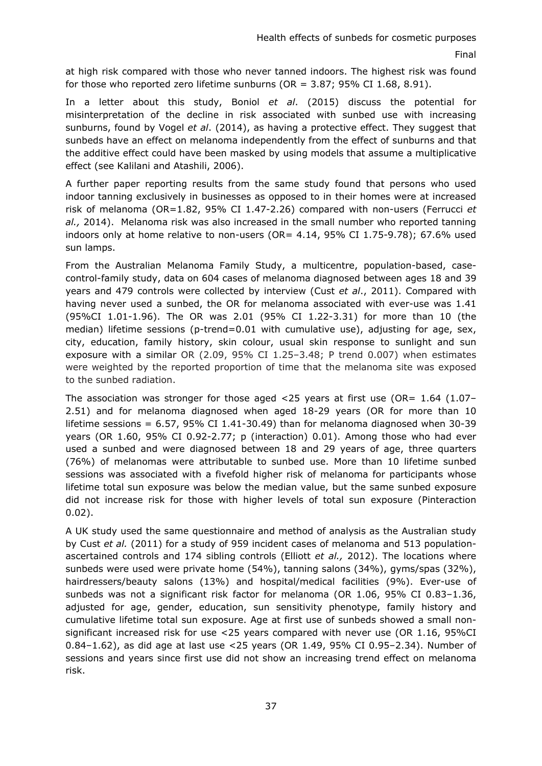at high risk compared with those who never tanned indoors. The highest risk was found for those who reported zero lifetime sunburns ( $OR = 3.87$ ; 95% CI 1.68, 8.91).

In a letter about this study, Boniol *et al*. (2015) discuss the potential for misinterpretation of the decline in risk associated with sunbed use with increasing sunburns, found by Vogel *et al*. (2014), as having a protective effect. They suggest that sunbeds have an effect on melanoma independently from the effect of sunburns and that the additive effect could have been masked by using models that assume a multiplicative effect (see Kalilani and Atashili, 2006).

A further paper reporting results from the same study found that persons who used indoor tanning exclusively in businesses as opposed to in their homes were at increased risk of melanoma (OR=1.82, 95% CI 1.47-2.26) compared with non-users (Ferrucci *et al.,* 2014). Melanoma risk was also increased in the small number who reported tanning indoors only at home relative to non-users (OR= 4.14, 95% CI 1.75-9.78); 67.6% used sun lamps.

From the Australian Melanoma Family Study, a multicentre, population-based, casecontrol-family study, data on 604 cases of melanoma diagnosed between ages 18 and 39 years and 479 controls were collected by interview (Cust *et al*., 2011). Compared with having never used a sunbed, the OR for melanoma associated with ever-use was 1.41 (95%CI 1.01-1.96). The OR was 2.01 (95% CI 1.22-3.31) for more than 10 (the median) lifetime sessions (p-trend=0.01 with cumulative use), adjusting for age, sex, city, education, family history, skin colour, usual skin response to sunlight and sun exposure with a similar OR (2.09, 95% CI 1.25–3.48; P trend 0.007) when estimates were weighted by the reported proportion of time that the melanoma site was exposed to the sunbed radiation.

The association was stronger for those aged  $<$ 25 years at first use (OR= 1.64 (1.07– 2.51) and for melanoma diagnosed when aged 18-29 years (OR for more than 10 lifetime sessions =  $6.57$ ,  $95\%$  CI  $1.41$ -30.49) than for melanoma diagnosed when 30-39 years (OR 1.60, 95% CI 0.92-2.77; p (interaction) 0.01). Among those who had ever used a sunbed and were diagnosed between 18 and 29 years of age, three quarters (76%) of melanomas were attributable to sunbed use. More than 10 lifetime sunbed sessions was associated with a fivefold higher risk of melanoma for participants whose lifetime total sun exposure was below the median value, but the same sunbed exposure did not increase risk for those with higher levels of total sun exposure (Pinteraction 0.02).

A UK study used the same questionnaire and method of analysis as the Australian study by Cust *et al.* (2011) for a study of 959 incident cases of melanoma and 513 populationascertained controls and 174 sibling controls (Elliott *et al.,* 2012). The locations where sunbeds were used were private home (54%), tanning salons (34%), gyms/spas (32%), hairdressers/beauty salons (13%) and hospital/medical facilities (9%). Ever-use of sunbeds was not a significant risk factor for melanoma (OR 1.06, 95% CI 0.83–1.36, adjusted for age, gender, education, sun sensitivity phenotype, family history and cumulative lifetime total sun exposure. Age at first use of sunbeds showed a small nonsignificant increased risk for use <25 years compared with never use (OR 1.16, 95%CI 0.84–1.62), as did age at last use <25 years (OR 1.49, 95% CI 0.95–2.34). Number of sessions and years since first use did not show an increasing trend effect on melanoma risk.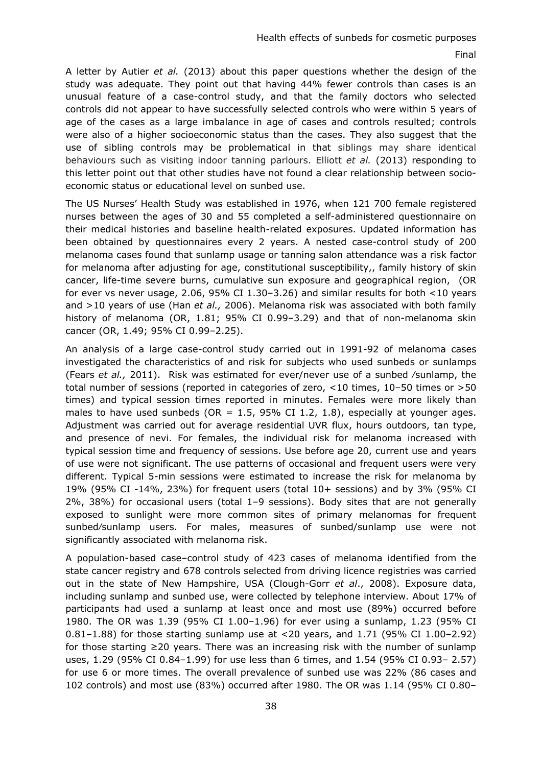A letter by Autier *et al.* (2013) about this paper questions whether the design of the study was adequate. They point out that having 44% fewer controls than cases is an unusual feature of a case-control study, and that the family doctors who selected controls did not appear to have successfully selected controls who were within 5 years of age of the cases as a large imbalance in age of cases and controls resulted; controls were also of a higher socioeconomic status than the cases. They also suggest that the use of sibling controls may be problematical in that siblings may share identical behaviours such as visiting indoor tanning parlours. Elliott *et al.* (2013) responding to this letter point out that other studies have not found a clear relationship between socioeconomic status or educational level on sunbed use.

The US Nurses' Health Study was established in 1976, when 121 700 female registered nurses between the ages of 30 and 55 completed a self-administered questionnaire on their medical histories and baseline health-related exposures. Updated information has been obtained by questionnaires every 2 years. A nested case-control study of 200 melanoma cases found that sunlamp usage or tanning salon attendance was a risk factor for melanoma after adjusting for age, constitutional susceptibility,, family history of skin cancer, life-time severe burns, cumulative sun exposure and geographical region, (OR for ever vs never usage, 2.06, 95% CI 1.30–3.26) and similar results for both <10 years and >10 years of use (Han *et al.,* 2006). Melanoma risk was associated with both family history of melanoma (OR, 1.81; 95% CI 0.99–3.29) and that of non-melanoma skin cancer (OR, 1.49; 95% CI 0.99–2.25).

An analysis of a large case-control study carried out in 1991-92 of melanoma cases investigated the characteristics of and risk for subjects who used sunbeds or sunlamps (Fears *et al.,* 2011). Risk was estimated for ever/never use of a sunbed ⁄sunlamp, the total number of sessions (reported in categories of zero, <10 times, 10–50 times or >50 times) and typical session times reported in minutes. Females were more likely than males to have used sunbeds (OR =  $1.5$ , 95% CI 1.2, 1.8), especially at younger ages. Adjustment was carried out for average residential UVR flux, hours outdoors, tan type, and presence of nevi. For females, the individual risk for melanoma increased with typical session time and frequency of sessions. Use before age 20, current use and years of use were not significant. The use patterns of occasional and frequent users were very different. Typical 5-min sessions were estimated to increase the risk for melanoma by 19% (95% CI -14%, 23%) for frequent users (total 10+ sessions) and by 3% (95% CI 2%, 38%) for occasional users (total 1–9 sessions). Body sites that are not generally exposed to sunlight were more common sites of primary melanomas for frequent sunbed⁄sunlamp users. For males, measures of sunbed/sunlamp use were not significantly associated with melanoma risk.

A population-based case–control study of 423 cases of melanoma identified from the state cancer registry and 678 controls selected from driving licence registries was carried out in the state of New Hampshire, USA (Clough-Gorr *et al*., 2008). Exposure data, including sunlamp and sunbed use, were collected by telephone interview. About 17% of participants had used a sunlamp at least once and most use (89%) occurred before 1980. The OR was 1.39 (95% CI 1.00–1.96) for ever using a sunlamp, 1.23 (95% CI 0.81–1.88) for those starting sunlamp use at <20 years, and 1.71 (95% CI 1.00–2.92) for those starting ≥20 years. There was an increasing risk with the number of sunlamp uses, 1.29 (95% CI 0.84–1.99) for use less than 6 times, and 1.54 (95% CI 0.93– 2.57) for use 6 or more times. The overall prevalence of sunbed use was 22% (86 cases and 102 controls) and most use (83%) occurred after 1980. The OR was 1.14 (95% CI 0.80–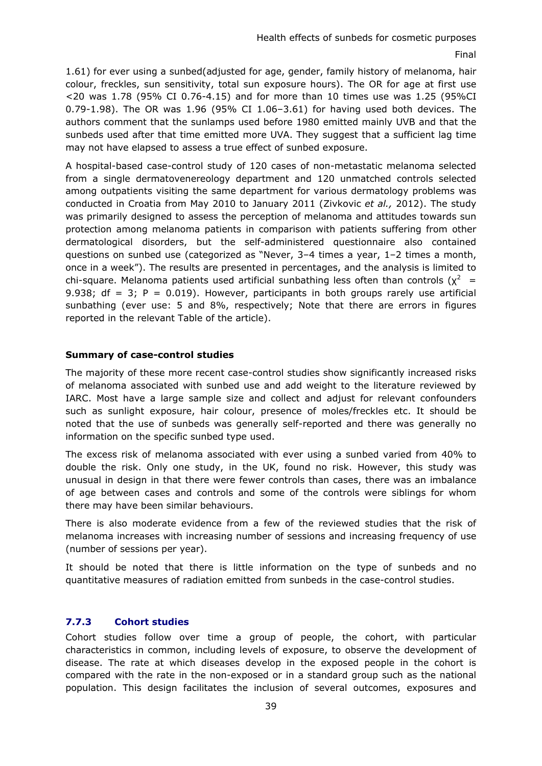1.61) for ever using a sunbed(adjusted for age, gender, family history of melanoma, hair colour, freckles, sun sensitivity, total sun exposure hours). The OR for age at first use <20 was 1.78 (95% CI 0.76-4.15) and for more than 10 times use was 1.25 (95%CI 0.79-1.98). The OR was 1.96 (95% CI 1.06–3.61) for having used both devices. The authors comment that the sunlamps used before 1980 emitted mainly UVB and that the sunbeds used after that time emitted more UVA. They suggest that a sufficient lag time may not have elapsed to assess a true effect of sunbed exposure.

A hospital-based case-control study of 120 cases of non-metastatic melanoma selected from a single dermatovenereology department and 120 unmatched controls selected among outpatients visiting the same department for various dermatology problems was conducted in Croatia from May 2010 to January 2011 (Zivkovic *et al.,* 2012). The study was primarily designed to assess the perception of melanoma and attitudes towards sun protection among melanoma patients in comparison with patients suffering from other dermatological disorders, but the self-administered questionnaire also contained questions on sunbed use (categorized as "Never, 3–4 times a year, 1–2 times a month, once in a week"). The results are presented in percentages, and the analysis is limited to chi-square. Melanoma patients used artificial sunbathing less often than controls ( $\chi^2$  = 9.938; df = 3;  $P = 0.019$ ). However, participants in both groups rarely use artificial sunbathing (ever use: 5 and 8%, respectively; Note that there are errors in figures reported in the relevant Table of the article).

### **Summary of case-control studies**

The majority of these more recent case-control studies show significantly increased risks of melanoma associated with sunbed use and add weight to the literature reviewed by IARC. Most have a large sample size and collect and adjust for relevant confounders such as sunlight exposure, hair colour, presence of moles/freckles etc. It should be noted that the use of sunbeds was generally self-reported and there was generally no information on the specific sunbed type used.

The excess risk of melanoma associated with ever using a sunbed varied from 40% to double the risk. Only one study, in the UK, found no risk. However, this study was unusual in design in that there were fewer controls than cases, there was an imbalance of age between cases and controls and some of the controls were siblings for whom there may have been similar behaviours.

There is also moderate evidence from a few of the reviewed studies that the risk of melanoma increases with increasing number of sessions and increasing frequency of use (number of sessions per year).

It should be noted that there is little information on the type of sunbeds and no quantitative measures of radiation emitted from sunbeds in the case-control studies.

# **7.7.3 Cohort studies**

Cohort studies follow over time a group of people, the cohort, with particular characteristics in common, including levels of exposure, to observe the development of disease. The rate at which diseases develop in the exposed people in the cohort is compared with the rate in the non-exposed or in a standard group such as the national population. This design facilitates the inclusion of several outcomes, exposures and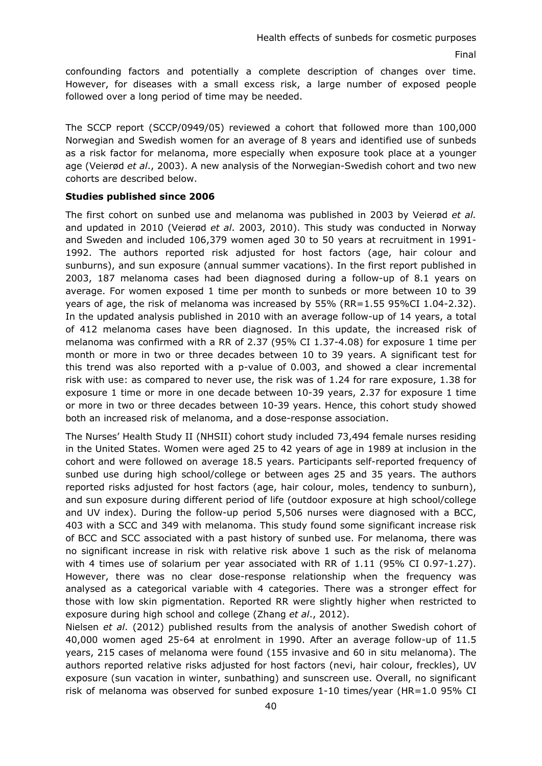confounding factors and potentially a complete description of changes over time. However, for diseases with a small excess risk, a large number of exposed people followed over a long period of time may be needed.

The SCCP report (SCCP/0949/05) reviewed a cohort that followed more than 100,000 Norwegian and Swedish women for an average of 8 years and identified use of sunbeds as a risk factor for melanoma, more especially when exposure took place at a younger age (Veierød *et al*., 2003). A new analysis of the Norwegian-Swedish cohort and two new cohorts are described below.

### **Studies published since 2006**

The first cohort on sunbed use and melanoma was published in 2003 by Veierød *et al.* and updated in 2010 (Veierød *et al*. 2003, 2010). This study was conducted in Norway and Sweden and included 106,379 women aged 30 to 50 years at recruitment in 1991- 1992. The authors reported risk adjusted for host factors (age, hair colour and sunburns), and sun exposure (annual summer vacations). In the first report published in 2003, 187 melanoma cases had been diagnosed during a follow-up of 8.1 years on average. For women exposed 1 time per month to sunbeds or more between 10 to 39 years of age, the risk of melanoma was increased by 55% (RR=1.55 95%CI 1.04-2.32). In the updated analysis published in 2010 with an average follow-up of 14 years, a total of 412 melanoma cases have been diagnosed. In this update, the increased risk of melanoma was confirmed with a RR of 2.37 (95% CI 1.37-4.08) for exposure 1 time per month or more in two or three decades between 10 to 39 years. A significant test for this trend was also reported with a p-value of 0.003, and showed a clear incremental risk with use: as compared to never use, the risk was of 1.24 for rare exposure, 1.38 for exposure 1 time or more in one decade between 10-39 years, 2.37 for exposure 1 time or more in two or three decades between 10-39 years. Hence, this cohort study showed both an increased risk of melanoma, and a dose-response association.

The Nurses' Health Study II (NHSII) cohort study included 73,494 female nurses residing in the United States. Women were aged 25 to 42 years of age in 1989 at inclusion in the cohort and were followed on average 18.5 years. Participants self-reported frequency of sunbed use during high school/college or between ages 25 and 35 years. The authors reported risks adjusted for host factors (age, hair colour, moles, tendency to sunburn), and sun exposure during different period of life (outdoor exposure at high school/college and UV index). During the follow-up period 5,506 nurses were diagnosed with a BCC, 403 with a SCC and 349 with melanoma. This study found some significant increase risk of BCC and SCC associated with a past history of sunbed use. For melanoma, there was no significant increase in risk with relative risk above 1 such as the risk of melanoma with 4 times use of solarium per year associated with RR of 1.11 (95% CI 0.97-1.27). However, there was no clear dose-response relationship when the frequency was analysed as a categorical variable with 4 categories. There was a stronger effect for those with low skin pigmentation. Reported RR were slightly higher when restricted to exposure during high school and college (Zhang *et al*., 2012).

Nielsen *et al*. (2012) published results from the analysis of another Swedish cohort of 40,000 women aged 25-64 at enrolment in 1990. After an average follow-up of 11.5 years, 215 cases of melanoma were found (155 invasive and 60 in situ melanoma). The authors reported relative risks adjusted for host factors (nevi, hair colour, freckles), UV exposure (sun vacation in winter, sunbathing) and sunscreen use. Overall, no significant risk of melanoma was observed for sunbed exposure 1-10 times/year (HR=1.0 95% CI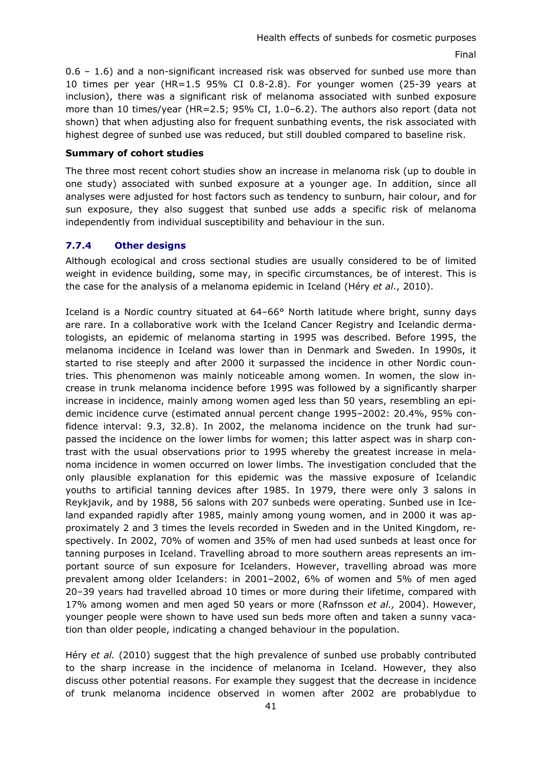0.6 – 1.6) and a non-significant increased risk was observed for sunbed use more than 10 times per year (HR=1.5 95% CI 0.8-2.8). For younger women (25-39 years at inclusion), there was a significant risk of melanoma associated with sunbed exposure more than 10 times/year (HR=2.5; 95% CI, 1.0–6.2). The authors also report (data not shown) that when adjusting also for frequent sunbathing events, the risk associated with highest degree of sunbed use was reduced, but still doubled compared to baseline risk.

### **Summary of cohort studies**

The three most recent cohort studies show an increase in melanoma risk (up to double in one study) associated with sunbed exposure at a younger age. In addition, since all analyses were adjusted for host factors such as tendency to sunburn, hair colour, and for sun exposure, they also suggest that sunbed use adds a specific risk of melanoma independently from individual susceptibility and behaviour in the sun.

# **7.7.4 Other designs**

Although ecological and cross sectional studies are usually considered to be of limited weight in evidence building, some may, in specific circumstances, be of interest. This is the case for the analysis of a melanoma epidemic in Iceland (Héry *et al*., 2010).

Iceland is a Nordic country situated at 64–66° North latitude where bright, sunny days are rare. In a collaborative work with the Iceland Cancer Registry and Icelandic dermatologists, an epidemic of melanoma starting in 1995 was described. Before 1995, the melanoma incidence in Iceland was lower than in Denmark and Sweden. In 1990s, it started to rise steeply and after 2000 it surpassed the incidence in other Nordic countries. This phenomenon was mainly noticeable among women. In women, the slow increase in trunk melanoma incidence before 1995 was followed by a significantly sharper increase in incidence, mainly among women aged less than 50 years, resembling an epidemic incidence curve (estimated annual percent change 1995–2002: 20.4%, 95% confidence interval: 9.3, 32.8). In 2002, the melanoma incidence on the trunk had surpassed the incidence on the lower limbs for women; this latter aspect was in sharp contrast with the usual observations prior to 1995 whereby the greatest increase in melanoma incidence in women occurred on lower limbs. The investigation concluded that the only plausible explanation for this epidemic was the massive exposure of Icelandic youths to artificial tanning devices after 1985. In 1979, there were only 3 salons in Reykjavik, and by 1988, 56 salons with 207 sunbeds were operating. Sunbed use in Iceland expanded rapidly after 1985, mainly among young women, and in 2000 it was approximately 2 and 3 times the levels recorded in Sweden and in the United Kingdom, respectively. In 2002, 70% of women and 35% of men had used sunbeds at least once for tanning purposes in Iceland. Travelling abroad to more southern areas represents an important source of sun exposure for Icelanders. However, travelling abroad was more prevalent among older Icelanders: in 2001–2002, 6% of women and 5% of men aged 20–39 years had travelled abroad 10 times or more during their lifetime, compared with 17% among women and men aged 50 years or more (Rafnsson *et al.,* 2004). However, younger people were shown to have used sun beds more often and taken a sunny vacation than older people, indicating a changed behaviour in the population.

Héry *et al.* (2010) suggest that the high prevalence of sunbed use probably contributed to the sharp increase in the incidence of melanoma in Iceland. However, they also discuss other potential reasons. For example they suggest that the decrease in incidence of trunk melanoma incidence observed in women after 2002 are probablydue to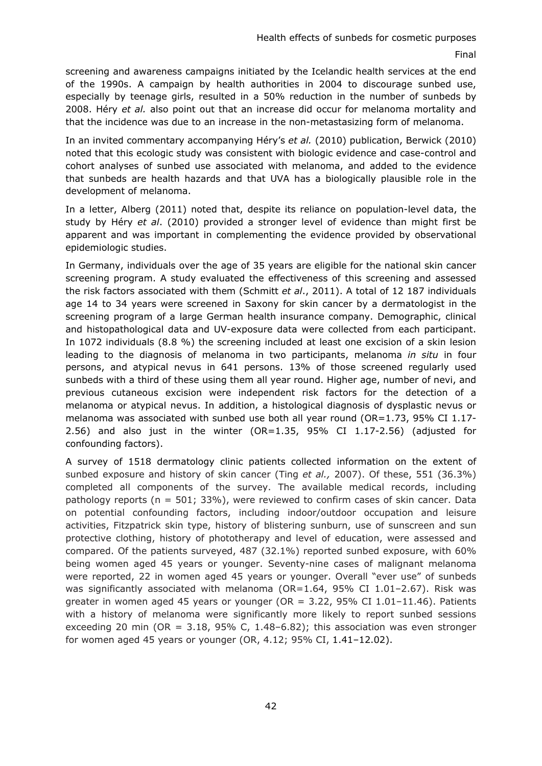screening and awareness campaigns initiated by the Icelandic health services at the end of the 1990s. A campaign by health authorities in 2004 to discourage sunbed use, especially by teenage girls, resulted in a 50% reduction in the number of sunbeds by 2008. Héry *et al.* also point out that an increase did occur for melanoma mortality and that the incidence was due to an increase in the non-metastasizing form of melanoma.

In an invited commentary accompanying Héry's *et al.* (2010) publication, Berwick (2010) noted that this ecologic study was consistent with biologic evidence and case-control and cohort analyses of sunbed use associated with melanoma, and added to the evidence that sunbeds are health hazards and that UVA has a biologically plausible role in the development of melanoma.

In a letter, Alberg (2011) noted that, despite its reliance on population-level data, the study by Héry *et al*. (2010) provided a stronger level of evidence than might first be apparent and was important in complementing the evidence provided by observational epidemiologic studies.

In Germany, individuals over the age of 35 years are eligible for the national skin cancer screening program. A study evaluated the effectiveness of this screening and assessed the risk factors associated with them (Schmitt *et al*., 2011). A total of 12 187 individuals age 14 to 34 years were screened in Saxony for skin cancer by a dermatologist in the screening program of a large German health insurance company. Demographic, clinical and histopathological data and UV-exposure data were collected from each participant. In 1072 individuals (8.8 %) the screening included at least one excision of a skin lesion leading to the diagnosis of melanoma in two participants, melanoma *in situ* in four persons, and atypical nevus in 641 persons. 13% of those screened regularly used sunbeds with a third of these using them all year round. Higher age, number of nevi, and previous cutaneous excision were independent risk factors for the detection of a melanoma or atypical nevus. In addition, a histological diagnosis of dysplastic nevus or melanoma was associated with sunbed use both all year round (OR=1.73, 95% CI 1.17- 2.56) and also just in the winter (OR=1.35, 95% CI 1.17-2.56) (adjusted for confounding factors).

A survey of 1518 dermatology clinic patients collected information on the extent of sunbed exposure and history of skin cancer (Ting *et al.,* 2007). Of these, 551 (36.3%) completed all components of the survey. The available medical records, including pathology reports ( $n = 501$ ; 33%), were reviewed to confirm cases of skin cancer. Data on potential confounding factors, including indoor/outdoor occupation and leisure activities, Fitzpatrick skin type, history of blistering sunburn, use of sunscreen and sun protective clothing, history of phototherapy and level of education, were assessed and compared. Of the patients surveyed, 487 (32.1%) reported sunbed exposure, with 60% being women aged 45 years or younger. Seventy-nine cases of malignant melanoma were reported, 22 in women aged 45 years or younger. Overall "ever use" of sunbeds was significantly associated with melanoma ( $OR=1.64$ ,  $95%$  CI 1.01-2.67). Risk was greater in women aged 45 years or younger (OR =  $3.22$ , 95% CI 1.01-11.46). Patients with a history of melanoma were significantly more likely to report sunbed sessions exceeding 20 min (OR =  $3.18$ , 95% C, 1.48-6.82); this association was even stronger for women aged 45 years or younger (OR, 4.12; 95% CI, 1.41–12.02).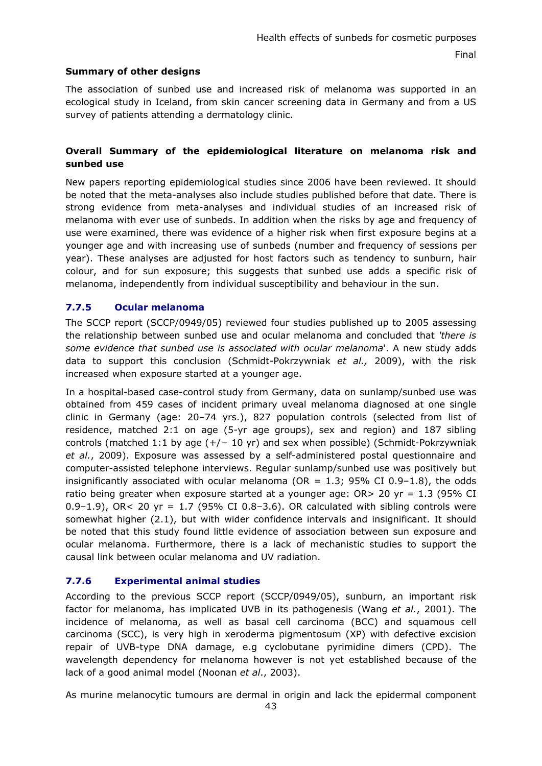# **Summary of other designs**

The association of sunbed use and increased risk of melanoma was supported in an ecological study in Iceland, from skin cancer screening data in Germany and from a US survey of patients attending a dermatology clinic.

# **Overall Summary of the epidemiological literature on melanoma risk and sunbed use**

New papers reporting epidemiological studies since 2006 have been reviewed. It should be noted that the meta-analyses also include studies published before that date. There is strong evidence from meta-analyses and individual studies of an increased risk of melanoma with ever use of sunbeds. In addition when the risks by age and frequency of use were examined, there was evidence of a higher risk when first exposure begins at a younger age and with increasing use of sunbeds (number and frequency of sessions per year). These analyses are adjusted for host factors such as tendency to sunburn, hair colour, and for sun exposure; this suggests that sunbed use adds a specific risk of melanoma, independently from individual susceptibility and behaviour in the sun.

# **7.7.5 Ocular melanoma**

The SCCP report (SCCP/0949/05) reviewed four studies published up to 2005 assessing the relationship between sunbed use and ocular melanoma and concluded that *'there is some evidence that sunbed use is associated with ocular melanoma*'. A new study adds data to support this conclusion (Schmidt-Pokrzywniak *et al.,* 2009), with the risk increased when exposure started at a younger age.

In a hospital-based case-control study from Germany, data on sunlamp/sunbed use was obtained from 459 cases of incident primary uveal melanoma diagnosed at one single clinic in Germany (age: 20–74 yrs.), 827 population controls (selected from list of residence, matched 2:1 on age (5-yr age groups), sex and region) and 187 sibling controls (matched 1:1 by age  $(+/- 10 \text{ yr})$  and sex when possible) (Schmidt-Pokrzywniak *et al.*, 2009). Exposure was assessed by a self-administered postal questionnaire and computer-assisted telephone interviews. Regular sunlamp/sunbed use was positively but insignificantly associated with ocular melanoma (OR =  $1.3$ ; 95% CI 0.9-1.8), the odds ratio being greater when exposure started at a younger age:  $OR > 20$  yr = 1.3 (95% CI 0.9–1.9), OR< 20 yr = 1.7 (95% CI 0.8–3.6). OR calculated with sibling controls were somewhat higher (2.1), but with wider confidence intervals and insignificant. It should be noted that this study found little evidence of association between sun exposure and ocular melanoma. Furthermore, there is a lack of mechanistic studies to support the causal link between ocular melanoma and UV radiation.

# **7.7.6 Experimental animal studies**

According to the previous SCCP report (SCCP/0949/05), sunburn, an important risk factor for melanoma, has implicated UVB in its pathogenesis (Wang *et al.*, 2001). The incidence of melanoma, as well as basal cell carcinoma (BCC) and squamous cell carcinoma (SCC), is very high in xeroderma pigmentosum (XP) with defective excision repair of UVB-type DNA damage, e.g cyclobutane pyrimidine dimers (CPD). The wavelength dependency for melanoma however is not yet established because of the lack of a good animal model (Noonan *et al*., 2003).

As murine melanocytic tumours are dermal in origin and lack the epidermal component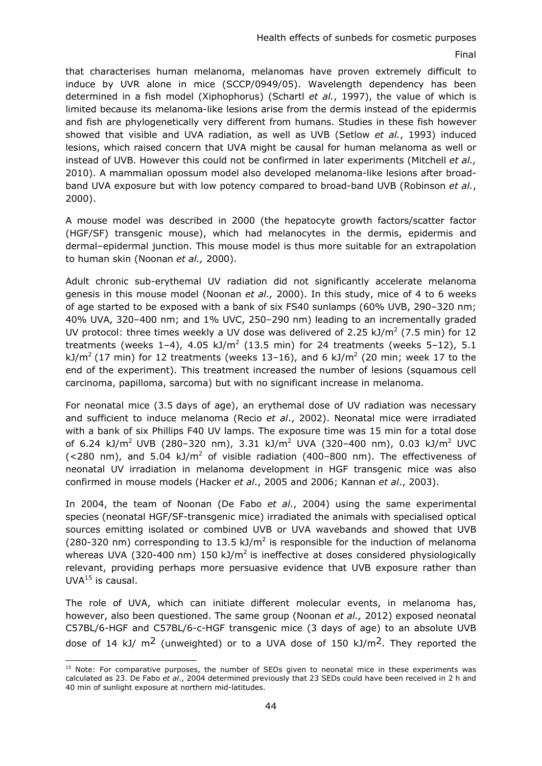that characterises human melanoma, melanomas have proven extremely difficult to induce by UVR alone in mice (SCCP/0949/05). Wavelength dependency has been determined in a fish model (Xiphophorus) (Schartl *et al.*, 1997), the value of which is limited because its melanoma-like lesions arise from the dermis instead of the epidermis and fish are phylogenetically very different from humans. Studies in these fish however showed that visible and UVA radiation, as well as UVB (Setlow *et al.*, 1993) induced lesions, which raised concern that UVA might be causal for human melanoma as well or instead of UVB. However this could not be confirmed in later experiments (Mitchell *et al.,* 2010). A mammalian opossum model also developed melanoma-like lesions after broadband UVA exposure but with low potency compared to broad-band UVB (Robinson *et al.*, 2000).

A mouse model was described in 2000 (the hepatocyte growth factors/scatter factor (HGF/SF) transgenic mouse), which had melanocytes in the dermis, epidermis and dermal–epidermal junction. This mouse model is thus more suitable for an extrapolation to human skin (Noonan *et al.,* 2000).

Adult chronic sub-erythemal UV radiation did not significantly accelerate melanoma genesis in this mouse model (Noonan *et al.,* 2000). In this study, mice of 4 to 6 weeks of age started to be exposed with a bank of six FS40 sunlamps (60% UVB, 290–320 nm; 40% UVA, 320–400 nm; and 1% UVC, 250–290 nm) leading to an incrementally graded UV protocol: three times weekly a UV dose was delivered of 2.25 kJ/ $m^2$  (7.5 min) for 12 treatments (weeks 1-4), 4.05 kJ/m<sup>2</sup> (13.5 min) for 24 treatments (weeks 5-12), 5.1 kJ/m<sup>2</sup> (17 min) for 12 treatments (weeks 13–16), and 6 kJ/m<sup>2</sup> (20 min; week 17 to the end of the experiment). This treatment increased the number of lesions (squamous cell carcinoma, papilloma, sarcoma) but with no significant increase in melanoma.

For neonatal mice (3.5 days of age), an erythemal dose of UV radiation was necessary and sufficient to induce melanoma (Recio *et al*., 2002). Neonatal mice were irradiated with a bank of six Phillips F40 UV lamps. The exposure time was 15 min for a total dose of 6.24 kJ/m<sup>2</sup> UVB (280-320 nm), 3.31 kJ/m<sup>2</sup> UVA (320-400 nm), 0.03 kJ/m<sup>2</sup> UVC (<280 nm), and 5.04 kJ/m<sup>2</sup> of visible radiation (400–800 nm). The effectiveness of neonatal UV irradiation in melanoma development in HGF transgenic mice was also confirmed in mouse models (Hacker *et al*., 2005 and 2006; Kannan *et al*., 2003).

In 2004, the team of Noonan (De Fabo *et al*., 2004) using the same experimental species (neonatal HGF/SF-transgenic mice) irradiated the animals with specialised optical sources emitting isolated or combined UVB or UVA wavebands and showed that UVB (280-320 nm) corresponding to 13.5 kJ/m<sup>2</sup> is responsible for the induction of melanoma whereas UVA (320-400 nm) 150 kJ/m<sup>2</sup> is ineffective at doses considered physiologically relevant, providing perhaps more persuasive evidence that UVB exposure rather than  $UVA<sup>15</sup>$  is causal.

The role of UVA, which can initiate different molecular events, in melanoma has, however, also been questioned. The same group (Noonan *et al.,* 2012) exposed neonatal C57BL/6-HGF and C57BL/6-c-HGF transgenic mice (3 days of age) to an absolute UVB dose of 14 kJ/  $m^2$  (unweighted) or to a UVA dose of 150 kJ/ $m^2$ . They reported the

<sup>-</sup><sup>15</sup> Note: For comparative purposes, the number of SEDs given to neonatal mice in these experiments was calculated as 23. De Fabo *et al*., 2004 determined previously that 23 SEDs could have been received in 2 h and 40 min of sunlight exposure at northern mid-latitudes.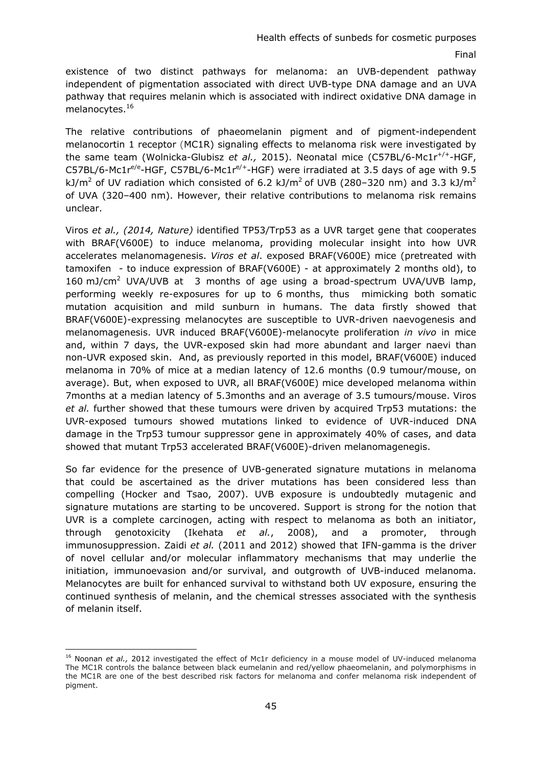existence of two distinct pathways for melanoma: an UVB-dependent pathway independent of pigmentation associated with direct UVB-type DNA damage and an UVA pathway that requires melanin which is associated with indirect oxidative DNA damage in melanocytes.16

The relative contributions of phaeomelanin pigment and of pigment-independent melanocortin 1 receptor (MC1R) signaling effects to melanoma risk were investigated by the same team (Wolnicka-Glubisz *et al.,* 2015). Neonatal mice (C57BL/6-Mc1r+/+-HGF, C57BL/6-Mc1 $r^{e/e}$ -HGF, C57BL/6-Mc1 $r^{e/+}$ -HGF) were irradiated at 3.5 days of age with 9.5 kJ/m<sup>2</sup> of UV radiation which consisted of 6.2 kJ/m<sup>2</sup> of UVB (280-320 nm) and 3.3 kJ/m<sup>2</sup> of UVA (320–400 nm). However, their relative contributions to melanoma risk remains unclear.

Viros *et al., (2014, Nature)* identified TP53/Trp53 as a UVR target gene that cooperates with BRAF(V600E) to induce melanoma, providing molecular insight into how UVR accelerates melanomagenesis. *Viros et al*. exposed BRAF(V600E) mice (pretreated with tamoxifen - to induce expression of BRAF(V600E) - at approximately 2 months old), to 160 mJ/cm<sup>2</sup> UVA/UVB at 3 months of age using a broad-spectrum UVA/UVB lamp, performing weekly re-exposures for up to 6 months, thus mimicking both somatic mutation acquisition and mild sunburn in humans. The data firstly showed that BRAF(V600E)-expressing melanocytes are susceptible to UVR-driven naevogenesis and melanomagenesis. UVR induced BRAF(V600E)-melanocyte proliferation *in vivo* in mice and, within 7 days, the UVR-exposed skin had more abundant and larger naevi than non-UVR exposed skin. And, as previously reported in this model, BRAF(V600E) induced melanoma in 70% of mice at a median latency of 12.6 months (0.9 tumour/mouse, on average). But, when exposed to UVR, all BRAF(V600E) mice developed melanoma within 7months at a median latency of 5.3months and an average of 3.5 tumours/mouse. Viros *et al.* further showed that these tumours were driven by acquired Trp53 mutations: the UVR-exposed tumours showed mutations linked to evidence of UVR-induced DNA damage in the Trp53 tumour suppressor gene in approximately 40% of cases, and data showed that mutant Trp53 accelerated BRAF(V600E)-driven melanomagenegis.

So far evidence for the presence of UVB-generated signature mutations in melanoma that could be ascertained as the driver mutations has been considered less than compelling (Hocker and Tsao, 2007). UVB exposure is undoubtedly mutagenic and signature mutations are starting to be uncovered. Support is strong for the notion that UVR is a complete carcinogen, acting with respect to melanoma as both an initiator, through genotoxicity (Ikehata *et al.*, 2008), and a promoter, through immunosuppression. Zaidi *et al.* (2011 and 2012) showed that IFN-gamma is the driver of novel cellular and/or molecular inflammatory mechanisms that may underlie the initiation, immunoevasion and/or survival, and outgrowth of UVB-induced melanoma. Melanocytes are built for enhanced survival to withstand both UV exposure, ensuring the continued synthesis of melanin, and the chemical stresses associated with the synthesis of melanin itself.

-

<sup>&</sup>lt;sup>16</sup> Noonan et al., 2012 investigated the effect of Mc1r deficiency in a mouse model of UV-induced melanoma The MC1R controls the balance between black eumelanin and red/yellow phaeomelanin, and polymorphisms in the MC1R are one of the best described risk factors for melanoma and confer melanoma risk independent of pigment.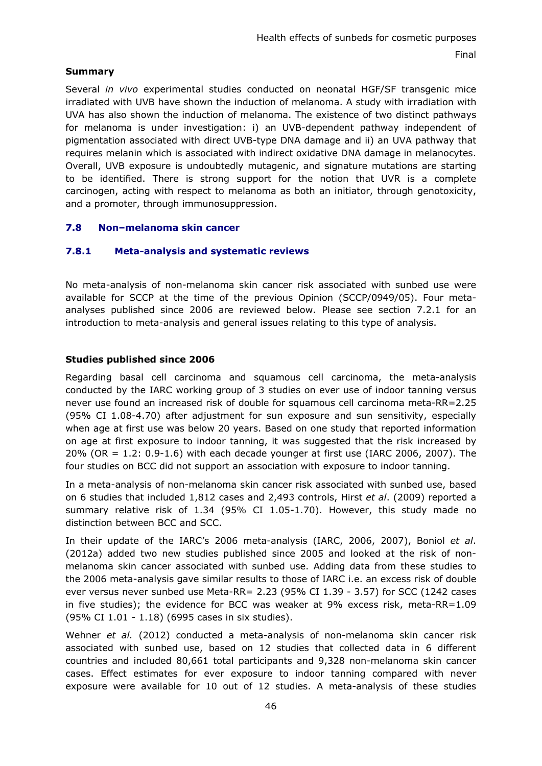# **Summary**

Several *in vivo* experimental studies conducted on neonatal HGF/SF transgenic mice irradiated with UVB have shown the induction of melanoma. A study with irradiation with UVA has also shown the induction of melanoma. The existence of two distinct pathways for melanoma is under investigation: i) an UVB-dependent pathway independent of pigmentation associated with direct UVB-type DNA damage and ii) an UVA pathway that requires melanin which is associated with indirect oxidative DNA damage in melanocytes. Overall, UVB exposure is undoubtedly mutagenic, and signature mutations are starting to be identified. There is strong support for the notion that UVR is a complete carcinogen, acting with respect to melanoma as both an initiator, through genotoxicity, and a promoter, through immunosuppression.

# **7.8 Non–melanoma skin cancer**

# **7.8.1 Meta-analysis and systematic reviews**

No meta-analysis of non-melanoma skin cancer risk associated with sunbed use were available for SCCP at the time of the previous Opinion (SCCP/0949/05). Four metaanalyses published since 2006 are reviewed below. Please see section 7.2.1 for an introduction to meta-analysis and general issues relating to this type of analysis.

### **Studies published since 2006**

Regarding basal cell carcinoma and squamous cell carcinoma, the meta-analysis conducted by the IARC working group of 3 studies on ever use of indoor tanning versus never use found an increased risk of double for squamous cell carcinoma meta-RR=2.25 (95% CI 1.08-4.70) after adjustment for sun exposure and sun sensitivity, especially when age at first use was below 20 years. Based on one study that reported information on age at first exposure to indoor tanning, it was suggested that the risk increased by 20% (OR = 1.2: 0.9-1.6) with each decade younger at first use (IARC 2006, 2007). The four studies on BCC did not support an association with exposure to indoor tanning.

In a meta-analysis of non-melanoma skin cancer risk associated with sunbed use, based on 6 studies that included 1,812 cases and 2,493 controls, Hirst *et al*. (2009) reported a summary relative risk of 1.34 (95% CI 1.05-1.70). However, this study made no distinction between BCC and SCC.

In their update of the IARC's 2006 meta-analysis (IARC, 2006, 2007), Boniol *et al*. (2012a) added two new studies published since 2005 and looked at the risk of nonmelanoma skin cancer associated with sunbed use. Adding data from these studies to the 2006 meta-analysis gave similar results to those of IARC i.e. an excess risk of double ever versus never sunbed use Meta-RR= 2.23 (95% CI 1.39 - 3.57) for SCC (1242 cases in five studies); the evidence for BCC was weaker at 9% excess risk, meta-RR=1.09 (95% CI 1.01 - 1.18) (6995 cases in six studies).

Wehner *et al.* (2012) conducted a meta-analysis of non-melanoma skin cancer risk associated with sunbed use, based on 12 studies that collected data in 6 different countries and included 80,661 total participants and 9,328 non-melanoma skin cancer cases. Effect estimates for ever exposure to indoor tanning compared with never exposure were available for 10 out of 12 studies. A meta-analysis of these studies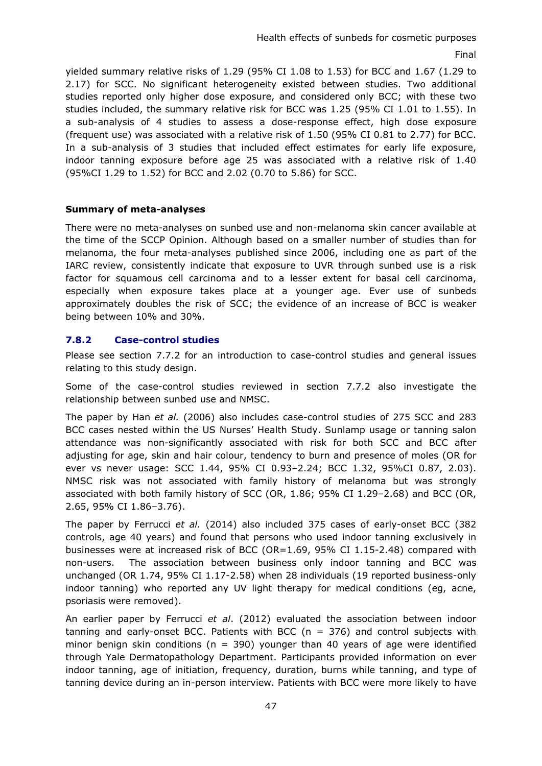yielded summary relative risks of 1.29 (95% CI  $1.08$  to  $1.53$ ) for BCC and  $1.67$  (1.29 to 2.17) for SCC. No significant heterogeneity existed between studies. Two additional studies reported only higher dose exposure, and considered only BCC; with these two studies included, the summary relative risk for BCC was 1.25 (95% CI 1.01 to 1.55). In a sub-analysis of 4 studies to assess a dose-response effect, high dose exposure (frequent use) was associated with a relative risk of 1.50 (95% CI 0.81 to 2.77) for BCC. In a sub-analysis of 3 studies that included effect estimates for early life exposure, indoor tanning exposure before age 25 was associated with a relative risk of 1.40 (95%CI 1.29 to 1.52) for BCC and 2.02 (0.70 to 5.86) for SCC.

### **Summary of meta-analyses**

There were no meta-analyses on sunbed use and non-melanoma skin cancer available at the time of the SCCP Opinion. Although based on a smaller number of studies than for melanoma, the four meta-analyses published since 2006, including one as part of the IARC review, consistently indicate that exposure to UVR through sunbed use is a risk factor for squamous cell carcinoma and to a lesser extent for basal cell carcinoma, especially when exposure takes place at a younger age. Ever use of sunbeds approximately doubles the risk of SCC; the evidence of an increase of BCC is weaker being between 10% and 30%.

### **7.8.2 Case-control studies**

Please see section 7.7.2 for an introduction to case-control studies and general issues relating to this study design.

Some of the case-control studies reviewed in section 7.7.2 also investigate the relationship between sunbed use and NMSC.

The paper by Han *et al.* (2006) also includes case-control studies of 275 SCC and 283 BCC cases nested within the US Nurses' Health Study. Sunlamp usage or tanning salon attendance was non-significantly associated with risk for both SCC and BCC after adjusting for age, skin and hair colour, tendency to burn and presence of moles (OR for ever vs never usage: SCC 1.44, 95% CI 0.93–2.24; BCC 1.32, 95%CI 0.87, 2.03). NMSC risk was not associated with family history of melanoma but was strongly associated with both family history of SCC (OR, 1.86; 95% CI 1.29–2.68) and BCC (OR, 2.65, 95% CI 1.86–3.76).

The paper by Ferrucci *et al.* (2014) also included 375 cases of early-onset BCC (382 controls, age 40 years) and found that persons who used indoor tanning exclusively in businesses were at increased risk of BCC (OR=1.69, 95% CI 1.15-2.48) compared with non-users. The association between business only indoor tanning and BCC was unchanged (OR 1.74, 95% CI 1.17-2.58) when 28 individuals (19 reported business-only indoor tanning) who reported any UV light therapy for medical conditions (eg, acne, psoriasis were removed).

An earlier paper by Ferrucci *et al*. (2012) evaluated the association between indoor tanning and early-onset BCC. Patients with BCC ( $n = 376$ ) and control subjects with minor benign skin conditions ( $n = 390$ ) younger than 40 years of age were identified through Yale Dermatopathology Department. Participants provided information on ever indoor tanning, age of initiation, frequency, duration, burns while tanning, and type of tanning device during an in-person interview. Patients with BCC were more likely to have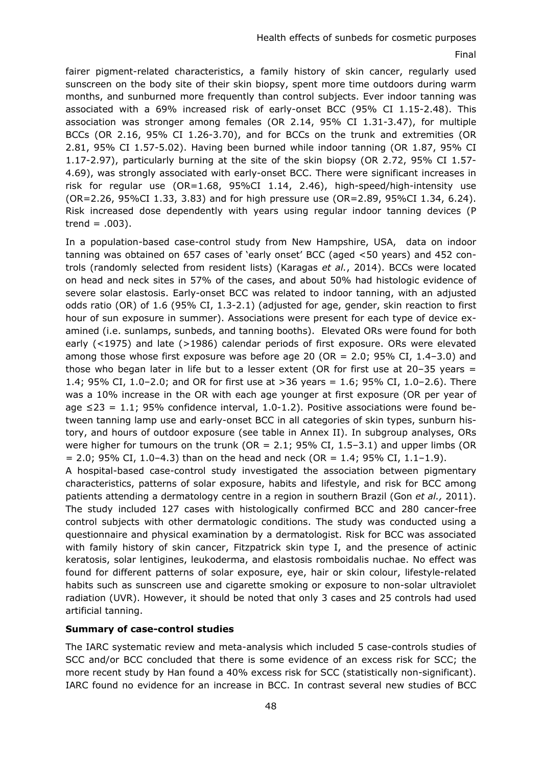fairer pigment-related characteristics, a family history of skin cancer, regularly used sunscreen on the body site of their skin biopsy, spent more time outdoors during warm months, and sunburned more frequently than control subjects. Ever indoor tanning was associated with a 69% increased risk of early-onset BCC (95% CI 1.15-2.48). This association was stronger among females (OR 2.14, 95% CI 1.31-3.47), for multiple BCCs (OR 2.16, 95% CI 1.26-3.70), and for BCCs on the trunk and extremities (OR 2.81, 95% CI 1.57-5.02). Having been burned while indoor tanning (OR 1.87, 95% CI 1.17-2.97), particularly burning at the site of the skin biopsy (OR 2.72, 95% CI 1.57- 4.69), was strongly associated with early-onset BCC. There were significant increases in risk for regular use (OR=1.68, 95%CI 1.14, 2.46), high-speed/high-intensity use (OR=2.26, 95%CI 1.33, 3.83) and for high pressure use (OR=2.89, 95%CI 1.34, 6.24). Risk increased dose dependently with years using regular indoor tanning devices (P trend  $= .003$ ).

In a population-based case-control study from New Hampshire, USA, data on indoor tanning was obtained on 657 cases of 'early onset' BCC (aged <50 years) and 452 controls (randomly selected from resident lists) (Karagas *et al.*, 2014). BCCs were located on head and neck sites in 57% of the cases, and about 50% had histologic evidence of severe solar elastosis. Early-onset BCC was related to indoor tanning, with an adjusted odds ratio (OR) of 1.6 (95% CI, 1.3-2.1) (adjusted for age, gender, skin reaction to first hour of sun exposure in summer). Associations were present for each type of device examined (i.e. sunlamps, sunbeds, and tanning booths). Elevated ORs were found for both early (<1975) and late (>1986) calendar periods of first exposure. ORs were elevated among those whose first exposure was before age 20 (OR = 2.0; 95% CI, 1.4–3.0) and those who began later in life but to a lesser extent (OR for first use at  $20-35$  years = 1.4; 95% CI, 1.0–2.0; and OR for first use at >36 years = 1.6; 95% CI, 1.0–2.6). There was a 10% increase in the OR with each age younger at first exposure (OR per year of age  $\leq$ 23 = 1.1; 95% confidence interval, 1.0-1.2). Positive associations were found between tanning lamp use and early-onset BCC in all categories of skin types, sunburn history, and hours of outdoor exposure (see table in Annex II). In subgroup analyses, ORs were higher for tumours on the trunk ( $OR = 2.1$ ; 95% CI, 1.5-3.1) and upper limbs ( $OR$  $= 2.0$ ; 95% CI, 1.0–4.3) than on the head and neck (OR  $= 1.4$ ; 95% CI, 1.1–1.9).

A hospital-based case-control study investigated the association between pigmentary characteristics, patterns of solar exposure, habits and lifestyle, and risk for BCC among patients attending a dermatology centre in a region in southern Brazil (Gon *et al.,* 2011). The study included 127 cases with histologically confirmed BCC and 280 cancer-free control subjects with other dermatologic conditions. The study was conducted using a questionnaire and physical examination by a dermatologist. Risk for BCC was associated with family history of skin cancer, Fitzpatrick skin type I, and the presence of actinic keratosis, solar lentigines, leukoderma, and elastosis romboidalis nuchae. No effect was found for different patterns of solar exposure, eye, hair or skin colour, lifestyle-related habits such as sunscreen use and cigarette smoking or exposure to non-solar ultraviolet radiation (UVR). However, it should be noted that only 3 cases and 25 controls had used artificial tanning.

### **Summary of case-control studies**

The IARC systematic review and meta-analysis which included 5 case-controls studies of SCC and/or BCC concluded that there is some evidence of an excess risk for SCC; the more recent study by Han found a 40% excess risk for SCC (statistically non-significant). IARC found no evidence for an increase in BCC. In contrast several new studies of BCC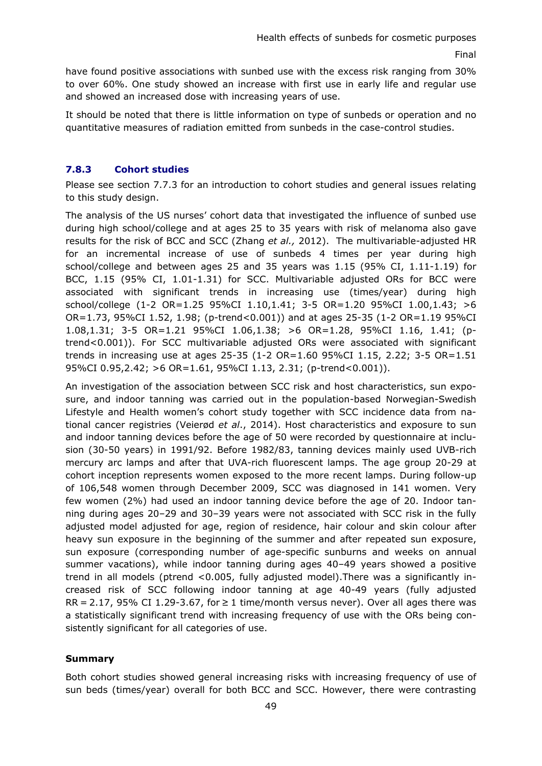have found positive associations with sunbed use with the excess risk ranging from 30% to over 60%. One study showed an increase with first use in early life and regular use and showed an increased dose with increasing years of use.

It should be noted that there is little information on type of sunbeds or operation and no quantitative measures of radiation emitted from sunbeds in the case-control studies.

# **7.8.3 Cohort studies**

Please see section 7.7.3 for an introduction to cohort studies and general issues relating to this study design.

The analysis of the US nurses' cohort data that investigated the influence of sunbed use during high school/college and at ages 25 to 35 years with risk of melanoma also gave results for the risk of BCC and SCC (Zhang *et al.,* 2012). The multivariable-adjusted HR for an incremental increase of use of sunbeds 4 times per year during high school/college and between ages 25 and 35 years was 1.15 (95% CI, 1.11-1.19) for BCC, 1.15 (95% CI, 1.01-1.31) for SCC. Multivariable adjusted ORs for BCC were associated with significant trends in increasing use (times/year) during high school/college (1-2 OR=1.25 95%CI 1.10,1.41; 3-5 OR=1.20 95%CI 1.00,1.43; >6 OR=1.73, 95%CI 1.52, 1.98; (p-trend<0.001)) and at ages 25-35 (1-2 OR=1.19 95%CI 1.08,1.31; 3-5 OR=1.21 95%CI 1.06,1.38; >6 OR=1.28, 95%CI 1.16, 1.41; (ptrend<0.001)). For SCC multivariable adjusted ORs were associated with significant trends in increasing use at ages 25-35 (1-2 OR=1.60 95%CI 1.15, 2.22; 3-5 OR=1.51 95%CI 0.95,2.42; >6 OR=1.61, 95%CI 1.13, 2.31; (p-trend<0.001)).

An investigation of the association between SCC risk and host characteristics, sun exposure, and indoor tanning was carried out in the population-based Norwegian-Swedish Lifestyle and Health women's cohort study together with SCC incidence data from national cancer registries (Veierød *et al*., 2014). Host characteristics and exposure to sun and indoor tanning devices before the age of 50 were recorded by questionnaire at inclusion (30-50 years) in 1991/92. Before 1982/83, tanning devices mainly used UVB-rich mercury arc lamps and after that UVA-rich fluorescent lamps. The age group 20-29 at cohort inception represents women exposed to the more recent lamps. During follow-up of 106,548 women through December 2009, SCC was diagnosed in 141 women. Very few women (2%) had used an indoor tanning device before the age of 20. Indoor tanning during ages 20–29 and 30–39 years were not associated with SCC risk in the fully adjusted model adjusted for age, region of residence, hair colour and skin colour after heavy sun exposure in the beginning of the summer and after repeated sun exposure, sun exposure (corresponding number of age-specific sunburns and weeks on annual summer vacations), while indoor tanning during ages 40–49 years showed a positive trend in all models (ptrend <0.005, fully adjusted model).There was a significantly increased risk of SCC following indoor tanning at age 40-49 years (fully adjusted  $RR = 2.17$ , 95% CI 1.29-3.67, for  $\geq 1$  time/month versus never). Over all ages there was a statistically significant trend with increasing frequency of use with the ORs being consistently significant for all categories of use.

### **Summary**

Both cohort studies showed general increasing risks with increasing frequency of use of sun beds (times/year) overall for both BCC and SCC. However, there were contrasting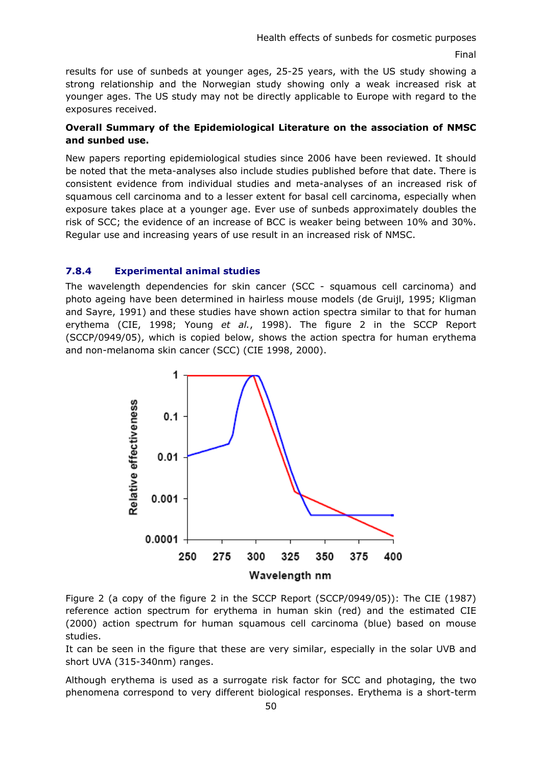results for use of sunbeds at younger ages, 25-25 years, with the US study showing a strong relationship and the Norwegian study showing only a weak increased risk at younger ages. The US study may not be directly applicable to Europe with regard to the exposures received.

### **Overall Summary of the Epidemiological Literature on the association of NMSC and sunbed use.**

New papers reporting epidemiological studies since 2006 have been reviewed. It should be noted that the meta-analyses also include studies published before that date. There is consistent evidence from individual studies and meta-analyses of an increased risk of squamous cell carcinoma and to a lesser extent for basal cell carcinoma, especially when exposure takes place at a younger age. Ever use of sunbeds approximately doubles the risk of SCC; the evidence of an increase of BCC is weaker being between 10% and 30%. Regular use and increasing years of use result in an increased risk of NMSC.

### **7.8.4 Experimental animal studies**

The wavelength dependencies for skin cancer (SCC - squamous cell carcinoma) and photo ageing have been determined in hairless mouse models (de Gruijl, 1995; Kligman and Sayre, 1991) and these studies have shown action spectra similar to that for human erythema (CIE, 1998; Young *et al.*, 1998). The figure 2 in the SCCP Report (SCCP/0949/05), which is copied below, shows the action spectra for human erythema and non-melanoma skin cancer (SCC) (CIE 1998, 2000).



Figure 2 (a copy of the figure 2 in the SCCP Report (SCCP/0949/05)): The CIE (1987) reference action spectrum for erythema in human skin (red) and the estimated CIE (2000) action spectrum for human squamous cell carcinoma (blue) based on mouse studies.

It can be seen in the figure that these are very similar, especially in the solar UVB and short UVA (315-340nm) ranges.

Although erythema is used as a surrogate risk factor for SCC and photaging, the two phenomena correspond to very different biological responses. Erythema is a short-term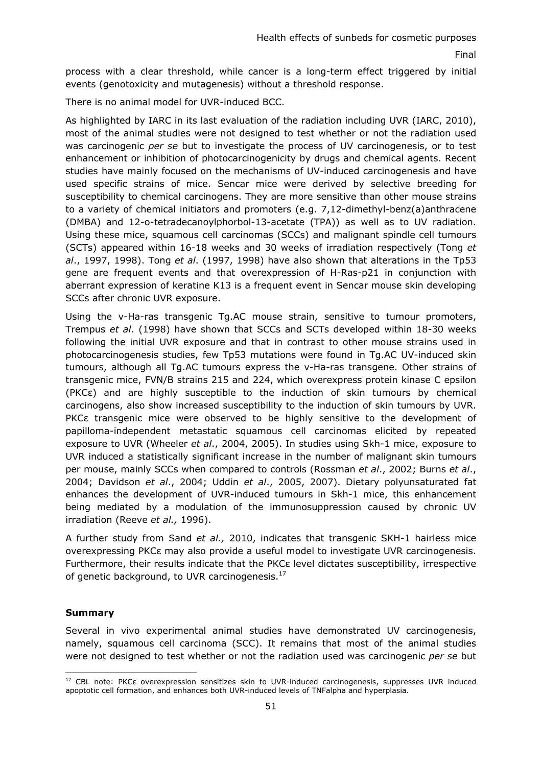process with a clear threshold, while cancer is a long-term effect triggered by initial events (genotoxicity and mutagenesis) without a threshold response.

There is no animal model for UVR-induced BCC.

As highlighted by IARC in its last evaluation of the radiation including UVR (IARC, 2010), most of the animal studies were not designed to test whether or not the radiation used was carcinogenic *per se* but to investigate the process of UV carcinogenesis, or to test enhancement or inhibition of photocarcinogenicity by drugs and chemical agents. Recent studies have mainly focused on the mechanisms of UV-induced carcinogenesis and have used specific strains of mice. Sencar mice were derived by selective breeding for susceptibility to chemical carcinogens. They are more sensitive than other mouse strains to a variety of chemical initiators and promoters (e.g. 7,12-dimethyl-benz(a)anthracene (DMBA) and 12-o-tetradecanoylphorbol-13-acetate (TPA)) as well as to UV radiation. Using these mice, squamous cell carcinomas (SCCs) and malignant spindle cell tumours (SCTs) appeared within 16-18 weeks and 30 weeks of irradiation respectively (Tong *et al*., 1997, 1998). Tong *et al*. (1997, 1998) have also shown that alterations in the Tp53 gene are frequent events and that overexpression of H-Ras-p21 in conjunction with aberrant expression of keratine K13 is a frequent event in Sencar mouse skin developing SCCs after chronic UVR exposure.

Using the v-Ha-ras transgenic Tg.AC mouse strain, sensitive to tumour promoters, Trempus *et al*. (1998) have shown that SCCs and SCTs developed within 18-30 weeks following the initial UVR exposure and that in contrast to other mouse strains used in photocarcinogenesis studies, few Tp53 mutations were found in Tg.AC UV-induced skin tumours, although all Tg.AC tumours express the v-Ha-ras transgene. Other strains of transgenic mice, FVN/B strains 215 and 224, which overexpress protein kinase C epsilon (PKCε) and are highly susceptible to the induction of skin tumours by chemical carcinogens, also show increased susceptibility to the induction of skin tumours by UVR. PKCε transgenic mice were observed to be highly sensitive to the development of papilloma-independent metastatic squamous cell carcinomas elicited by repeated exposure to UVR (Wheeler *et al*., 2004, 2005). In studies using Skh-1 mice, exposure to UVR induced a statistically significant increase in the number of malignant skin tumours per mouse, mainly SCCs when compared to controls (Rossman *et al*., 2002; Burns *et al*., 2004; Davidson *et al*., 2004; Uddin *et al*., 2005, 2007). Dietary polyunsaturated fat enhances the development of UVR-induced tumours in Skh-1 mice, this enhancement being mediated by a modulation of the immunosuppression caused by chronic UV irradiation (Reeve *et al.,* 1996).

A further study from Sand *et al.,* 2010, indicates that transgenic SKH-1 hairless mice overexpressing PKCε may also provide a useful model to investigate UVR carcinogenesis. Furthermore, their results indicate that the PKCε level dictates susceptibility, irrespective of genetic background, to UVR carcinogenesis.<sup>17</sup>

### **Summary**

Several in vivo experimental animal studies have demonstrated UV carcinogenesis, namely, squamous cell carcinoma (SCC). It remains that most of the animal studies were not designed to test whether or not the radiation used was carcinogenic *per se* but

<sup>-</sup><sup>17</sup> CBL note: PKCε overexpression sensitizes skin to UVR-induced carcinogenesis, suppresses UVR induced apoptotic cell formation, and enhances both UVR-induced levels of TNFalpha and hyperplasia.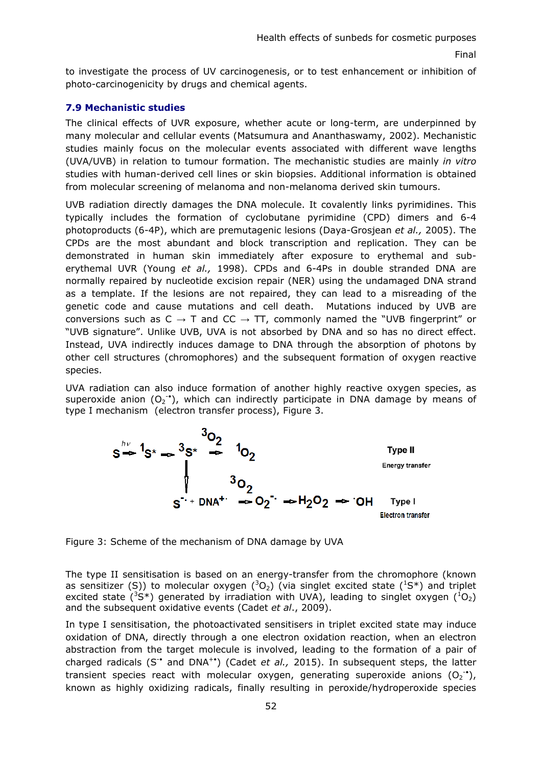to investigate the process of UV carcinogenesis, or to test enhancement or inhibition of photo-carcinogenicity by drugs and chemical agents.

### **7.9 Mechanistic studies**

The clinical effects of UVR exposure, whether acute or long-term, are underpinned by many molecular and cellular events (Matsumura and Ananthaswamy, 2002). Mechanistic studies mainly focus on the molecular events associated with different wave lengths (UVA/UVB) in relation to tumour formation. The mechanistic studies are mainly *in vitro* studies with human-derived cell lines or skin biopsies. Additional information is obtained from molecular screening of melanoma and non-melanoma derived skin tumours.

UVB radiation directly damages the DNA molecule. It covalently links pyrimidines. This typically includes the formation of cyclobutane pyrimidine (CPD) dimers and 6-4 photoproducts (6-4P), which are premutagenic lesions (Daya-Grosjean *et al.,* 2005). The CPDs are the most abundant and block transcription and replication. They can be demonstrated in human skin immediately after exposure to erythemal and suberythemal UVR (Young *et al.,* 1998). CPDs and 6-4Ps in double stranded DNA are normally repaired by nucleotide excision repair (NER) using the undamaged DNA strand as a template. If the lesions are not repaired, they can lead to a misreading of the genetic code and cause mutations and cell death. Mutations induced by UVB are conversions such as  $C \rightarrow T$  and  $CC \rightarrow TT$ , commonly named the "UVB fingerprint" or "UVB signature". Unlike UVB, UVA is not absorbed by DNA and so has no direct effect. Instead, UVA indirectly induces damage to DNA through the absorption of photons by other cell structures (chromophores) and the subsequent formation of oxygen reactive species.

UVA radiation can also induce formation of another highly reactive oxygen species, as superoxide anion  $(O_2^{\bullet})$ , which can indirectly participate in DNA damage by means of type I mechanism (electron transfer process), Figure 3.



Figure 3: Scheme of the mechanism of DNA damage by UVA

The type II sensitisation is based on an energy-transfer from the chromophore (known as sensitizer (S)) to molecular oxygen  $(^3O_2)$  (via singlet excited state  $(^1S^*)$  and triplet excited state (<sup>3</sup>S\*) generated by irradiation with UVA), leading to singlet oxygen ( ${}^{1}O_{2}$ ) and the subsequent oxidative events (Cadet *et al*., 2009).

In type I sensitisation, the photoactivated sensitisers in triplet excited state may induce oxidation of DNA, directly through a one electron oxidation reaction, when an electron abstraction from the target molecule is involved, leading to the formation of a pair of charged radicals (S-• and DNA+•) (Cadet *et al.,* 2015). In subsequent steps, the latter transient species react with molecular oxygen, generating superoxide anions  $(O_2^{\bullet})$ , known as highly oxidizing radicals, finally resulting in peroxide/hydroperoxide species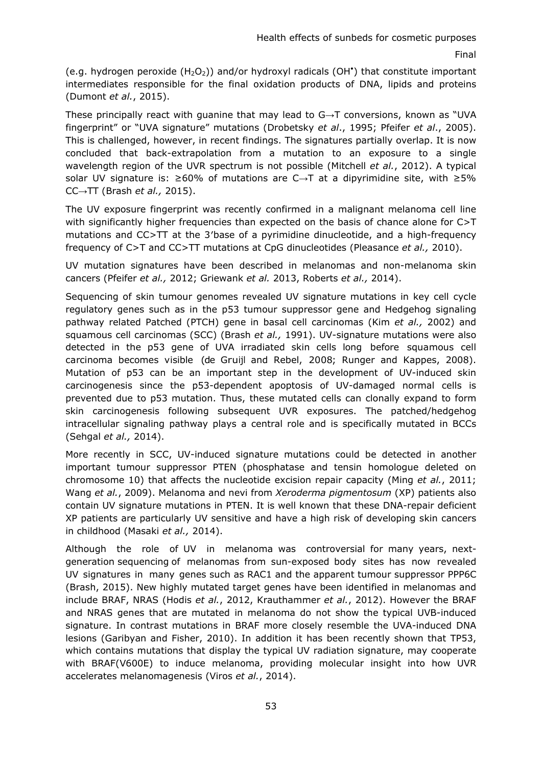(e.g. hydrogen peroxide  $(H_2O_2)$ ) and/or hydroxyl radicals (OH<sup>\*</sup>) that constitute important intermediates responsible for the final oxidation products of DNA, lipids and proteins (Dumont *et al.*, 2015).

These principally react with guanine that may lead to G→T conversions, known as "UVA fingerprint" or "UVA signature" mutations (Drobetsky *et al*., 1995; Pfeifer *et al*., 2005). This is challenged, however, in recent findings. The signatures partially overlap. It is now concluded that back-extrapolation from a mutation to an exposure to a single wavelength region of the UVR spectrum is not possible (Mitchell *et al.*, 2012). A typical solar UV signature is: ≥60% of mutations are C→T at a dipyrimidine site, with ≥5% CC→TT (Brash *et al.,* 2015).

The UV exposure fingerprint was recently confirmed in a malignant melanoma cell line with significantly higher frequencies than expected on the basis of chance alone for C>T mutations and CC>TT at the 3′base of a pyrimidine dinucleotide, and a high-frequency frequency of C>T and CC>TT mutations at CpG dinucleotides (Pleasance *et al.,* 2010).

UV mutation signatures have been described in melanomas and non-melanoma skin cancers (Pfeifer *et al.,* 2012; Griewank *et al.* 2013, Roberts *et al.,* 2014).

Sequencing of skin tumour genomes revealed UV signature mutations in key cell cycle regulatory genes such as in the p53 tumour suppressor gene and Hedgehog signaling pathway related Patched (PTCH) gene in basal cell carcinomas (Kim *et al.,* 2002) and squamous cell carcinomas (SCC) (Brash *et al.,* 1991). UV-signature mutations were also detected in the p53 gene of UVA irradiated skin cells long before squamous cell carcinoma becomes visible (de Gruijl and Rebel, 2008; Runger and Kappes, 2008). Mutation of p53 can be an important step in the development of UV-induced skin carcinogenesis since the p53-dependent apoptosis of UV-damaged normal cells is prevented due to p53 mutation. Thus, these mutated cells can clonally expand to form skin carcinogenesis following subsequent UVR exposures. The patched/hedgehog intracellular signaling pathway plays a central role and is specifically mutated in BCCs (Sehgal *et al.,* 2014).

More recently in SCC, UV-induced signature mutations could be detected in another important tumour suppressor PTEN (phosphatase and tensin homologue deleted on chromosome 10) that affects the nucleotide excision repair capacity (Ming *et al.*, 2011; Wang *et al.*, 2009). Melanoma and nevi from *Xeroderma pigmentosum* (XP) patients also contain UV signature mutations in PTEN. It is well known that these DNA-repair deficient XP patients are particularly UV sensitive and have a high risk of developing skin cancers in childhood (Masaki *et al.,* 2014).

Although the role of UV in melanoma was controversial for many years, nextgeneration sequencing of melanomas from sun-exposed body sites has now revealed UV signatures in many genes such as RAC1 and the apparent tumour suppressor PPP6C (Brash, 2015). New highly mutated target genes have been identified in melanomas and include BRAF, NRAS (Hodis *et al.*, 2012, Krauthammer *et al.*, 2012). However the BRAF and NRAS genes that are mutated in melanoma do not show the typical UVB-induced signature. In contrast mutations in BRAF more closely resemble the UVA-induced DNA lesions (Garibyan and Fisher, 2010). In addition it has been recently shown that TP53, which contains mutations that display the typical UV radiation signature, may cooperate with BRAF(V600E) to induce melanoma, providing molecular insight into how UVR accelerates melanomagenesis (Viros *et al.*, 2014).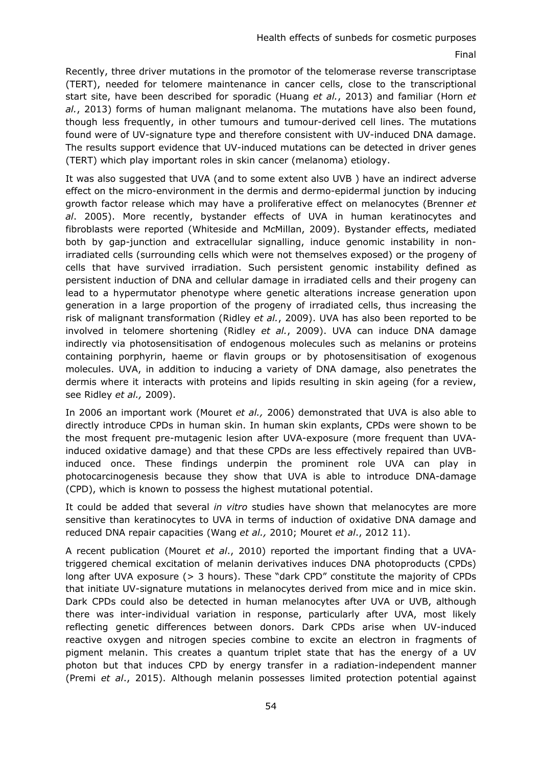Recently, three driver mutations in the promotor of the telomerase reverse transcriptase (TERT), needed for telomere maintenance in cancer cells, close to the transcriptional start site, have been described for sporadic (Huang *et al.*, 2013) and familiar (Horn *et al.*, 2013) forms of human malignant melanoma. The mutations have also been found, though less frequently, in other tumours and tumour-derived cell lines. The mutations found were of UV-signature type and therefore consistent with UV-induced DNA damage. The results support evidence that UV-induced mutations can be detected in driver genes (TERT) which play important roles in skin cancer (melanoma) etiology.

It was also suggested that UVA (and to some extent also UVB ) have an indirect adverse effect on the micro-environment in the dermis and dermo-epidermal junction by inducing growth factor release which may have a proliferative effect on melanocytes (Brenner *et al*. 2005). More recently, bystander effects of UVA in human keratinocytes and fibroblasts were reported (Whiteside and McMillan, 2009). Bystander effects, mediated both by gap-junction and extracellular signalling, induce genomic instability in nonirradiated cells (surrounding cells which were not themselves exposed) or the progeny of cells that have survived irradiation. Such persistent genomic instability defined as persistent induction of DNA and cellular damage in irradiated cells and their progeny can lead to a hypermutator phenotype where genetic alterations increase generation upon generation in a large proportion of the progeny of irradiated cells, thus increasing the risk of malignant transformation (Ridley *et al.*, 2009). UVA has also been reported to be involved in telomere shortening (Ridley *et al.*, 2009). UVA can induce DNA damage indirectly via photosensitisation of endogenous molecules such as melanins or proteins containing porphyrin, haeme or flavin groups or by photosensitisation of exogenous molecules. UVA, in addition to inducing a variety of DNA damage, also penetrates the dermis where it interacts with proteins and lipids resulting in skin ageing (for a review, see Ridley *et al.,* 2009).

In 2006 an important work (Mouret *et al.,* 2006) demonstrated that UVA is also able to directly introduce CPDs in human skin. In human skin explants, CPDs were shown to be the most frequent pre-mutagenic lesion after UVA-exposure (more frequent than UVAinduced oxidative damage) and that these CPDs are less effectively repaired than UVBinduced once. These findings underpin the prominent role UVA can play in photocarcinogenesis because they show that UVA is able to introduce DNA-damage (CPD), which is known to possess the highest mutational potential.

It could be added that several *in vitro* studies have shown that melanocytes are more sensitive than keratinocytes to UVA in terms of induction of oxidative DNA damage and reduced DNA repair capacities (Wang *et al.,* 2010; Mouret *et al*., 2012 11).

A recent publication (Mouret *et al*., 2010) reported the important finding that a UVAtriggered chemical excitation of melanin derivatives induces DNA photoproducts (CPDs) long after UVA exposure (> 3 hours). These "dark CPD" constitute the majority of CPDs that initiate UV-signature mutations in melanocytes derived from mice and in mice skin. Dark CPDs could also be detected in human melanocytes after UVA or UVB, although there was inter-individual variation in response, particularly after UVA, most likely reflecting genetic differences between donors. Dark CPDs arise when UV-induced reactive oxygen and nitrogen species combine to excite an electron in fragments of pigment melanin. This creates a quantum triplet state that has the energy of a UV photon but that induces CPD by energy transfer in a radiation-independent manner (Premi *et al*., 2015). Although melanin possesses limited protection potential against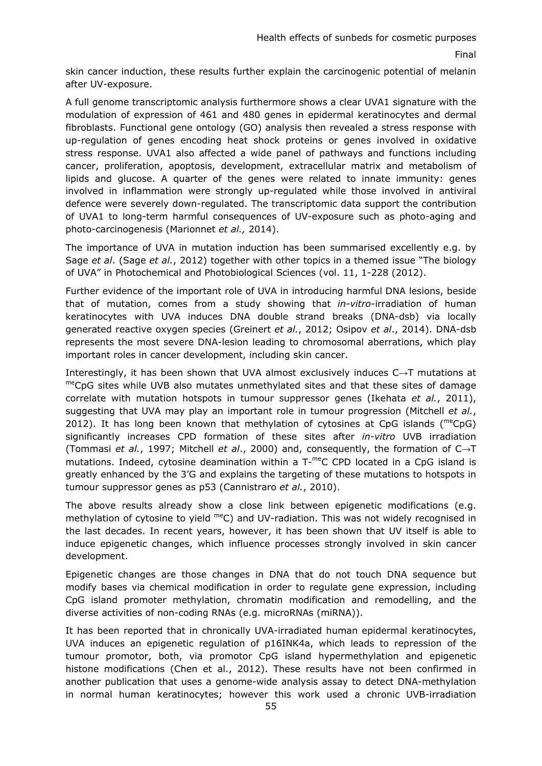skin cancer induction, these results further explain the carcinogenic potential of melanin after UV-exposure.

A full genome transcriptomic analysis furthermore shows a clear UVA1 signature with the modulation of expression of 461 and 480 genes in epidermal keratinocytes and dermal fibroblasts. Functional gene ontology (GO) analysis then revealed a stress response with up-regulation of genes encoding heat shock proteins or genes involved in oxidative stress response. UVA1 also affected a wide panel of pathways and functions including cancer, proliferation, apoptosis, development, extracellular matrix and metabolism of lipids and glucose. A quarter of the genes were related to innate immunity: genes involved in inflammation were strongly up-regulated while those involved in antiviral defence were severely down-regulated. The transcriptomic data support the contribution of UVA1 to long-term harmful consequences of UV-exposure such as photo-aging and photo-carcinogenesis (Marionnet *et al.,* 2014).

The importance of UVA in mutation induction has been summarised excellently e.g. by Sage *et al*. (Sage *et al.*, 2012) together with other topics in a themed issue "The biology of UVA" in Photochemical and Photobiological Sciences (vol. 11, 1-228 (2012).

Further evidence of the important role of UVA in introducing harmful DNA lesions, beside that of mutation, comes from a study showing that *in-vitro*-irradiation of human keratinocytes with UVA induces DNA double strand breaks (DNA-dsb) via locally generated reactive oxygen species (Greinert *et al.*, 2012; Osipov *et al*., 2014). DNA-dsb represents the most severe DNA-lesion leading to chromosomal aberrations, which play important roles in cancer development, including skin cancer.

Interestingly, it has been shown that UVA almost exclusively induces C $\rightarrow$ T mutations at meCpG sites while UVB also mutates unmethylated sites and that these sites of damage correlate with mutation hotspots in tumour suppressor genes (Ikehata *et al.*, 2011), suggesting that UVA may play an important role in tumour progression (Mitchell *et al.*, 2012). It has long been known that methylation of cytosines at CpG islands ( $^{\text{me}}$ CpG) significantly increases CPD formation of these sites after *in-vitro* UVB irradiation (Tommasi *et al.*, 1997; Mitchell *et al*., 2000) and, consequently, the formation of C→T mutations. Indeed, cytosine deamination within a  $T$ <sup>-me</sup>C CPD located in a CpG island is greatly enhanced by the 3'G and explains the targeting of these mutations to hotspots in tumour suppressor genes as p53 (Cannistraro *et al.*, 2010).

The above results already show a close link between epigenetic modifications (e.g. methylation of cytosine to yield meC) and UV-radiation. This was not widely recognised in the last decades. In recent years, however, it has been shown that UV itself is able to induce epigenetic changes, which influence processes strongly involved in skin cancer development.

Epigenetic changes are those changes in DNA that do not touch DNA sequence but modify bases via chemical modification in order to regulate gene expression, including CpG island promoter methylation, chromatin modification and remodelling, and the diverse activities of non-coding RNAs (e.g. microRNAs (miRNA)).

It has been reported that in chronically UVA-irradiated human epidermal keratinocytes, UVA induces an epigenetic regulation of p16INK4a, which leads to repression of the tumour promotor, both, via promotor CpG island hypermethylation and epigenetic histone modifications (Chen et al., 2012). These results have not been confirmed in another publication that uses a genome-wide analysis assay to detect DNA-methylation in normal human keratinocytes; however this work used a chronic UVB-irradiation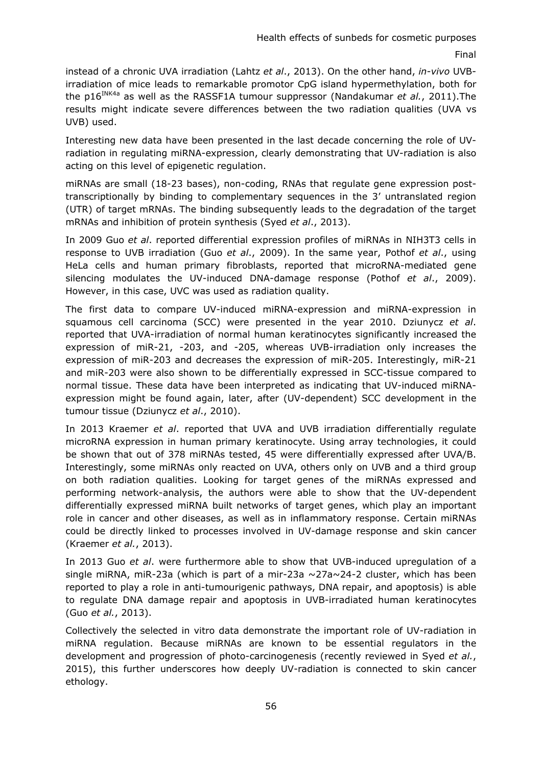instead of a chronic UVA irradiation (Lahtz *et al*., 2013). On the other hand, *in-vivo* UVBirradiation of mice leads to remarkable promotor CpG island hypermethylation, both for the p16<sup>INK4a</sup> as well as the RASSF1A tumour suppressor (Nandakumar *et al.*, 2011). The results might indicate severe differences between the two radiation qualities (UVA vs UVB) used.

Interesting new data have been presented in the last decade concerning the role of UVradiation in regulating miRNA-expression, clearly demonstrating that UV-radiation is also acting on this level of epigenetic regulation.

miRNAs are small (18-23 bases), non-coding, RNAs that regulate gene expression posttranscriptionally by binding to complementary sequences in the 3' untranslated region (UTR) of target mRNAs. The binding subsequently leads to the degradation of the target mRNAs and inhibition of protein synthesis (Syed *et al*., 2013).

In 2009 Guo *et al*. reported differential expression profiles of miRNAs in NIH3T3 cells in response to UVB irradiation (Guo *et al*., 2009). In the same year, Pothof *et al*., using HeLa cells and human primary fibroblasts, reported that microRNA-mediated gene silencing modulates the UV-induced DNA-damage response (Pothof *et al*., 2009). However, in this case, UVC was used as radiation quality.

The first data to compare UV-induced miRNA-expression and miRNA-expression in squamous cell carcinoma (SCC) were presented in the year 2010. Dziunycz *et al*. reported that UVA-irradiation of normal human keratinocytes significantly increased the expression of miR-21, -203, and -205, whereas UVB-irradiation only increases the expression of miR-203 and decreases the expression of miR-205. Interestingly, miR-21 and miR-203 were also shown to be differentially expressed in SCC-tissue compared to normal tissue. These data have been interpreted as indicating that UV-induced miRNAexpression might be found again, later, after (UV-dependent) SCC development in the tumour tissue (Dziunycz *et al*., 2010).

In 2013 Kraemer *et al*. reported that UVA and UVB irradiation differentially regulate microRNA expression in human primary keratinocyte. Using array technologies, it could be shown that out of 378 miRNAs tested, 45 were differentially expressed after UVA/B. Interestingly, some miRNAs only reacted on UVA, others only on UVB and a third group on both radiation qualities. Looking for target genes of the miRNAs expressed and performing network-analysis, the authors were able to show that the UV-dependent differentially expressed miRNA built networks of target genes, which play an important role in cancer and other diseases, as well as in inflammatory response. Certain miRNAs could be directly linked to processes involved in UV-damage response and skin cancer (Kraemer *et al.*, 2013).

In 2013 Guo *et al*. were furthermore able to show that UVB-induced upregulation of a single miRNA, miR-23a (which is part of a mir-23a  $\sim$ 27a $\sim$ 24-2 cluster, which has been reported to play a role in anti-tumourigenic pathways, DNA repair, and apoptosis) is able to regulate DNA damage repair and apoptosis in UVB-irradiated human keratinocytes (Guo *et al.*, 2013).

Collectively the selected in vitro data demonstrate the important role of UV-radiation in miRNA regulation. Because miRNAs are known to be essential regulators in the development and progression of photo-carcinogenesis (recently reviewed in Syed *et al.*, 2015), this further underscores how deeply UV-radiation is connected to skin cancer ethology.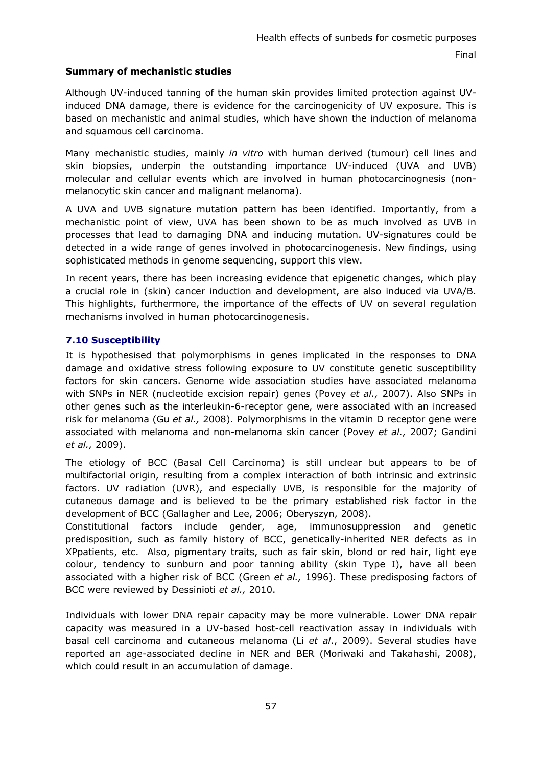# **Summary of mechanistic studies**

Although UV-induced tanning of the human skin provides limited protection against UVinduced DNA damage, there is evidence for the carcinogenicity of UV exposure. This is based on mechanistic and animal studies, which have shown the induction of melanoma and squamous cell carcinoma.

Many mechanistic studies, mainly *in vitro* with human derived (tumour) cell lines and skin biopsies, underpin the outstanding importance UV-induced (UVA and UVB) molecular and cellular events which are involved in human photocarcinognesis (nonmelanocytic skin cancer and malignant melanoma).

A UVA and UVB signature mutation pattern has been identified. Importantly, from a mechanistic point of view, UVA has been shown to be as much involved as UVB in processes that lead to damaging DNA and inducing mutation. UV-signatures could be detected in a wide range of genes involved in photocarcinogenesis. New findings, using sophisticated methods in genome sequencing, support this view.

In recent years, there has been increasing evidence that epigenetic changes, which play a crucial role in (skin) cancer induction and development, are also induced via UVA/B. This highlights, furthermore, the importance of the effects of UV on several regulation mechanisms involved in human photocarcinogenesis.

# **7.10 Susceptibility**

It is hypothesised that polymorphisms in genes implicated in the responses to DNA damage and oxidative stress following exposure to UV constitute genetic susceptibility factors for skin cancers. Genome wide association studies have associated melanoma with SNPs in NER (nucleotide excision repair) genes (Povey *et al.,* 2007). Also SNPs in other genes such as the interleukin-6-receptor gene, were associated with an increased risk for melanoma (Gu *et al.,* 2008). Polymorphisms in the vitamin D receptor gene were associated with melanoma and non-melanoma skin cancer (Povey *et al.,* 2007; Gandini *et al.,* 2009).

The etiology of BCC (Basal Cell Carcinoma) is still unclear but appears to be of multifactorial origin, resulting from a complex interaction of both intrinsic and extrinsic factors. UV radiation (UVR), and especially UVB, is responsible for the majority of cutaneous damage and is believed to be the primary established risk factor in the development of BCC (Gallagher and Lee, 2006; Oberyszyn, 2008).

Constitutional factors include gender, age, immunosuppression and genetic predisposition, such as family history of BCC, genetically-inherited NER defects as in XPpatients, etc. Also, pigmentary traits, such as fair skin, blond or red hair, light eye colour, tendency to sunburn and poor tanning ability (skin Type I), have all been associated with a higher risk of BCC (Green *et al.,* 1996). These predisposing factors of BCC were reviewed by Dessinioti *et al.,* 2010.

Individuals with lower DNA repair capacity may be more vulnerable. Lower DNA repair capacity was measured in a UV-based host-cell reactivation assay in individuals with basal cell carcinoma and cutaneous melanoma (Li *et al*., 2009). Several studies have reported an age-associated decline in NER and BER (Moriwaki and Takahashi, 2008), which could result in an accumulation of damage.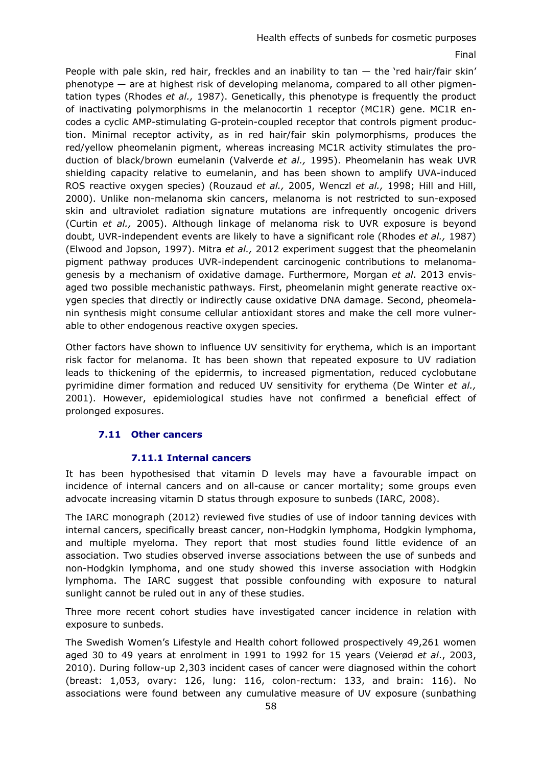# Health effects of sunbeds for cosmetic purposes

#### Final

People with pale skin, red hair, freckles and an inability to  $\tan - \text{the 'red hair/fair skin'}$ phenotype — are at highest risk of developing melanoma, compared to all other pigmentation types (Rhodes *et al.,* 1987). Genetically, this phenotype is frequently the product of inactivating polymorphisms in the melanocortin 1 receptor (MC1R) gene. MC1R encodes a cyclic AMP-stimulating G-protein-coupled receptor that controls pigment production. Minimal receptor activity, as in red hair/fair skin polymorphisms, produces the red/yellow pheomelanin pigment, whereas increasing MC1R activity stimulates the production of black/brown eumelanin (Valverde *et al.,* 1995). Pheomelanin has weak UVR shielding capacity relative to eumelanin, and has been shown to amplify UVA-induced ROS reactive oxygen species) (Rouzaud *et al.,* 2005, Wenczl *et al.,* 1998; Hill and Hill, 2000). Unlike non-melanoma skin cancers, melanoma is not restricted to sun-exposed skin and ultraviolet radiation signature mutations are infrequently oncogenic drivers (Curtin *et al.,* 2005). Although linkage of melanoma risk to UVR exposure is beyond doubt, UVR-independent events are likely to have a significant role (Rhodes *et al.,* 1987) (Elwood and Jopson, 1997). Mitra *et al.,* 2012 experiment suggest that the pheomelanin pigment pathway produces UVR-independent carcinogenic contributions to melanomagenesis by a mechanism of oxidative damage. Furthermore, Morgan *et al*. 2013 envisaged two possible mechanistic pathways. First, pheomelanin might generate reactive oxygen species that directly or indirectly cause oxidative DNA damage. Second, pheomelanin synthesis might consume cellular antioxidant stores and make the cell more vulnerable to other endogenous reactive oxygen species.

Other factors have shown to influence UV sensitivity for erythema, which is an important risk factor for melanoma. It has been shown that repeated exposure to UV radiation leads to thickening of the epidermis, to increased pigmentation, reduced cyclobutane pyrimidine dimer formation and reduced UV sensitivity for erythema (De Winter *et al.,* 2001). However, epidemiological studies have not confirmed a beneficial effect of prolonged exposures.

### **7.11 Other cancers**

### **7.11.1 Internal cancers**

It has been hypothesised that vitamin D levels may have a favourable impact on incidence of internal cancers and on all-cause or cancer mortality; some groups even advocate increasing vitamin D status through exposure to sunbeds (IARC, 2008).

The IARC monograph (2012) reviewed five studies of use of indoor tanning devices with internal cancers, specifically breast cancer, non-Hodgkin lymphoma, Hodgkin lymphoma, and multiple myeloma. They report that most studies found little evidence of an association. Two studies observed inverse associations between the use of sunbeds and non-Hodgkin lymphoma, and one study showed this inverse association with Hodgkin lymphoma. The IARC suggest that possible confounding with exposure to natural sunlight cannot be ruled out in any of these studies.

Three more recent cohort studies have investigated cancer incidence in relation with exposure to sunbeds.

The Swedish Women's Lifestyle and Health cohort followed prospectively 49,261 women aged 30 to 49 years at enrolment in 1991 to 1992 for 15 years (Veierød *et al*., 2003, 2010). During follow-up 2,303 incident cases of cancer were diagnosed within the cohort (breast: 1,053, ovary: 126, lung: 116, colon-rectum: 133, and brain: 116). No associations were found between any cumulative measure of UV exposure (sunbathing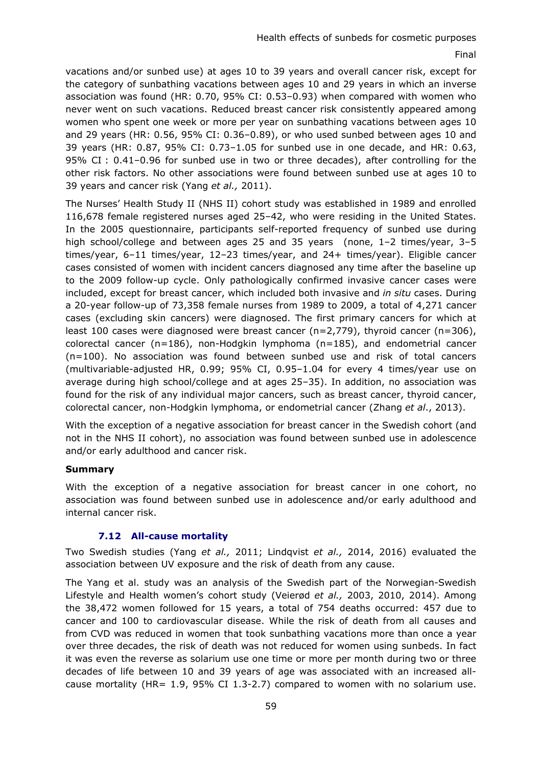vacations and/or sunbed use) at ages 10 to 39 years and overall cancer risk, except for the category of sunbathing vacations between ages 10 and 29 years in which an inverse association was found (HR: 0.70, 95% CI: 0.53–0.93) when compared with women who never went on such vacations. Reduced breast cancer risk consistently appeared among women who spent one week or more per year on sunbathing vacations between ages 10 and 29 years (HR: 0.56, 95% CI: 0.36–0.89), or who used sunbed between ages 10 and 39 years (HR: 0.87, 95% CI: 0.73–1.05 for sunbed use in one decade, and HR: 0.63, 95% CI : 0.41–0.96 for sunbed use in two or three decades), after controlling for the other risk factors. No other associations were found between sunbed use at ages 10 to 39 years and cancer risk (Yang *et al.,* 2011).

The Nurses' Health Study II (NHS II) cohort study was established in 1989 and enrolled 116,678 female registered nurses aged 25–42, who were residing in the United States. In the 2005 questionnaire, participants self-reported frequency of sunbed use during high school/college and between ages 25 and 35 years (none, 1–2 times/year, 3–5 times/year, 6–11 times/year, 12–23 times/year, and 24+ times/year). Eligible cancer cases consisted of women with incident cancers diagnosed any time after the baseline up to the 2009 follow-up cycle. Only pathologically confirmed invasive cancer cases were included, except for breast cancer, which included both invasive and *in situ* cases. During a 20-year follow-up of 73,358 female nurses from 1989 to 2009, a total of 4,271 cancer cases (excluding skin cancers) were diagnosed. The first primary cancers for which at least 100 cases were diagnosed were breast cancer (n=2,779), thyroid cancer (n=306), colorectal cancer (n=186), non-Hodgkin lymphoma (n=185), and endometrial cancer (n=100). No association was found between sunbed use and risk of total cancers (multivariable-adjusted HR, 0.99; 95% CI, 0.95–1.04 for every 4 times/year use on average during high school/college and at ages 25–35). In addition, no association was found for the risk of any individual major cancers, such as breast cancer, thyroid cancer, colorectal cancer, non-Hodgkin lymphoma, or endometrial cancer (Zhang *et al*., 2013).

With the exception of a negative association for breast cancer in the Swedish cohort (and not in the NHS II cohort), no association was found between sunbed use in adolescence and/or early adulthood and cancer risk.

### **Summary**

With the exception of a negative association for breast cancer in one cohort, no association was found between sunbed use in adolescence and/or early adulthood and internal cancer risk.

### **7.12 All-cause mortality**

Two Swedish studies (Yang *et al.,* 2011; Lindqvist *et al.,* 2014, 2016) evaluated the association between UV exposure and the risk of death from any cause.

The Yang et al. study was an analysis of the Swedish part of the Norwegian-Swedish Lifestyle and Health women's cohort study (Veierød *et al.,* 2003, 2010, 2014). Among the 38,472 women followed for 15 years, a total of 754 deaths occurred: 457 due to cancer and 100 to cardiovascular disease. While the risk of death from all causes and from CVD was reduced in women that took sunbathing vacations more than once a year over three decades, the risk of death was not reduced for women using sunbeds. In fact it was even the reverse as solarium use one time or more per month during two or three decades of life between 10 and 39 years of age was associated with an increased allcause mortality (HR= 1.9, 95% CI 1.3-2.7) compared to women with no solarium use.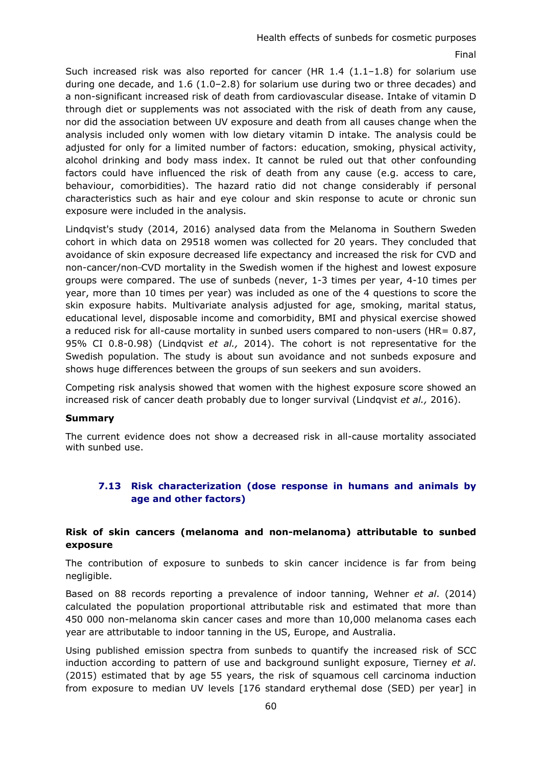Such increased risk was also reported for cancer (HR  $1.4$   $(1.1-1.8)$  for solarium use during one decade, and 1.6 (1.0–2.8) for solarium use during two or three decades) and a non-significant increased risk of death from cardiovascular disease. Intake of vitamin D through diet or supplements was not associated with the risk of death from any cause, nor did the association between UV exposure and death from all causes change when the analysis included only women with low dietary vitamin D intake. The analysis could be adjusted for only for a limited number of factors: education, smoking, physical activity, alcohol drinking and body mass index. It cannot be ruled out that other confounding factors could have influenced the risk of death from any cause (e.g. access to care, behaviour, comorbidities). The hazard ratio did not change considerably if personal characteristics such as hair and eye colour and skin response to acute or chronic sun exposure were included in the analysis.

Lindqvist's study (2014, 2016) analysed data from the Melanoma in Southern Sweden cohort in which data on 29518 women was collected for 20 years. They concluded that avoidance of skin exposure decreased life expectancy and increased the risk for CVD and non-cancer/non CVD mortality in the Swedish women if the highest and lowest exposure groups were compared. The use of sunbeds (never, 1-3 times per year, 4-10 times per year, more than 10 times per year) was included as one of the 4 questions to score the skin exposure habits. Multivariate analysis adjusted for age, smoking, marital status, educational level, disposable income and comorbidity, BMI and physical exercise showed a reduced risk for all-cause mortality in sunbed users compared to non-users (HR= 0.87, 95% CI 0.8-0.98) (Lindqvist *et al.,* 2014). The cohort is not representative for the Swedish population. The study is about sun avoidance and not sunbeds exposure and shows huge differences between the groups of sun seekers and sun avoiders.

Competing risk analysis showed that women with the highest exposure score showed an increased risk of cancer death probably due to longer survival (Lindqvist *et al.,* 2016).

### **Summary**

The current evidence does not show a decreased risk in all-cause mortality associated with sunbed use.

# **7.13 Risk characterization (dose response in humans and animals by age and other factors)**

### **Risk of skin cancers (melanoma and non-melanoma) attributable to sunbed exposure**

The contribution of exposure to sunbeds to skin cancer incidence is far from being negligible.

Based on 88 records reporting a prevalence of indoor tanning, Wehner *et al*. (2014) calculated the population proportional attributable risk and estimated that more than 450 000 non-melanoma skin cancer cases and more than 10,000 melanoma cases each year are attributable to indoor tanning in the US, Europe, and Australia.

Using published emission spectra from sunbeds to quantify the increased risk of SCC induction according to pattern of use and background sunlight exposure, Tierney *et al*. (2015) estimated that by age 55 years, the risk of squamous cell carcinoma induction from exposure to median UV levels [176 standard erythemal dose (SED) per year] in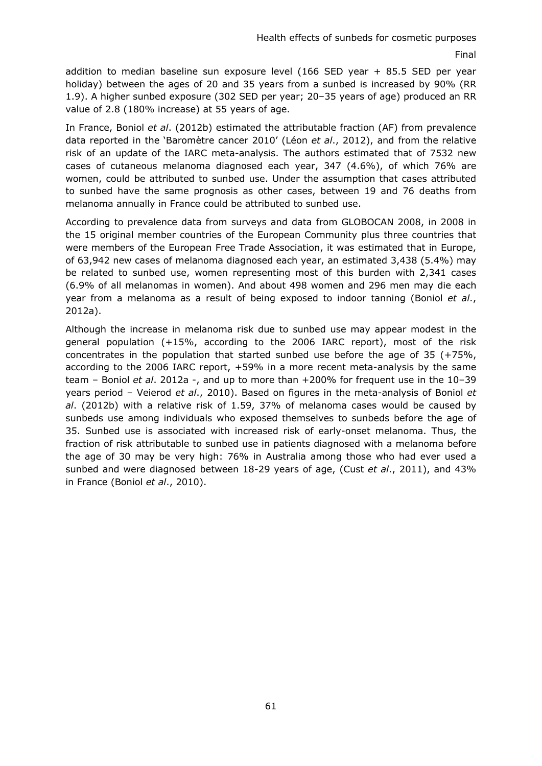addition to median baseline sun exposure level (166 SED year + 85.5 SED per year holiday) between the ages of 20 and 35 years from a sunbed is increased by 90% (RR 1.9). A higher sunbed exposure (302 SED per year; 20–35 years of age) produced an RR value of 2.8 (180% increase) at 55 years of age.

In France, Boniol *et al*. (2012b) estimated the attributable fraction (AF) from prevalence data reported in the 'Baromètre cancer 2010' (Léon *et al*., 2012), and from the relative risk of an update of the IARC meta-analysis. The authors estimated that of 7532 new cases of cutaneous melanoma diagnosed each year, 347 (4.6%), of which 76% are women, could be attributed to sunbed use. Under the assumption that cases attributed to sunbed have the same prognosis as other cases, between 19 and 76 deaths from melanoma annually in France could be attributed to sunbed use.

According to prevalence data from surveys and data from GLOBOCAN 2008, in 2008 in the 15 original member countries of the European Community plus three countries that were members of the European Free Trade Association, it was estimated that in Europe, of 63,942 new cases of melanoma diagnosed each year, an estimated 3,438 (5.4%) may be related to sunbed use, women representing most of this burden with 2,341 cases (6.9% of all melanomas in women). And about 498 women and 296 men may die each year from a melanoma as a result of being exposed to indoor tanning (Boniol *et al*., 2012a).

Although the increase in melanoma risk due to sunbed use may appear modest in the general population (+15%, according to the 2006 IARC report), most of the risk concentrates in the population that started sunbed use before the age of 35 (+75%, according to the 2006 IARC report, +59% in a more recent meta-analysis by the same team – Boniol *et al*. 2012a -, and up to more than +200% for frequent use in the 10–39 years period – Veierod *et al*., 2010). Based on figures in the meta-analysis of Boniol *et al*. (2012b) with a relative risk of 1.59, 37% of melanoma cases would be caused by sunbeds use among individuals who exposed themselves to sunbeds before the age of 35. Sunbed use is associated with increased risk of early-onset melanoma. Thus, the fraction of risk attributable to sunbed use in patients diagnosed with a melanoma before the age of 30 may be very high: 76% in Australia among those who had ever used a sunbed and were diagnosed between 18-29 years of age, (Cust *et al*., 2011), and 43% in France (Boniol *et al*., 2010).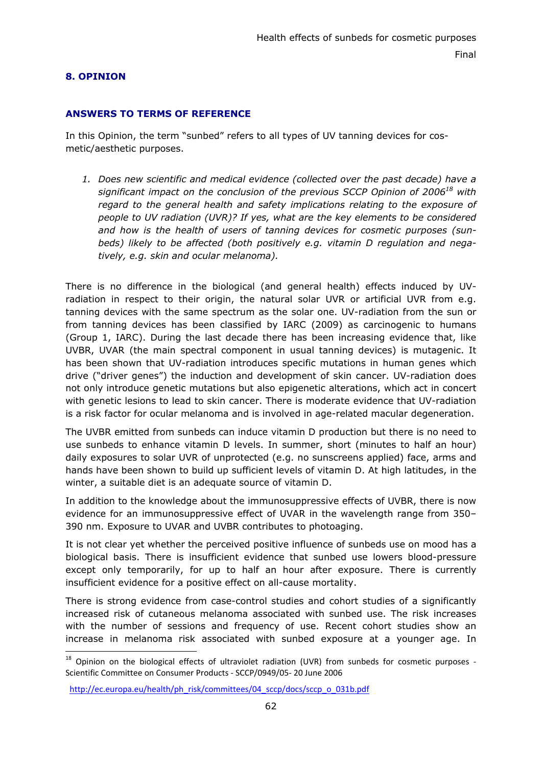### **8. OPINION**

-

### **ANSWERS TO TERMS OF REFERENCE**

In this Opinion, the term "sunbed" refers to all types of UV tanning devices for cosmetic/aesthetic purposes.

*1. Does new scientific and medical evidence (collected over the past decade) have a significant impact on the conclusion of the previous SCCP Opinion of 200618 with regard to the general health and safety implications relating to the exposure of people to UV radiation (UVR)? If yes, what are the key elements to be considered and how is the health of users of tanning devices for cosmetic purposes (sunbeds) likely to be affected (both positively e.g. vitamin D regulation and negatively, e.g. skin and ocular melanoma).*

There is no difference in the biological (and general health) effects induced by UVradiation in respect to their origin, the natural solar UVR or artificial UVR from e.g. tanning devices with the same spectrum as the solar one. UV-radiation from the sun or from tanning devices has been classified by IARC (2009) as carcinogenic to humans (Group 1, IARC). During the last decade there has been increasing evidence that, like UVBR, UVAR (the main spectral component in usual tanning devices) is mutagenic. It has been shown that UV-radiation introduces specific mutations in human genes which drive ("driver genes") the induction and development of skin cancer. UV-radiation does not only introduce genetic mutations but also epigenetic alterations, which act in concert with genetic lesions to lead to skin cancer. There is moderate evidence that UV-radiation is a risk factor for ocular melanoma and is involved in age-related macular degeneration.

The UVBR emitted from sunbeds can induce vitamin D production but there is no need to use sunbeds to enhance vitamin D levels. In summer, short (minutes to half an hour) daily exposures to solar UVR of unprotected (e.g. no sunscreens applied) face, arms and hands have been shown to build up sufficient levels of vitamin D. At high latitudes, in the winter, a suitable diet is an adequate source of vitamin D.

In addition to the knowledge about the immunosuppressive effects of UVBR, there is now evidence for an immunosuppressive effect of UVAR in the wavelength range from 350– 390 nm. Exposure to UVAR and UVBR contributes to photoaging.

It is not clear yet whether the perceived positive influence of sunbeds use on mood has a biological basis. There is insufficient evidence that sunbed use lowers blood-pressure except only temporarily, for up to half an hour after exposure. There is currently insufficient evidence for a positive effect on all-cause mortality.

There is strong evidence from case-control studies and cohort studies of a significantly increased risk of cutaneous melanoma associated with sunbed use. The risk increases with the number of sessions and frequency of use. Recent cohort studies show an increase in melanoma risk associated with sunbed exposure at a younger age. In

<sup>&</sup>lt;sup>18</sup> Opinion on the biological effects of ultraviolet radiation (UVR) from sunbeds for cosmetic purposes -Scientific Committee on Consumer Products - SCCP/0949/05- 20 June 2006

http://ec.europa.eu/health/ph\_risk/committees/04\_sccp/docs/sccp\_o\_031b.pdf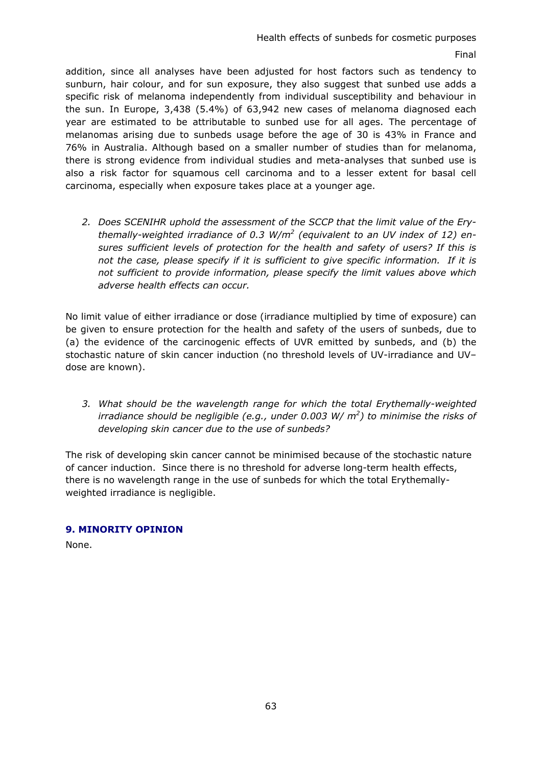addition, since all analyses have been adjusted for host factors such as tendency to sunburn, hair colour, and for sun exposure, they also suggest that sunbed use adds a specific risk of melanoma independently from individual susceptibility and behaviour in the sun. In Europe, 3,438 (5.4%) of 63,942 new cases of melanoma diagnosed each year are estimated to be attributable to sunbed use for all ages. The percentage of melanomas arising due to sunbeds usage before the age of 30 is 43% in France and 76% in Australia. Although based on a smaller number of studies than for melanoma, there is strong evidence from individual studies and meta-analyses that sunbed use is also a risk factor for squamous cell carcinoma and to a lesser extent for basal cell carcinoma, especially when exposure takes place at a younger age.

*2. Does SCENIHR uphold the assessment of the SCCP that the limit value of the Erythemally-weighted irradiance of 0.3 W/m2 (equivalent to an UV index of 12) ensures sufficient levels of protection for the health and safety of users? If this is not the case, please specify if it is sufficient to give specific information. If it is not sufficient to provide information, please specify the limit values above which adverse health effects can occur.* 

No limit value of either irradiance or dose (irradiance multiplied by time of exposure) can be given to ensure protection for the health and safety of the users of sunbeds, due to (a) the evidence of the carcinogenic effects of UVR emitted by sunbeds, and (b) the stochastic nature of skin cancer induction (no threshold levels of UV-irradiance and UV– dose are known).

*3. What should be the wavelength range for which the total Erythemally-weighted irradiance should be negligible (e.g., under 0.003 W/ m2 ) to minimise the risks of developing skin cancer due to the use of sunbeds?* 

The risk of developing skin cancer cannot be minimised because of the stochastic nature of cancer induction. Since there is no threshold for adverse long-term health effects, there is no wavelength range in the use of sunbeds for which the total Erythemallyweighted irradiance is negligible.

### **9. MINORITY OPINION**

None.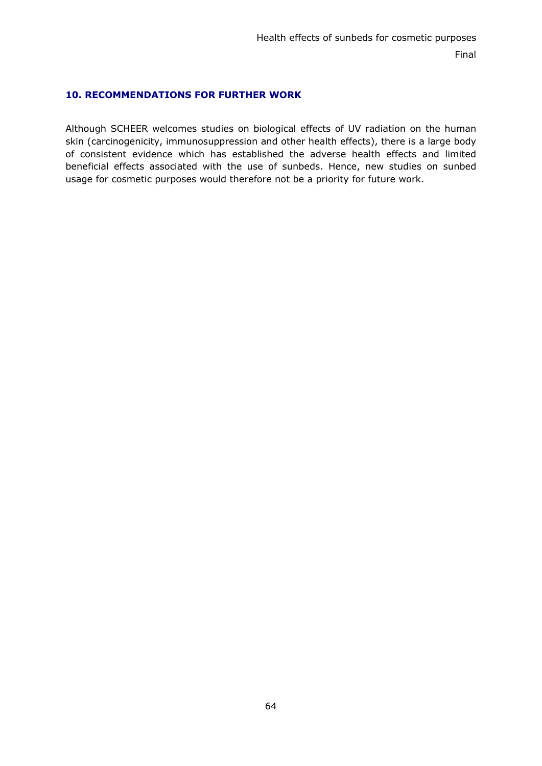### **10. RECOMMENDATIONS FOR FURTHER WORK**

Although SCHEER welcomes studies on biological effects of UV radiation on the human skin (carcinogenicity, immunosuppression and other health effects), there is a large body of consistent evidence which has established the adverse health effects and limited beneficial effects associated with the use of sunbeds. Hence, new studies on sunbed usage for cosmetic purposes would therefore not be a priority for future work.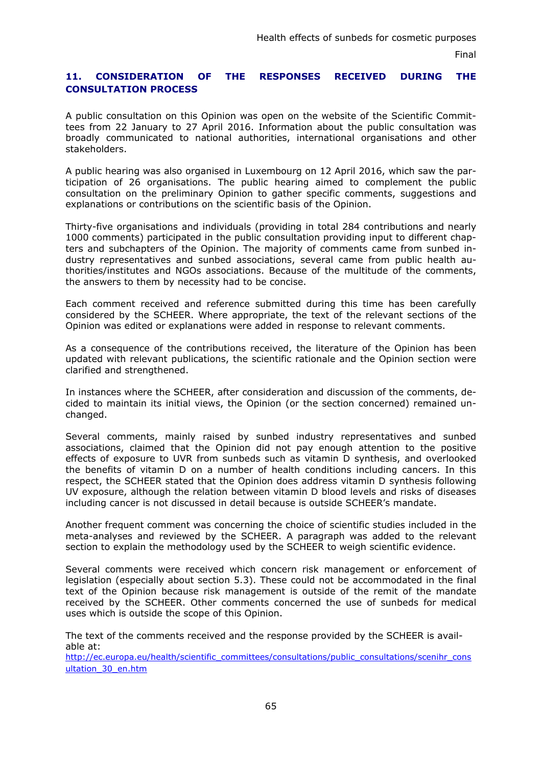# **11. CONSIDERATION OF THE RESPONSES RECEIVED DURING THE CONSULTATION PROCESS**

A public consultation on this Opinion was open on the website of the Scientific Committees from 22 January to 27 April 2016. Information about the public consultation was broadly communicated to national authorities, international organisations and other stakeholders.

A public hearing was also organised in Luxembourg on 12 April 2016, which saw the participation of 26 organisations. The public hearing aimed to complement the public consultation on the preliminary Opinion to gather specific comments, suggestions and explanations or contributions on the scientific basis of the Opinion.

Thirty-five organisations and individuals (providing in total 284 contributions and nearly 1000 comments) participated in the public consultation providing input to different chapters and subchapters of the Opinion. The majority of comments came from sunbed industry representatives and sunbed associations, several came from public health authorities/institutes and NGOs associations. Because of the multitude of the comments, the answers to them by necessity had to be concise.

Each comment received and reference submitted during this time has been carefully considered by the SCHEER. Where appropriate, the text of the relevant sections of the Opinion was edited or explanations were added in response to relevant comments.

As a consequence of the contributions received, the literature of the Opinion has been updated with relevant publications, the scientific rationale and the Opinion section were clarified and strengthened.

In instances where the SCHEER, after consideration and discussion of the comments, decided to maintain its initial views, the Opinion (or the section concerned) remained unchanged.

Several comments, mainly raised by sunbed industry representatives and sunbed associations, claimed that the Opinion did not pay enough attention to the positive effects of exposure to UVR from sunbeds such as vitamin D synthesis, and overlooked the benefits of vitamin D on a number of health conditions including cancers. In this respect, the SCHEER stated that the Opinion does address vitamin D synthesis following UV exposure, although the relation between vitamin D blood levels and risks of diseases including cancer is not discussed in detail because is outside SCHEER's mandate.

Another frequent comment was concerning the choice of scientific studies included in the meta-analyses and reviewed by the SCHEER. A paragraph was added to the relevant section to explain the methodology used by the SCHEER to weigh scientific evidence.

Several comments were received which concern risk management or enforcement of legislation (especially about section 5.3). These could not be accommodated in the final text of the Opinion because risk management is outside of the remit of the mandate received by the SCHEER. Other comments concerned the use of sunbeds for medical uses which is outside the scope of this Opinion.

The text of the comments received and the response provided by the SCHEER is available at:

[http://ec.europa.eu/health/scientific\\_committees/consultations/public\\_consultations/scenihr\\_cons](http://ec.europa.eu/health/scientific_committees/consultations/public_consultations/scenihr_consultation_30_en.htm) ultation\_30\_en.htm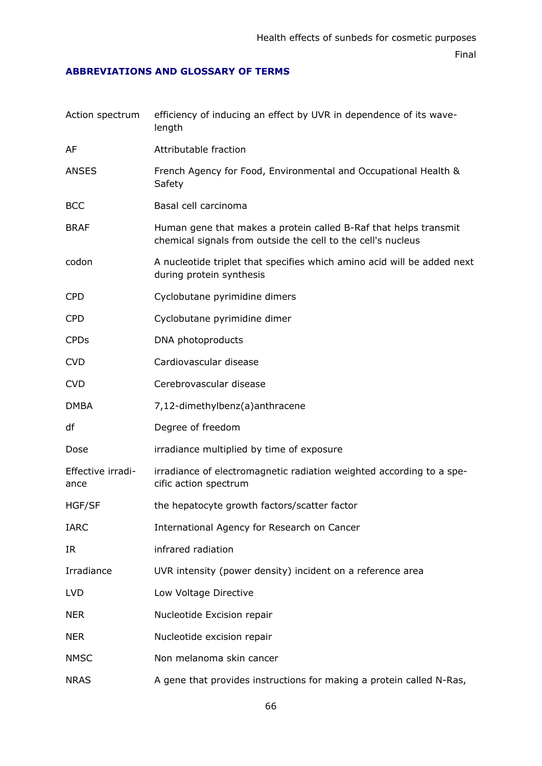### **ABBREVIATIONS AND GLOSSARY OF TERMS**

| Action spectrum           | efficiency of inducing an effect by UVR in dependence of its wave-<br>length                                                     |
|---------------------------|----------------------------------------------------------------------------------------------------------------------------------|
| AF                        | Attributable fraction                                                                                                            |
| <b>ANSES</b>              | French Agency for Food, Environmental and Occupational Health &<br>Safety                                                        |
| <b>BCC</b>                | Basal cell carcinoma                                                                                                             |
| <b>BRAF</b>               | Human gene that makes a protein called B-Raf that helps transmit<br>chemical signals from outside the cell to the cell's nucleus |
| codon                     | A nucleotide triplet that specifies which amino acid will be added next<br>during protein synthesis                              |
| <b>CPD</b>                | Cyclobutane pyrimidine dimers                                                                                                    |
| <b>CPD</b>                | Cyclobutane pyrimidine dimer                                                                                                     |
| <b>CPDs</b>               | DNA photoproducts                                                                                                                |
| <b>CVD</b>                | Cardiovascular disease                                                                                                           |
| <b>CVD</b>                | Cerebrovascular disease                                                                                                          |
| <b>DMBA</b>               | 7,12-dimethylbenz(a)anthracene                                                                                                   |
| df                        | Degree of freedom                                                                                                                |
| Dose                      | irradiance multiplied by time of exposure                                                                                        |
| Effective irradi-<br>ance | irradiance of electromagnetic radiation weighted according to a spe-<br>cific action spectrum                                    |
| <b>HGF/SF</b>             | the hepatocyte growth factors/scatter factor                                                                                     |
| <b>IARC</b>               | International Agency for Research on Cancer                                                                                      |
| IR                        | infrared radiation                                                                                                               |
| Irradiance                | UVR intensity (power density) incident on a reference area                                                                       |
| <b>LVD</b>                | Low Voltage Directive                                                                                                            |
| <b>NER</b>                | Nucleotide Excision repair                                                                                                       |
| <b>NER</b>                | Nucleotide excision repair                                                                                                       |
| <b>NMSC</b>               | Non melanoma skin cancer                                                                                                         |
| <b>NRAS</b>               | A gene that provides instructions for making a protein called N-Ras,                                                             |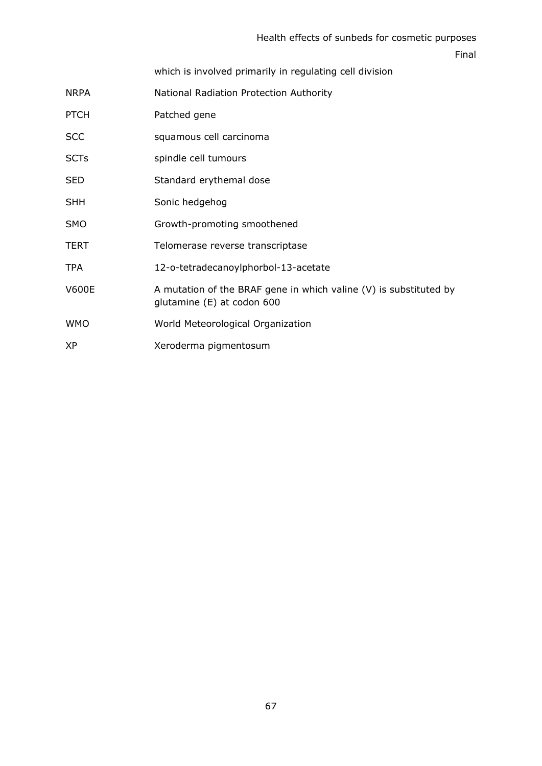### Health effects of sunbeds for cosmetic purposes

Final

which is involved primarily in regulating cell division

| NRPA | National Radiation Protection Authority |
|------|-----------------------------------------|

- PTCH Patched gene
- SCC squamous cell carcinoma
- SCTs spindle cell tumours
- SED Standard erythemal dose
- SHH Sonic hedgehog
- SMO Growth-promoting smoothened
- TERT TERT Telomerase reverse transcriptase
- TPA 12-o-tetradecanoylphorbol-13-acetate
- V600E A mutation of the BRAF gene in which valine (V) is substituted by glutamine (E) at codon 600
- WMO World Meteorological Organization
- XP Xeroderma pigmentosum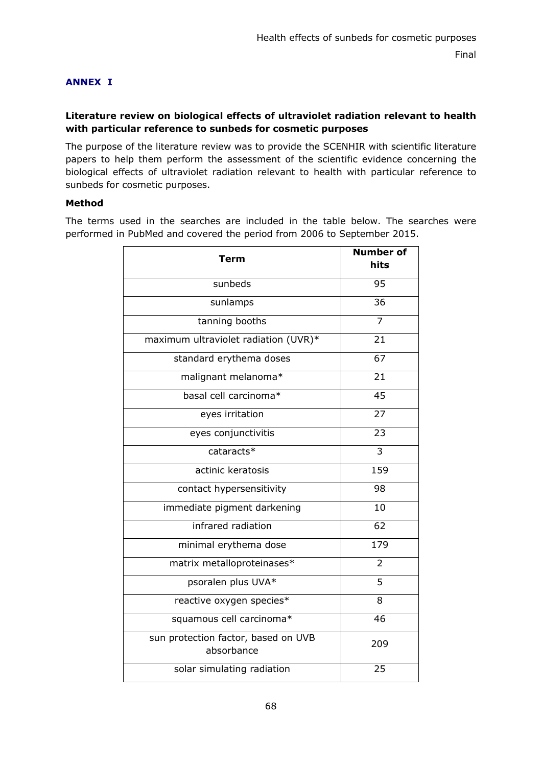# **ANNEX I**

### **Literature review on biological effects of ultraviolet radiation relevant to health with particular reference to sunbeds for cosmetic purposes**

The purpose of the literature review was to provide the SCENHIR with scientific literature papers to help them perform the assessment of the scientific evidence concerning the biological effects of ultraviolet radiation relevant to health with particular reference to sunbeds for cosmetic purposes.

### **Method**

The terms used in the searches are included in the table below. The searches were performed in PubMed and covered the period from 2006 to September 2015.

| Term                                              | <b>Number of</b><br>hits |
|---------------------------------------------------|--------------------------|
| sunbeds                                           | $\overline{95}$          |
| sunlamps                                          | 36                       |
| tanning booths                                    | $\overline{7}$           |
| maximum ultraviolet radiation (UVR)*              | 21                       |
| standard erythema doses                           | 67                       |
| malignant melanoma*                               | $\overline{21}$          |
| basal cell carcinoma*                             | 45                       |
| eyes irritation                                   | $\overline{2}$           |
| eyes conjunctivitis                               | 23                       |
| cataracts*                                        | 3                        |
| actinic keratosis                                 | 159                      |
| contact hypersensitivity                          | 98                       |
| immediate pigment darkening                       | 10                       |
| infrared radiation                                | 62                       |
| minimal erythema dose                             | 179                      |
| matrix metalloproteinases*                        | $\overline{2}$           |
| psoralen plus UVA*                                | $\overline{5}$           |
| reactive oxygen species*                          | 8                        |
| squamous cell carcinoma*                          | 46                       |
| sun protection factor, based on UVB<br>absorbance | 209                      |
| solar simulating radiation                        | 25                       |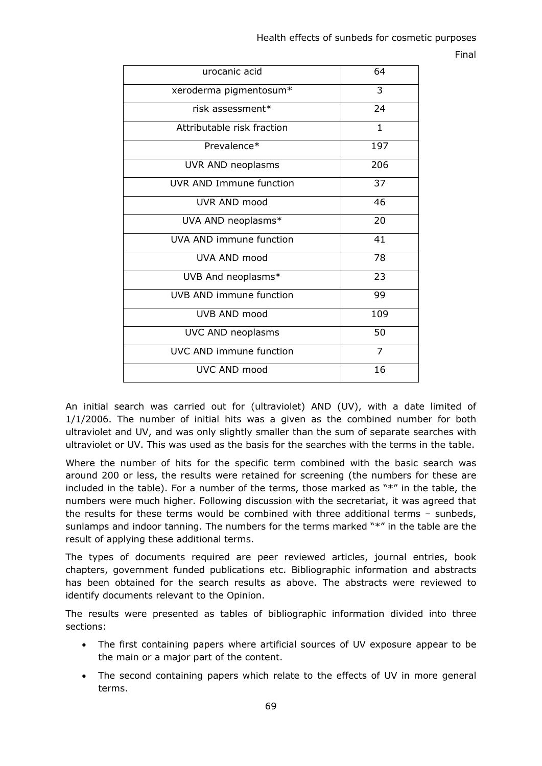| urocanic acid                  | 64           |
|--------------------------------|--------------|
| xeroderma pigmentosum*         | 3            |
| risk assessment*               | 24           |
| Attributable risk fraction     | $\mathbf{1}$ |
| Prevalence*                    | 197          |
| UVR AND neoplasms              | 206          |
| <b>UVR AND Immune function</b> | 37           |
| UVR AND mood                   | 46           |
| UVA AND neoplasms*             | 20           |
| UVA AND immune function        | 41           |
| UVA AND mood                   | 78           |
| UVB And neoplasms*             | 23           |
| UVB AND immune function        | 99           |
| UVB AND mood                   | 109          |
| UVC AND neoplasms              | 50           |
| UVC AND immune function        | 7            |
| UVC AND mood                   | 16           |

An initial search was carried out for (ultraviolet) AND (UV), with a date limited of 1/1/2006. The number of initial hits was a given as the combined number for both ultraviolet and UV, and was only slightly smaller than the sum of separate searches with ultraviolet or UV. This was used as the basis for the searches with the terms in the table.

Where the number of hits for the specific term combined with the basic search was around 200 or less, the results were retained for screening (the numbers for these are included in the table). For a number of the terms, those marked as "\*" in the table, the numbers were much higher. Following discussion with the secretariat, it was agreed that the results for these terms would be combined with three additional terms – sunbeds, sunlamps and indoor tanning. The numbers for the terms marked "\*" in the table are the result of applying these additional terms.

The types of documents required are peer reviewed articles, journal entries, book chapters, government funded publications etc. Bibliographic information and abstracts has been obtained for the search results as above. The abstracts were reviewed to identify documents relevant to the Opinion.

The results were presented as tables of bibliographic information divided into three sections:

- The first containing papers where artificial sources of UV exposure appear to be the main or a major part of the content.
- The second containing papers which relate to the effects of UV in more general terms.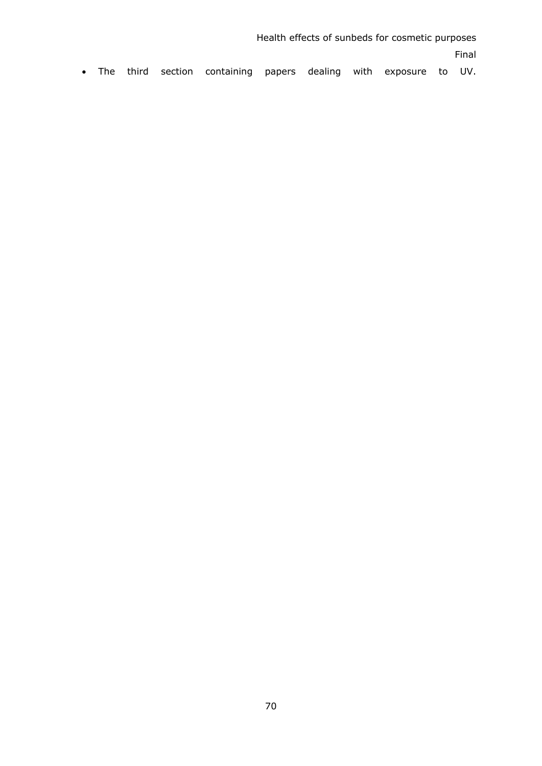Health effects of sunbeds for cosmetic purposes Final • The third section containing papers dealing with exposure to UV.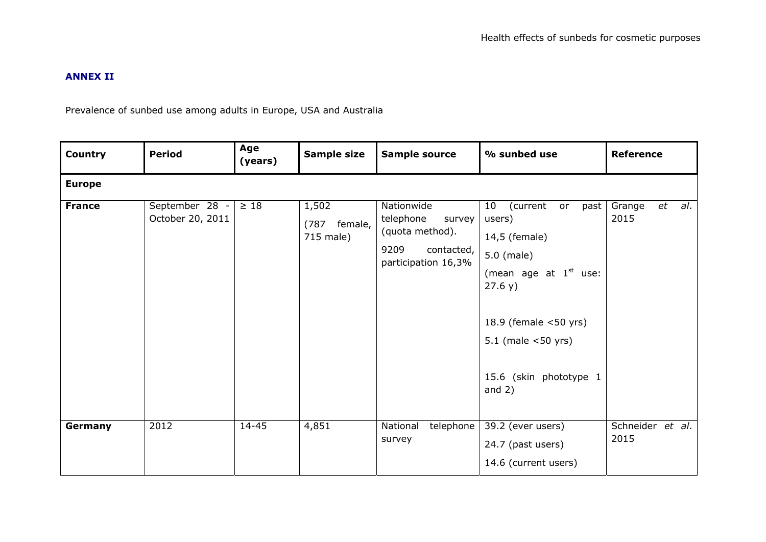### **ANNEX II**

Prevalence of sunbed use among adults in Europe, USA and Australia

| <b>Country</b> | <b>Period</b>                      | Age<br>(years) | Sample size                           | <b>Sample source</b>                                                                              | % sunbed use                                                                                                                                                                                                          | <b>Reference</b>            |
|----------------|------------------------------------|----------------|---------------------------------------|---------------------------------------------------------------------------------------------------|-----------------------------------------------------------------------------------------------------------------------------------------------------------------------------------------------------------------------|-----------------------------|
| <b>Europe</b>  |                                    |                |                                       |                                                                                                   |                                                                                                                                                                                                                       |                             |
| <b>France</b>  | September 28 -<br>October 20, 2011 | $\geq 18$      | 1,502<br>(787<br>female,<br>715 male) | Nationwide<br>telephone<br>survey<br>(quota method).<br>9209<br>contacted,<br>participation 16,3% | 10 <sub>1</sub><br>(current<br>past<br>or<br>users)<br>14,5 (female)<br>5.0 (male)<br>(mean age at $1st$ use:<br>27.6 y)<br>18.9 (female $<$ 50 yrs)<br>$5.1$ (male $<$ 50 yrs)<br>15.6 (skin phototype 1<br>and $2)$ | et<br>al.<br>Grange<br>2015 |
| Germany        | 2012                               | $14 - 45$      | 4,851                                 | telephone<br>National<br>survey                                                                   | 39.2 (ever users)<br>24.7 (past users)<br>14.6 (current users)                                                                                                                                                        | Schneider et al.<br>2015    |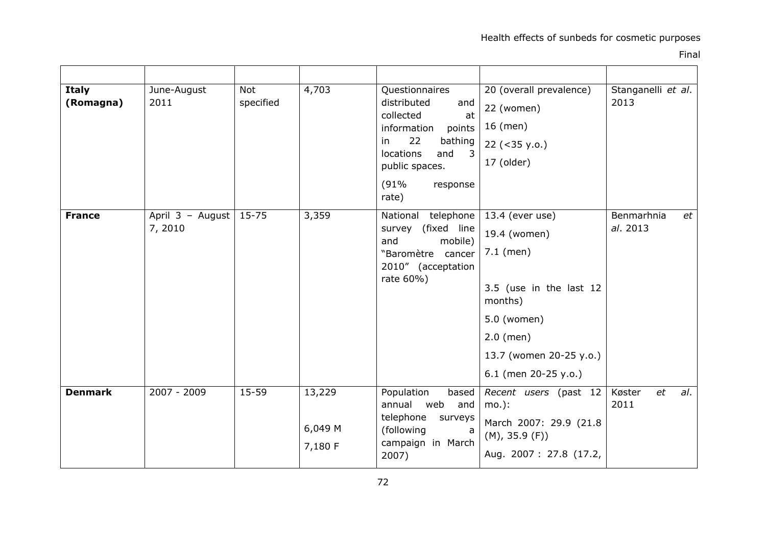Final

| <b>Italy</b><br>(Romagna) | June-August<br>2011         | <b>Not</b><br>specified | 4,703                        | Questionnaires<br>distributed<br>and<br>collected<br>at<br>information<br>points<br>22<br>bathing<br>in<br>locations<br>$\overline{\mathbf{3}}$<br>and<br>public spaces.<br>(91%<br>response<br>rate) | 20 (overall prevalence)<br>22 (women)<br>16 (men)<br>$22 (-35 y.0.)$<br>17 (older)                                                                                    | Stanganelli et al.<br>2013   |
|---------------------------|-----------------------------|-------------------------|------------------------------|-------------------------------------------------------------------------------------------------------------------------------------------------------------------------------------------------------|-----------------------------------------------------------------------------------------------------------------------------------------------------------------------|------------------------------|
| <b>France</b>             | April 3 - August<br>7, 2010 | $15 - 75$               | 3,359                        | National<br>telephone<br>(fixed line<br>survey<br>and<br>mobile)<br>"Baromètre cancer<br>2010" (acceptation<br>rate 60%)                                                                              | 13.4 (ever use)<br>19.4 (women)<br>$7.1$ (men)<br>3.5 (use in the last 12<br>months)<br>5.0 (women)<br>$2.0$ (men)<br>13.7 (women 20-25 y.o.)<br>6.1 (men 20-25 y.o.) | Benmarhnia<br>et<br>al. 2013 |
| <b>Denmark</b>            | 2007 - 2009                 | 15-59                   | 13,229<br>6,049 M<br>7,180 F | Population<br>based<br>annual web<br>and<br>telephone<br>surveys<br>(following<br>a<br>campaign in March<br>2007)                                                                                     | Recent users (past 12<br>$mo.$ :<br>March 2007: 29.9 (21.8<br>(M), 35.9 (F))<br>Aug. 2007: 27.8 (17.2,                                                                | Køster<br>et<br>al.<br>2011  |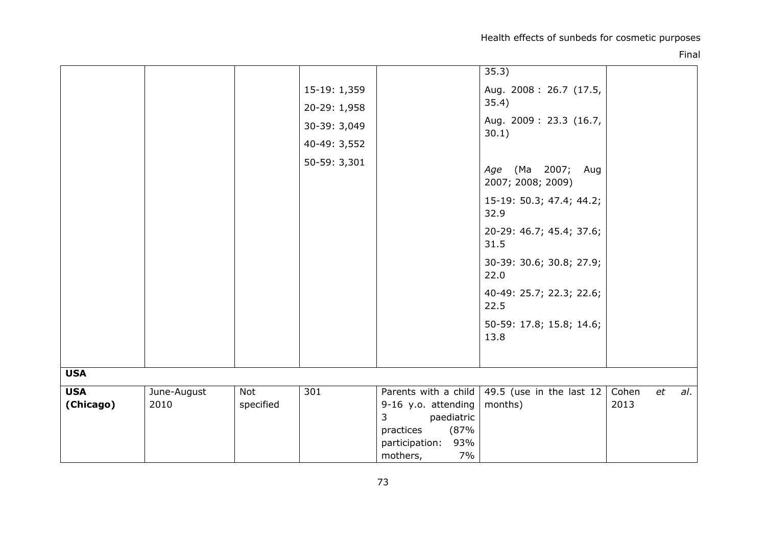Health effects of sunbeds for cosmetic purposes

|                         |                     |                  |                                                                              |                                                                                            | 35.3)                                                                                                                                                                                                                                                                                            |               |    |     |
|-------------------------|---------------------|------------------|------------------------------------------------------------------------------|--------------------------------------------------------------------------------------------|--------------------------------------------------------------------------------------------------------------------------------------------------------------------------------------------------------------------------------------------------------------------------------------------------|---------------|----|-----|
|                         |                     |                  | 15-19: 1,359<br>20-29: 1,958<br>30-39: 3,049<br>40-49: 3,552<br>50-59: 3,301 |                                                                                            | Aug. 2008: 26.7 (17.5,<br>35.4)<br>Aug. 2009: 23.3 (16.7,<br>30.1)<br>Age (Ma 2007; Aug<br>2007; 2008; 2009)<br>15-19: 50.3; 47.4; 44.2;<br>32.9<br>20-29: 46.7; 45.4; 37.6;<br>31.5<br>30-39: 30.6; 30.8; 27.9;<br>22.0<br>40-49: 25.7; 22.3; 22.6;<br>22.5<br>50-59: 17.8; 15.8; 14.6;<br>13.8 |               |    |     |
| <b>USA</b>              |                     |                  |                                                                              |                                                                                            |                                                                                                                                                                                                                                                                                                  |               |    |     |
| <b>USA</b><br>(Chicago) | June-August<br>2010 | Not<br>specified | 301                                                                          | Parents with a child<br>9-16 y.o. attending                                                | $\overline{49.5}$ (use in the last 12  <br>months)                                                                                                                                                                                                                                               | Cohen<br>2013 | et | al. |
|                         |                     |                  |                                                                              | $\mathbf{3}$<br>paediatric<br>practices<br>(87%<br>participation:<br>93%<br>7%<br>mothers, |                                                                                                                                                                                                                                                                                                  |               |    |     |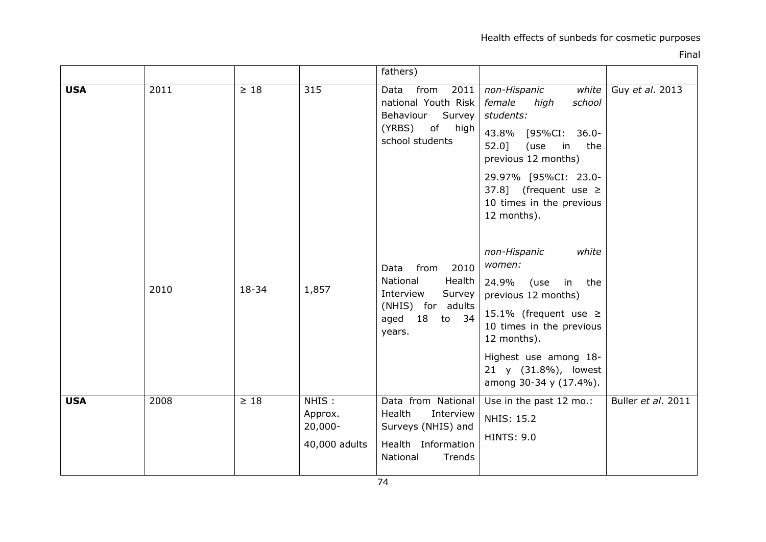|            |      |           |                                                 | fathers)                                                                                                    |                                                                                                                                                                                |                    |
|------------|------|-----------|-------------------------------------------------|-------------------------------------------------------------------------------------------------------------|--------------------------------------------------------------------------------------------------------------------------------------------------------------------------------|--------------------|
| <b>USA</b> | 2011 | $\geq 18$ | 315                                             | 2011<br>from<br>Data<br>national Youth Risk<br>Survey<br>Behaviour<br>of high<br>(YRBS)<br>school students  | non-Hispanic<br>white<br>female<br>high<br>school<br>students:<br>43.8%<br>[95%CI:<br>$36.0 -$<br>$52.0$ ]<br>(use<br>in<br>the<br>previous 12 months)<br>29.97% [95%CI: 23.0- | Guy et al. 2013    |
|            |      |           |                                                 |                                                                                                             | 37.8] (frequent use $\ge$<br>10 times in the previous<br>12 months).                                                                                                           |                    |
|            | 2010 | 18-34     | 1,857                                           | 2010<br>Data<br>from<br>National<br>Health<br>Interview<br>Survey                                           | non-Hispanic<br>white<br>women:<br>24.9%<br>use)<br>in<br>the<br>previous 12 months)                                                                                           |                    |
|            |      |           |                                                 | (NHIS) for adults<br>34<br>aged 18 to<br>years.                                                             | 15.1% (frequent use $\ge$<br>10 times in the previous<br>12 months).                                                                                                           |                    |
|            |      |           |                                                 |                                                                                                             | Highest use among 18-<br>21 y (31.8%), lowest<br>among 30-34 y (17.4%).                                                                                                        |                    |
| <b>USA</b> | 2008 | $\geq 18$ | NHIS:<br>Approx.<br>$20,000 -$<br>40,000 adults | Data from National<br>Health<br>Interview<br>Surveys (NHIS) and<br>Health Information<br>National<br>Trends | Use in the past 12 mo.:<br><b>NHIS: 15.2</b><br><b>HINTS: 9.0</b>                                                                                                              | Buller et al. 2011 |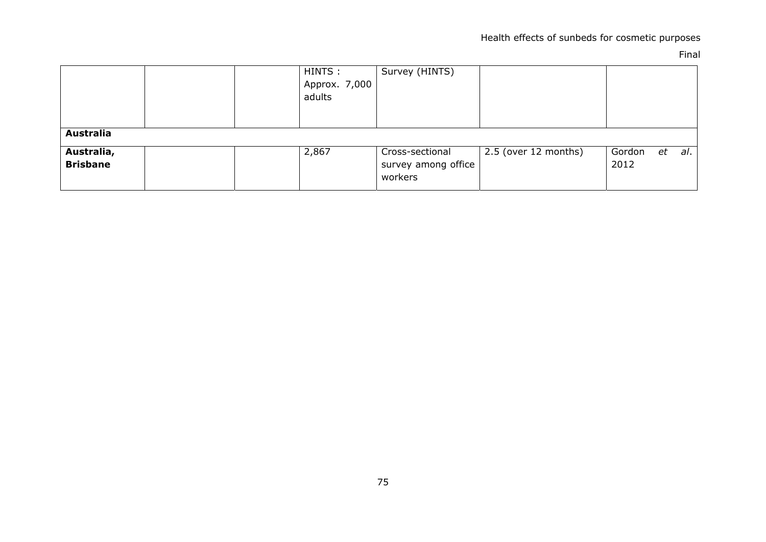|                               | HINTS :<br>Approx. 7,000<br>adults | Survey (HINTS)                                    |                      |                |    |     |
|-------------------------------|------------------------------------|---------------------------------------------------|----------------------|----------------|----|-----|
| <b>Australia</b>              |                                    |                                                   |                      |                |    |     |
| Australia,<br><b>Brisbane</b> | 2,867                              | Cross-sectional<br>survey among office<br>workers | 2.5 (over 12 months) | Gordon<br>2012 | et | al. |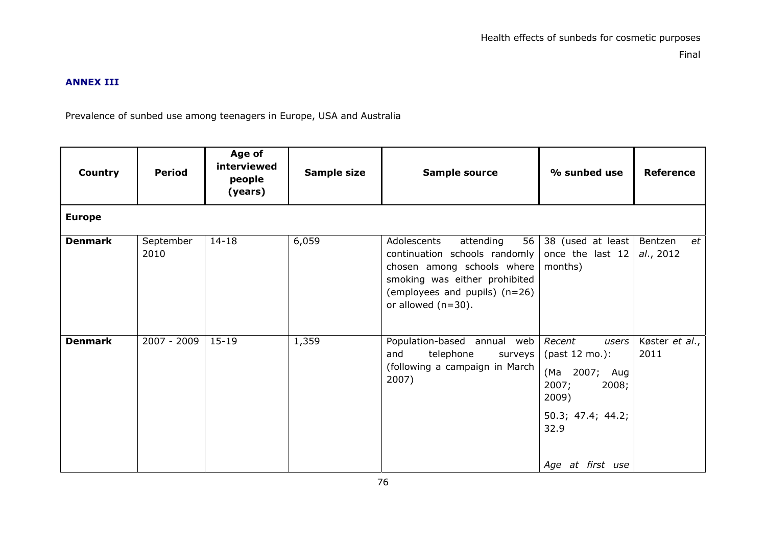## **ANNEX III**

Prevalence of sunbed use among teenagers in Europe, USA and Australia

| <b>Country</b> | <b>Period</b>     | Age of<br>interviewed<br>people<br>(years) | Sample size | Sample source                                                                                                                                                                            | % sunbed use                                                                                                                   | <b>Reference</b>           |
|----------------|-------------------|--------------------------------------------|-------------|------------------------------------------------------------------------------------------------------------------------------------------------------------------------------------------|--------------------------------------------------------------------------------------------------------------------------------|----------------------------|
| <b>Europe</b>  |                   |                                            |             |                                                                                                                                                                                          |                                                                                                                                |                            |
| <b>Denmark</b> | September<br>2010 | $14 - 18$                                  | 6,059       | 56<br>Adolescents<br>attending<br>continuation schools randomly<br>chosen among schools where<br>smoking was either prohibited<br>(employees and pupils) (n=26)<br>or allowed $(n=30)$ . | 38 (used at least<br>once the last 12<br>months)                                                                               | Bentzen<br>et<br>al., 2012 |
| <b>Denmark</b> | 2007 - 2009       | $15 - 19$                                  | 1,359       | Population-based annual web<br>telephone<br>and<br>surveys<br>(following a campaign in March<br>2007)                                                                                    | Recent<br>users<br>(past 12 mo.):<br>(Ma 2007; Aug<br>2007;<br>2008;<br>2009)<br>50.3; 47.4; 44.2;<br>32.9<br>Age at first use | Køster et al.,<br>2011     |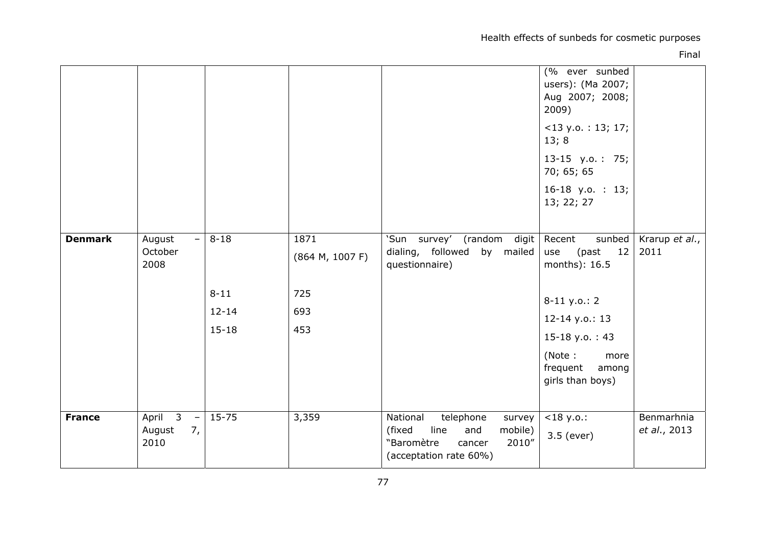Health effects of sunbeds for cosmetic purposes

|                |                                                                                      |                                                |                                              |                                                                                                                                | (% ever sunbed<br>users): (Ma 2007;<br>Aug 2007; 2008;<br>2009)<br>$<$ 13 y.o.: 13; 17;<br>13;8<br>13-15 y.o.: 75;<br>70; 65; 65<br>$16-18$ y.o. : 13;<br>13; 22; 27         |                            |
|----------------|--------------------------------------------------------------------------------------|------------------------------------------------|----------------------------------------------|--------------------------------------------------------------------------------------------------------------------------------|------------------------------------------------------------------------------------------------------------------------------------------------------------------------------|----------------------------|
| <b>Denmark</b> | August<br>$\overline{\phantom{a}}$<br>October<br>2008                                | $8 - 18$<br>$8 - 11$<br>$12 - 14$<br>$15 - 18$ | 1871<br>(864 M, 1007 F)<br>725<br>693<br>453 | 'Sun survey'<br>(random digit<br>dialing, followed<br>by mailed<br>questionnaire)                                              | sunbed<br>Recent<br>12<br>use<br>(past<br>months): 16.5<br>$8-11$ y.o.: 2<br>$12 - 14$ y.o.: 13<br>15-18 y.o.: 43<br>(Note:<br>more<br>frequent<br>among<br>girls than boys) | Krarup et al.,<br>2011     |
| <b>France</b>  | April $\overline{3}$<br>$\overline{\phantom{a}}$<br>7 <sub>r</sub><br>August<br>2010 | $15 - 75$                                      | 3,359                                        | telephone<br>National<br>survey<br>mobile)<br>line<br>and<br>(fixed<br>"Baromètre<br>2010"<br>cancer<br>(acceptation rate 60%) | $<$ 18 y.o.:<br>3.5 (ever)                                                                                                                                                   | Benmarhnia<br>et al., 2013 |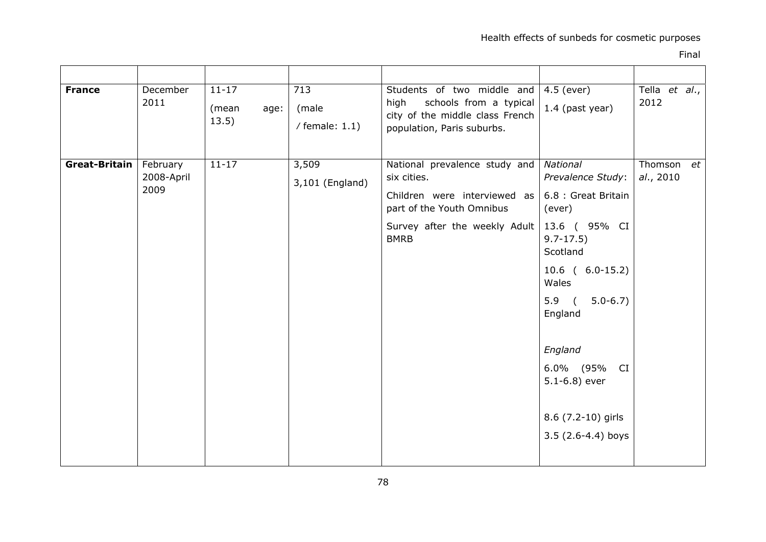| <b>France</b> | December<br>2011               | $11 - 17$<br>(mean<br>age:<br>13.5) | 713<br>(male<br>/ female: $1.1$ ) | Students of two middle and<br>high schools from a typical<br>city of the middle class French<br>population, Paris suburbs.                                | 4.5 (ever)<br>1.4 (past year)                                                                                                                                                                                                                             | Tella et al.,<br>2012   |  |
|---------------|--------------------------------|-------------------------------------|-----------------------------------|-----------------------------------------------------------------------------------------------------------------------------------------------------------|-----------------------------------------------------------------------------------------------------------------------------------------------------------------------------------------------------------------------------------------------------------|-------------------------|--|
| Great-Britain | February<br>2008-April<br>2009 | $11 - 17$                           | 3,509<br>3,101 (England)          | National prevalence study and<br>six cities.<br>Children were interviewed as<br>part of the Youth Omnibus<br>Survey after the weekly Adult<br><b>BMRB</b> | National<br>Prevalence Study:<br>6.8 : Great Britain<br>(ever)<br>13.6 ( 95% CI<br>$9.7 - 17.5$<br>Scotland<br>$10.6$ ( $6.0-15.2$ )<br>Wales<br>$5.9$ (<br>$5.0 - 6.7$<br>England<br>England<br>6.0% (95% CI<br>$5.1 - 6.8$ ) ever<br>8.6 (7.2-10) girls | Thomson et<br>al., 2010 |  |
|               |                                |                                     |                                   |                                                                                                                                                           | $3.5(2.6-4.4)$ boys                                                                                                                                                                                                                                       |                         |  |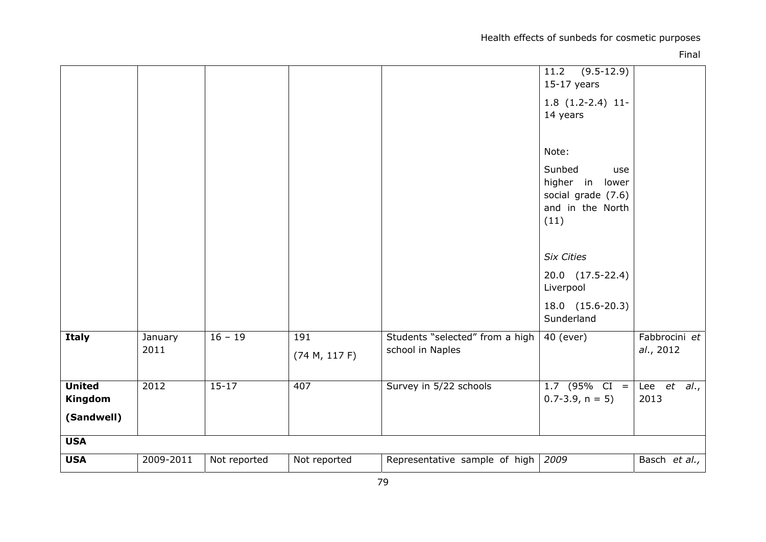Health effects of sunbeds for cosmetic purposes

|                                        |                 |              |               |                                      | $(9.5-12.9)$<br>11.2<br>$15-17$ years<br>$1.8(1.2-2.4)11-$<br>14 years<br>Note:<br>Sunbed<br>use<br>higher in lower<br>social grade (7.6)<br>and in the North<br>(11)<br><b>Six Cities</b><br>20.0 (17.5-22.4)<br>Liverpool<br>18.0 (15.6-20.3) |                     |
|----------------------------------------|-----------------|--------------|---------------|--------------------------------------|-------------------------------------------------------------------------------------------------------------------------------------------------------------------------------------------------------------------------------------------------|---------------------|
| <b>Italy</b>                           |                 | $16 - 19$    | 191           | Students "selected" from a high      | Sunderland<br>40 (ever)                                                                                                                                                                                                                         | Fabbrocini et       |
|                                        | January<br>2011 |              | (74 M, 117 F) | school in Naples                     |                                                                                                                                                                                                                                                 | al., 2012           |
| <b>United</b><br>Kingdom<br>(Sandwell) | 2012            | $15 - 17$    | 407           | Survey in 5/22 schools               | 1.7 (95% CI =<br>$0.7 - 3.9$ , $n = 5$ )                                                                                                                                                                                                        | Lee et al.,<br>2013 |
| <b>USA</b>                             |                 |              |               |                                      |                                                                                                                                                                                                                                                 |                     |
| <b>USA</b>                             | 2009-2011       | Not reported | Not reported  | Representative sample of high $2009$ |                                                                                                                                                                                                                                                 | Basch et al.,       |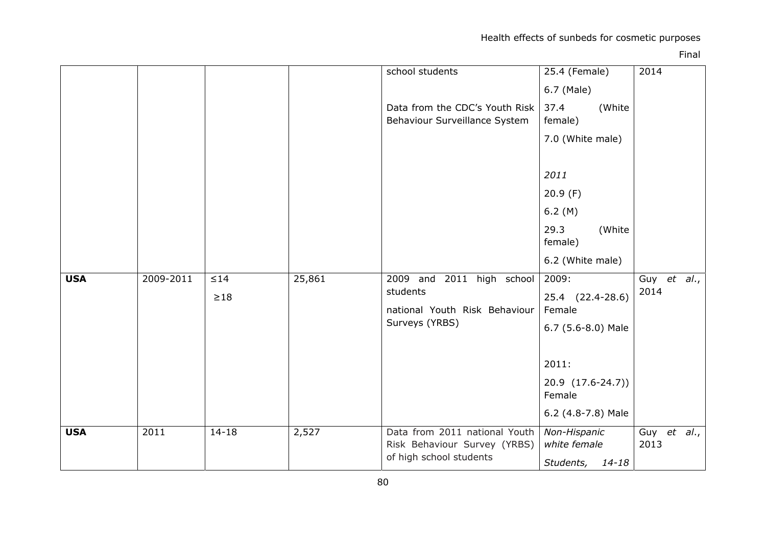|            |           |           |        | school students                                                                          | 25.4 (Female)                | 2014                |
|------------|-----------|-----------|--------|------------------------------------------------------------------------------------------|------------------------------|---------------------|
|            |           |           |        |                                                                                          | 6.7 (Male)                   |                     |
|            |           |           |        | Data from the CDC's Youth Risk<br>Behaviour Surveillance System                          | 37.4<br>(White<br>female)    |                     |
|            |           |           |        |                                                                                          | 7.0 (White male)             |                     |
|            |           |           |        |                                                                                          | 2011                         |                     |
|            |           |           |        |                                                                                          | 20.9(F)                      |                     |
|            |           |           |        |                                                                                          | 6.2(M)                       |                     |
|            |           |           |        |                                                                                          | 29.3<br>(White<br>female)    |                     |
|            |           |           |        |                                                                                          | 6.2 (White male)             |                     |
| <b>USA</b> | 2009-2011 | $\leq 14$ | 25,861 | 2009 and 2011 high school                                                                | 2009:                        | Guy et al.,         |
|            |           | $\geq$ 18 |        | students                                                                                 | 25.4 (22.4-28.6)             | 2014                |
|            |           |           |        | national Youth Risk Behaviour<br>Surveys (YRBS)                                          | Female                       |                     |
|            |           |           |        |                                                                                          | 6.7 (5.6-8.0) Male           |                     |
|            |           |           |        |                                                                                          |                              |                     |
|            |           |           |        |                                                                                          | 2011:                        |                     |
|            |           |           |        |                                                                                          | 20.9 (17.6-24.7))            |                     |
|            |           |           |        |                                                                                          | Female                       |                     |
|            |           |           |        |                                                                                          | 6.2 (4.8-7.8) Male           |                     |
| <b>USA</b> | 2011      | $14 - 18$ | 2,527  | Data from 2011 national Youth<br>Risk Behaviour Survey (YRBS)<br>of high school students | Non-Hispanic<br>white female | Guy et al.,<br>2013 |
|            |           |           |        |                                                                                          | Students,<br>14-18           |                     |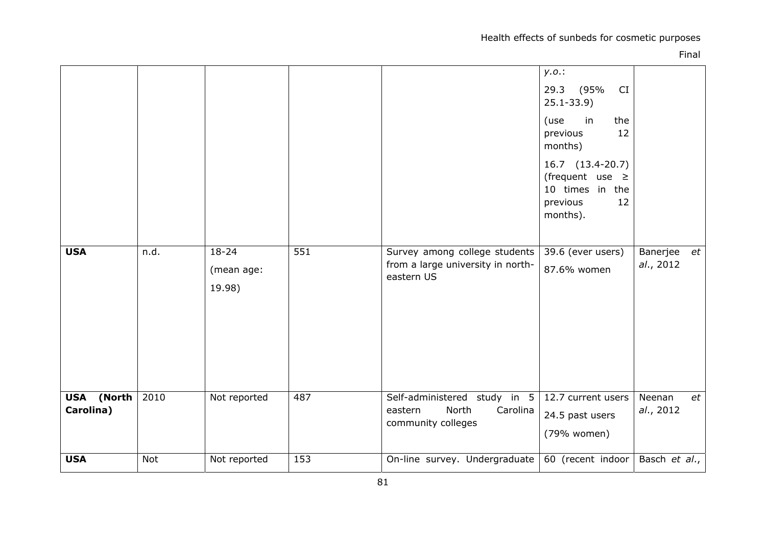Health effects of sunbeds for cosmetic purposes

|                         |      |                                   |     |                                                                                    | y.o.:<br>29.3 (95%)<br>CI<br>$25.1 - 33.9$<br>in<br>the<br>(use<br>12<br>previous<br>months)<br>16.7 (13.4-20.7)<br>(frequent use $\geq$<br>10 times in the<br>12<br>previous<br>months). |                             |
|-------------------------|------|-----------------------------------|-----|------------------------------------------------------------------------------------|-------------------------------------------------------------------------------------------------------------------------------------------------------------------------------------------|-----------------------------|
| <b>USA</b>              | n.d. | $18 - 24$<br>(mean age:<br>19.98) | 551 | Survey among college students<br>from a large university in north-<br>eastern US   | 39.6 (ever users)<br>87.6% women                                                                                                                                                          | Banerjee<br>et<br>al., 2012 |
| USA (North<br>Carolina) | 2010 | Not reported                      | 487 | Self-administered study in 5<br>North<br>Carolina<br>eastern<br>community colleges | 12.7 current users<br>24.5 past users<br>(79% women)                                                                                                                                      | Neenan<br>et<br>al., 2012   |
| <b>USA</b>              | Not  | Not reported                      | 153 | On-line survey. Undergraduate                                                      | 60 (recent indoor                                                                                                                                                                         | Basch et al.,               |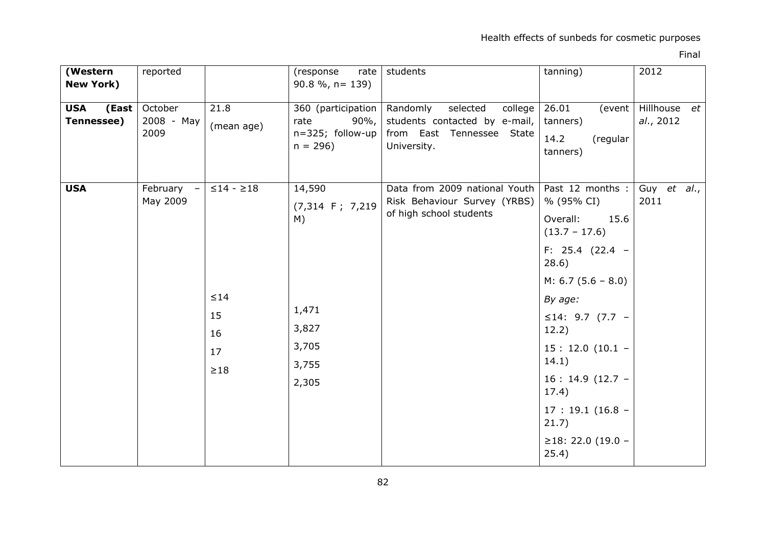| (Western<br><b>New York)</b>      | reported                                         |                                                         | (response<br>rate $ $<br>$90.8\%$ , n= 139)                                      | students                                                                                                     | tanning)                                                                                                                                                                                                                                                                                   | 2012                      |
|-----------------------------------|--------------------------------------------------|---------------------------------------------------------|----------------------------------------------------------------------------------|--------------------------------------------------------------------------------------------------------------|--------------------------------------------------------------------------------------------------------------------------------------------------------------------------------------------------------------------------------------------------------------------------------------------|---------------------------|
| <b>USA</b><br>(East<br>Tennessee) | October<br>2008 - May<br>2009                    | 21.8<br>(mean age)                                      | 360 (participation<br>$90\%$ ,<br>rate<br>n=325; follow-up<br>$n = 296$          | Randomly<br>selected<br>college<br>students contacted by e-mail,<br>from East Tennessee State<br>University. | 26.01<br>(event<br>tanners)<br>14.2<br>(regular<br>tanners)                                                                                                                                                                                                                                | Hillhouse et<br>al., 2012 |
| <b>USA</b>                        | February<br>$\overline{\phantom{m}}$<br>May 2009 | $≤14 - ≥18$<br>$\leq 14$<br>15<br>16<br>17<br>$\geq$ 18 | 14,590<br>$(7,314 \tF; 7,219$<br>M)<br>1,471<br>3,827<br>3,705<br>3,755<br>2,305 | Data from 2009 national Youth<br>Risk Behaviour Survey (YRBS)<br>of high school students                     | Past 12 months :<br>% (95% CI)<br>15.6<br>Overall:<br>$(13.7 - 17.6)$<br>F: $25.4$ (22.4 -<br>28.6)<br>$M: 6.7 (5.6 - 8.0)$<br>By age:<br>≤14: 9.7 (7.7 –<br>12.2)<br>$15: 12.0 (10.1 -$<br>14.1)<br>$16: 14.9(12.7 -$<br>17.4)<br>$17:19.1(16.8 -$<br>21.7)<br>≥18: 22.0 (19.0 –<br>25.4) | Guy et al.,<br>2011       |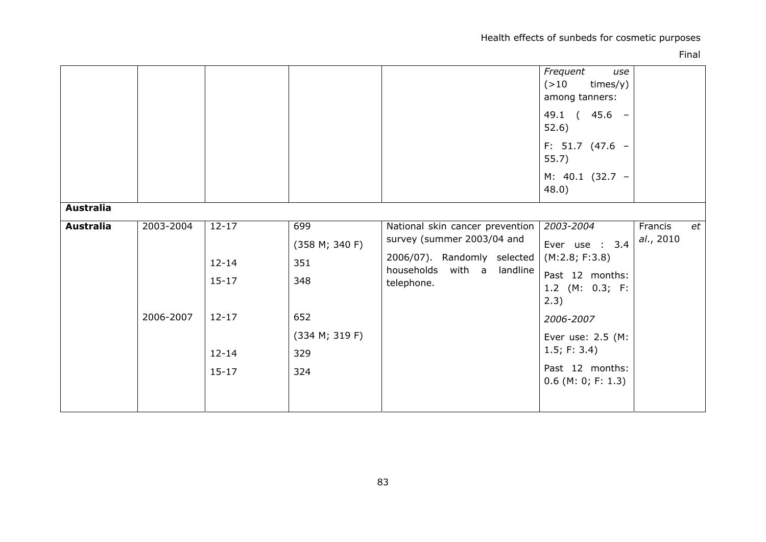Health effects of sunbeds for cosmetic purposes

| <b>Australia</b> |           |                                     |                                     |                                                                                                                                             | Frequent<br>use<br>( > 10)<br>times/y)<br>among tanners:<br>49.1 ( 45.6 -<br>52.6)<br>F: 51.7 (47.6 -<br>55.7)<br>M: 40.1 (32.7 -<br>48.0) |                            |
|------------------|-----------|-------------------------------------|-------------------------------------|---------------------------------------------------------------------------------------------------------------------------------------------|--------------------------------------------------------------------------------------------------------------------------------------------|----------------------------|
| <b>Australia</b> | 2003-2004 | $12 - 17$<br>$12 - 14$<br>$15 - 17$ | 699<br>(358 M; 340 F)<br>351<br>348 | National skin cancer prevention<br>survey (summer 2003/04 and<br>2006/07). Randomly selected<br>households with a<br>landline<br>telephone. | 2003-2004<br>Ever use : 3.4<br>(M:2.8; F:3.8)<br>Past 12 months:<br>1.2 (M: 0.3; F:<br>2.3)                                                | Francis<br>et<br>al., 2010 |
|                  | 2006-2007 | $12 - 17$<br>$12 - 14$<br>$15 - 17$ | 652<br>(334 M; 319 F)<br>329<br>324 |                                                                                                                                             | 2006-2007<br>Ever use: 2.5 (M:<br>1.5; F: 3.4)<br>Past 12 months:<br>$0.6$ (M: 0; F: 1.3)                                                  |                            |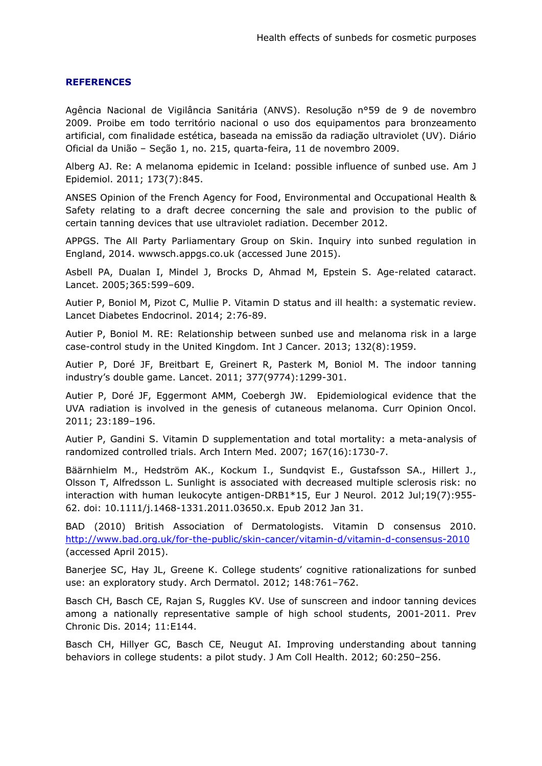## **REFERENCES**

Agência Nacional de Vigilância Sanitária (ANVS). Resolução nº59 de 9 de novembro 2009. Proibe em todo território nacional o uso dos equipamentos para bronzeamento artificial, com finalidade estética, baseada na emissão da radiação ultraviolet (UV). Diário Oficial da União – Seção 1, no. 215, quarta-feira, 11 de novembro 2009.

Alberg AJ. Re: A melanoma epidemic in Iceland: possible influence of sunbed use. Am J Epidemiol. 2011; 173(7):845.

ANSES Opinion of the French Agency for Food, Environmental and Occupational Health & Safety relating to a draft decree concerning the sale and provision to the public of certain tanning devices that use ultraviolet radiation. December 2012.

APPGS. The All Party Parliamentary Group on Skin. Inquiry into sunbed regulation in England, 2014. [wwwsch.appgs.co.uk](http://www.appgs.co.uk/) (accessed June 2015).

Asbell PA, Dualan I, Mindel J, Brocks D, Ahmad M, Epstein S. Age-related cataract. Lancet. 2005;365:599–609.

Autier P, Boniol M, Pizot C, Mullie P. Vitamin D status and ill health: a systematic review. Lancet Diabetes Endocrinol. 2014; 2:76-89.

Autier P, Boniol M. RE: Relationship between sunbed use and melanoma risk in a large case-control study in the United Kingdom. Int J Cancer. 2013; 132(8):1959.

Autier P, Doré JF, Breitbart E, Greinert R, Pasterk M, Boniol M. The indoor tanning industry's double game. Lancet. 2011; 377(9774):1299-301.

Autier P, Doré JF, Eggermont AMM, Coebergh JW. Epidemiological evidence that the UVA radiation is involved in the genesis of cutaneous melanoma. Curr Opinion Oncol. 2011; 23:189–196.

Autier P, Gandini S. Vitamin D supplementation and total mortality: a meta-analysis of randomized controlled trials. Arch Intern Med. 2007; 167(16):1730-7.

[Bäärnhielm M.](https://www.ncbi.nlm.nih.gov/pubmed/?term=B%C3%A4%C3%A4rnhielm%20M%5BAuthor%5D&cauthor=true&cauthor_uid=22289117), [Hedström AK.](https://www.ncbi.nlm.nih.gov/pubmed/?term=Hedstr%C3%B6m%20AK%5BAuthor%5D&cauthor=true&cauthor_uid=22289117), [Kockum I.](https://www.ncbi.nlm.nih.gov/pubmed/?term=Kockum%20I%5BAuthor%5D&cauthor=true&cauthor_uid=22289117), [Sundqvist E.](https://www.ncbi.nlm.nih.gov/pubmed/?term=Sundqvist%20E%5BAuthor%5D&cauthor=true&cauthor_uid=22289117), [Gustafsson SA.](https://www.ncbi.nlm.nih.gov/pubmed/?term=Gustafsson%20SA%5BAuthor%5D&cauthor=true&cauthor_uid=22289117), [Hillert J.](https://www.ncbi.nlm.nih.gov/pubmed/?term=Hillert%20J%5BAuthor%5D&cauthor=true&cauthor_uid=22289117), [Olsson T,](https://www.ncbi.nlm.nih.gov/pubmed/?term=Olsson%20T%5BAuthor%5D&cauthor=true&cauthor_uid=22289117) [Alfredsson L.](https://www.ncbi.nlm.nih.gov/pubmed/?term=Alfredsson%20L%5BAuthor%5D&cauthor=true&cauthor_uid=22289117) Sunlight is associated with decreased multiple sclerosis risk: no interaction with human leukocyte antigen-DRB1\*15, [Eur J Neurol.](https://www.ncbi.nlm.nih.gov/pubmed/22289117) 2012 Jul;19(7):955- 62. doi: 10.1111/j.1468-1331.2011.03650.x. Epub 2012 Jan 31.

BAD (2010) British Association of Dermatologists. Vitamin D consensus 2010. <http://www.bad.org.uk/for-the-public/skin-cancer/vitamin-d/vitamin-d-consensus-2010> (accessed April 2015).

Banerjee SC, Hay JL, Greene K. College students' cognitive rationalizations for sunbed use: an exploratory study. Arch Dermatol. 2012; 148:761–762.

Basch CH, Basch CE, Rajan S, Ruggles KV. Use of sunscreen and indoor tanning devices among a nationally representative sample of high school students, 2001-2011. Prev Chronic Dis. 2014; 11:E144.

Basch CH, Hillyer GC, Basch CE, Neugut AI. Improving understanding about tanning behaviors in college students: a pilot study. J Am Coll Health. 2012; 60:250–256.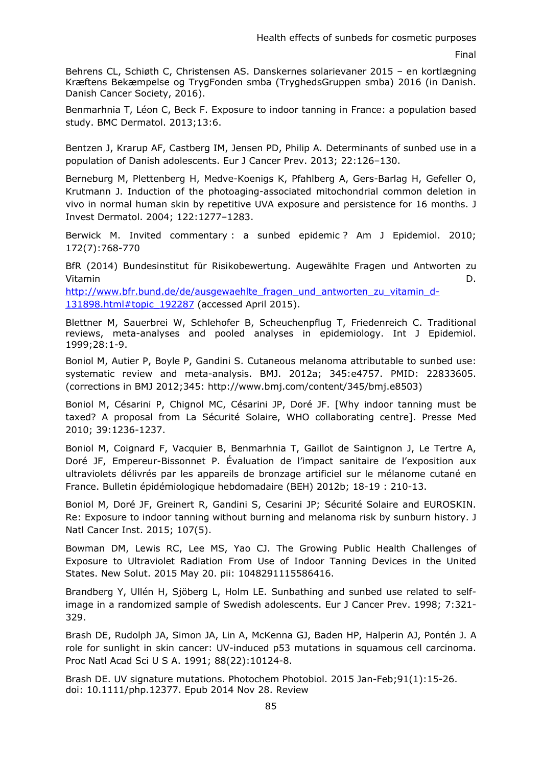Behrens CL, Schiøth C, Christensen AS. Danskernes solarievaner 2015 – en kortlægning Kræftens Bekæmpelse og TrygFonden smba (TryghedsGruppen smba) 2016 (in Danish. Danish Cancer Society, 2016).

Benmarhnia T, Léon C, Beck F. Exposure to indoor tanning in France: a population based study. BMC Dermatol. 2013;13:6.

Bentzen J, Krarup AF, Castberg IM, Jensen PD, Philip A. Determinants of sunbed use in a population of Danish adolescents. Eur J Cancer Prev. 2013; 22:126–130.

Berneburg M, Plettenberg H, Medve-Koenigs K, Pfahlberg A, Gers-Barlag H, Gefeller O, Krutmann J. Induction of the photoaging-associated mitochondrial common deletion in vivo in normal human skin by repetitive UVA exposure and persistence for 16 months. J Invest Dermatol. 2004; 122:1277–1283.

Berwick M. Invited commentary : a sunbed epidemic ? Am J Epidemiol. 2010; 172(7):768-770

BfR (2014) Bundesinstitut für Risikobewertung. Augewählte Fragen und Antworten zu Vitamin D.

[http://www.bfr.bund.de/de/ausgewaehlte\\_fragen\\_und\\_antworten\\_zu\\_vitamin\\_d-](http://www.bfr.bund.de/de/ausgewaehlte_fragen_und_antworten_zu_vitamin_d-131898.html#topic_192287)[131898.html#topic\\_192287](http://www.bfr.bund.de/de/ausgewaehlte_fragen_und_antworten_zu_vitamin_d-131898.html#topic_192287) (accessed April 2015).

Blettner M, Sauerbrei W, Schlehofer B, Scheuchenpflug T, Friedenreich C. Traditional reviews, meta-analyses and pooled analyses in epidemiology. Int J Epidemiol. 1999;28:1-9.

Boniol M, Autier P, Boyle P, Gandini S. Cutaneous melanoma attributable to sunbed use: systematic review and meta-analysis. BMJ. 2012a; 345:e4757. PMID: 22833605. (corrections in BMJ 2012;345: http://www.bmj.com/content/345/bmj.e8503)

Boniol M, Césarini P, Chignol MC, Césarini JP, Doré JF. [Why indoor tanning must be taxed? A proposal from La Sécurité Solaire, WHO collaborating centre]. Presse Med 2010; 39:1236-1237.

Boniol M, Coignard F, Vacquier B, Benmarhnia T, Gaillot de Saintignon J, Le Tertre A, Doré JF, Empereur-Bissonnet P. Évaluation de l'impact sanitaire de l'exposition aux ultraviolets délivrés par les appareils de bronzage artificiel sur le mélanome cutané en France. Bulletin épidémiologique hebdomadaire (BEH) 2012b; 18-19 : 210-13.

Boniol M, Doré JF, Greinert R, Gandini S, Cesarini JP; Sécurité Solaire and EUROSKIN. Re: Exposure to indoor tanning without burning and melanoma risk by sunburn history. J Natl Cancer Inst. 2015; 107(5).

Bowman DM, Lewis RC, Lee MS, Yao CJ. The Growing Public Health Challenges of Exposure to Ultraviolet Radiation From Use of Indoor Tanning Devices in the United States. New Solut. 2015 May 20. pii: 1048291115586416.

Brandberg Y, Ullén H, Sjöberg L, Holm LE. Sunbathing and sunbed use related to selfimage in a randomized sample of Swedish adolescents. Eur J Cancer Prev. 1998; 7:321- 329.

Brash DE, Rudolph JA, Simon JA, Lin A, McKenna GJ, Baden HP, Halperin AJ, Pontén J. A role for sunlight in skin cancer: UV-induced p53 mutations in squamous cell carcinoma. Proc Natl Acad Sci U S A. 1991; 88(22):10124-8.

Brash DE. UV signature mutations. Photochem Photobiol. 2015 Jan-Feb;91(1):15-26. doi: 10.1111/php.12377. Epub 2014 Nov 28. Review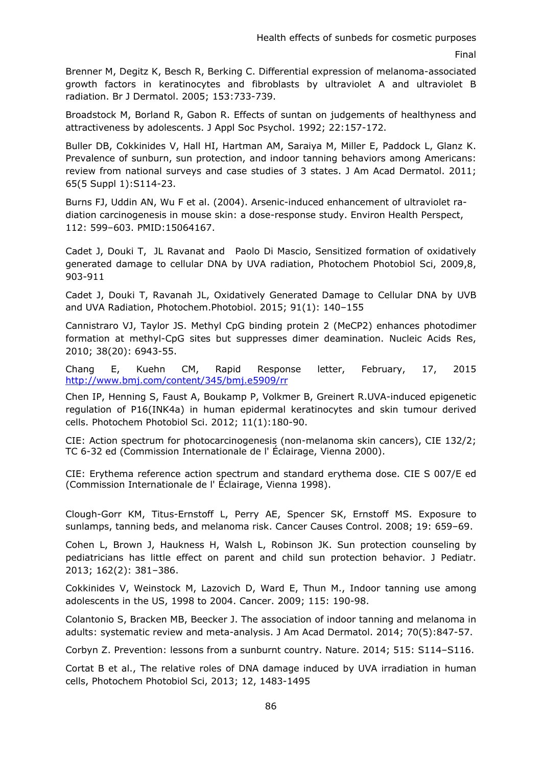Brenner M, Degitz K, Besch R, Berking C. Differential expression of melanoma-associated growth factors in keratinocytes and fibroblasts by ultraviolet A and ultraviolet B radiation. Br J Dermatol. 2005; 153:733-739.

Broadstock M, Borland R, Gabon R. Effects of suntan on judgements of healthyness and attractiveness by adolescents. J Appl Soc Psychol. 1992; 22:157-172.

Buller DB, Cokkinides V, Hall HI, Hartman AM, Saraiya M, Miller E, Paddock L, Glanz K. Prevalence of sunburn, sun protection, and indoor tanning behaviors among Americans: review from national surveys and case studies of 3 states. J Am Acad Dermatol. 2011; 65(5 Suppl 1):S114-23.

Burns FJ, Uddin AN, Wu F et al. (2004). Arsenic-induced enhancement of ultraviolet radiation carcinogenesis in mouse skin: a dose-response study. Environ Health Perspect, 112: 599–603. PMID:15064167.

[Cadet](http://pubs.rsc.org/en/results?searchtext=Author:Jean%20Cadet) J, [Douki](http://pubs.rsc.org/en/results?searchtext=Author:Thierry%20Douki) T, [JL Ravanat](http://pubs.rsc.org/en/results?searchtext=Author:Jean-Luc%20Ravanat) and [Paolo Di Mascio,](http://pubs.rsc.org/en/results?searchtext=Author:Paolo%20Di%20Mascio) Sensitized formation of oxidatively generated damage to cellular DNA by UVA radiation, Photochem Photobiol Sci, 2009,8, 903-911

Cadet J, Douki T, Ravanah JL, Oxidatively Generated Damage to Cellular DNA by UVB and UVA Radiation, Photochem.Photobiol. 2015; 91(1): 140–155

Cannistraro VJ, Taylor JS. Methyl CpG binding protein 2 (MeCP2) enhances photodimer formation at methyl-CpG sites but suppresses dimer deamination. Nucleic Acids Res, 2010; 38(20): 6943-55.

Chang E, Kuehn CM, Rapid Response letter, February, 17, 2015 <http://www.bmj.com/content/345/bmj.e5909/rr>

Chen IP, Henning S, Faust A, Boukamp P, Volkmer B, Greinert R.UVA-induced epigenetic regulation of P16(INK4a) in human epidermal keratinocytes and skin tumour derived cells. Photochem Photobiol Sci. 2012; 11(1):180-90.

CIE: Action spectrum for photocarcinogenesis (non-melanoma skin cancers), CIE 132/2; TC 6-32 ed (Commission Internationale de l' Éclairage, Vienna 2000).

CIE: Erythema reference action spectrum and standard erythema dose. CIE S 007/E ed (Commission Internationale de l' Éclairage, Vienna 1998).

Clough-Gorr KM, Titus-Ernstoff L, Perry AE, Spencer SK, Ernstoff MS. Exposure to sunlamps, tanning beds, and melanoma risk. Cancer Causes Control. 2008; 19: 659–69.

Cohen L, Brown J, Haukness H, Walsh L, Robinson JK. Sun protection counseling by pediatricians has little effect on parent and child sun protection behavior. J Pediatr. 2013; 162(2): 381–386.

Cokkinides V, Weinstock M, Lazovich D, Ward E, Thun M., Indoor tanning use among adolescents in the US, 1998 to 2004. Cancer. 2009; 115: 190-98.

Colantonio S, Bracken MB, Beecker J. The association of indoor tanning and melanoma in adults: systematic review and meta-analysis. J Am Acad Dermatol. 2014; 70(5):847-57.

Corbyn Z. Prevention: lessons from a sunburnt country. Nature. 2014; 515: S114–S116.

Cortat B et al., The relative roles of DNA damage induced by UVA irradiation in human cells, Photochem Photobiol Sci, 2013; 12, 1483-1495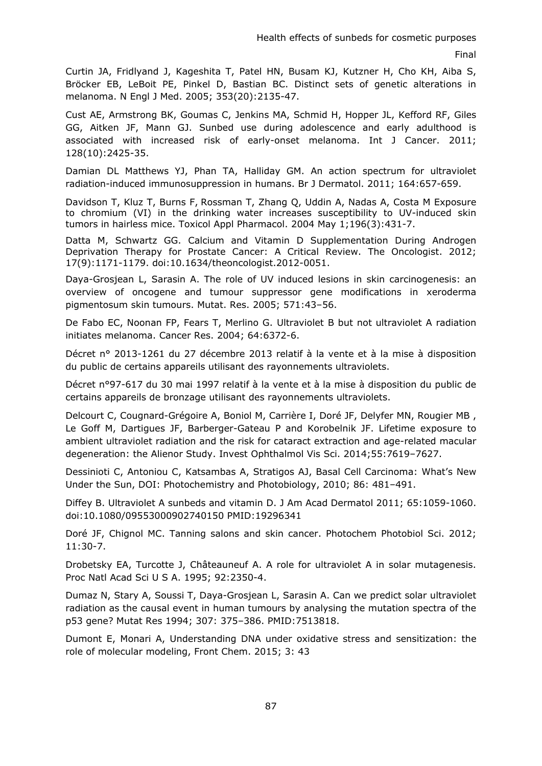Curtin JA, Fridlyand J, Kageshita T, Patel HN, Busam KJ, Kutzner H, Cho KH, Aiba S, Bröcker EB, LeBoit PE, Pinkel D, Bastian BC. Distinct sets of genetic alterations in melanoma. N Engl J Med. 2005; 353(20):2135-47.

Cust AE, Armstrong BK, Goumas C, Jenkins MA, Schmid H, Hopper JL, Kefford RF, Giles GG, Aitken JF, Mann GJ. Sunbed use during adolescence and early adulthood is associated with increased risk of early-onset melanoma. Int J Cancer. 2011; 128(10):2425-35.

Damian DL Matthews YJ, Phan TA, Halliday GM. An action spectrum for ultraviolet radiation-induced immunosuppression in humans. Br J Dermatol. 2011; 164:657-659.

Davidson T, Kluz T, Burns F, Rossman T, Zhang Q, Uddin A, Nadas A, Costa M Exposure to chromium (VI) in the drinking water increases susceptibility to UV-induced skin tumors in hairless mice. Toxicol Appl Pharmacol. 2004 May 1;196(3):431-7.

Datta M, Schwartz GG. Calcium and Vitamin D Supplementation During Androgen Deprivation Therapy for Prostate Cancer: A Critical Review. The Oncologist. 2012; 17(9):1171-1179. doi:10.1634/theoncologist.2012-0051.

Daya-Grosjean L, Sarasin A. The role of UV induced lesions in skin carcinogenesis: an overview of oncogene and tumour suppressor gene modifications in xeroderma pigmentosum skin tumours. Mutat. Res. 2005; 571:43–56.

De Fabo EC, Noonan FP, Fears T, Merlino G. Ultraviolet B but not ultraviolet A radiation initiates melanoma. Cancer Res. 2004; 64:6372-6.

Décret n° 2013-1261 du 27 décembre 2013 relatif à la vente et à la mise à disposition du public de certains appareils utilisant des rayonnements ultraviolets.

Décret n°97-617 du 30 mai 1997 relatif à la vente et à la mise à disposition du public de certains appareils de bronzage utilisant des rayonnements ultraviolets.

Delcourt C, Cougnard-Grégoire A, Boniol M, Carrière I, Doré JF, Delyfer MN, Rougier MB , Le Goff M, Dartigues JF, Barberger-Gateau P and Korobelnik JF. Lifetime exposure to ambient ultraviolet radiation and the risk for cataract extraction and age-related macular degeneration: the Alienor Study. Invest Ophthalmol Vis Sci. 2014;55:7619–7627.

Dessinioti C, Antoniou C, Katsambas A, Stratigos AJ, Basal Cell Carcinoma: What's New Under the Sun, DOI: Photochemistry and Photobiology, 2010; 86: 481–491.

Diffey B. Ultraviolet A sunbeds and vitamin D. J Am Acad Dermatol 2011; 65:1059-1060. doi[:10.1080/09553000902740150 P](http://dx.doi.org/10.1080/09553000902740150)MID[:19296341](http://www.ncbi.nlm.nih.gov/pubmed/19296341) 

Doré JF, Chignol MC. Tanning salons and skin cancer. Photochem Photobiol Sci. 2012; 11:30-7.

Drobetsky EA, Turcotte J, Châteauneuf A. A role for ultraviolet A in solar mutagenesis. Proc Natl Acad Sci U S A. 1995; 92:2350-4.

Dumaz N, Stary A, Soussi T, Daya-Grosjean L, Sarasin A. Can we predict solar ultraviolet radiation as the causal event in human tumours by analysing the mutation spectra of the p53 gene? Mutat Res 1994; 307: 375–386. PMID:7513818.

Dumont E, Monari A, Understanding DNA under oxidative stress and sensitization: the role of molecular modeling, Front Chem. 2015; 3: 43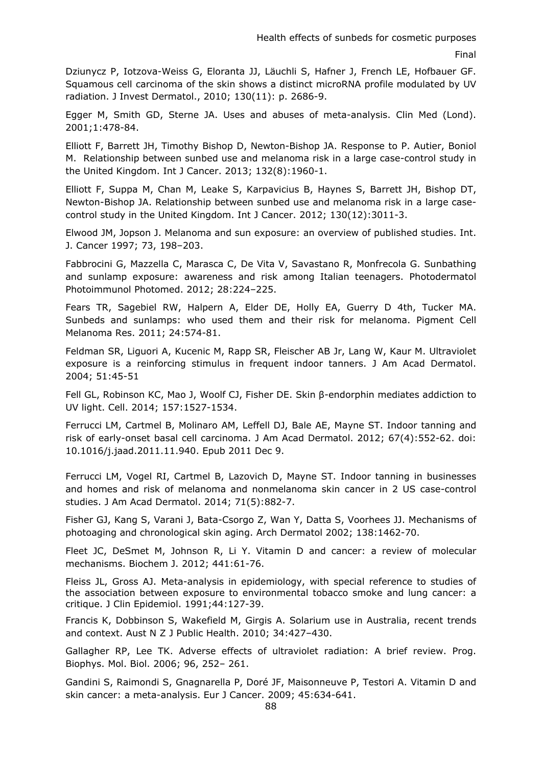Dziunycz P, Iotzova-Weiss G, Eloranta JJ, Läuchli S, Hafner J, French LE, Hofbauer GF. Squamous cell carcinoma of the skin shows a distinct microRNA profile modulated by UV radiation. J Invest Dermatol., 2010; 130(11): p. 2686-9.

Egger M, Smith GD, Sterne JA. Uses and abuses of meta-analysis. Clin Med (Lond). 2001;1:478-84.

Elliott F, Barrett JH, Timothy Bishop D, Newton-Bishop JA. Response to P. Autier, Boniol M. Relationship between sunbed use and melanoma risk in a large case-control study in the United Kingdom. Int J Cancer. 2013; 132(8):1960-1.

Elliott F, Suppa M, Chan M, Leake S, Karpavicius B, Haynes S, Barrett JH, Bishop DT, Newton-Bishop JA. Relationship between sunbed use and melanoma risk in a large casecontrol study in the United Kingdom. Int J Cancer. 2012; 130(12):3011-3.

Elwood JM, Jopson J. Melanoma and sun exposure: an overview of published studies. Int. J. Cancer 1997; 73, 198–203.

Fabbrocini G, Mazzella C, Marasca C, De Vita V, Savastano R, Monfrecola G. Sunbathing and sunlamp exposure: awareness and risk among Italian teenagers. Photodermatol Photoimmunol Photomed. 2012; 28:224–225.

Fears TR, Sagebiel RW, Halpern A, Elder DE, Holly EA, Guerry D 4th, Tucker MA. Sunbeds and sunlamps: who used them and their risk for melanoma. Pigment Cell Melanoma Res. 2011; 24:574-81.

Feldman SR, Liguori A, Kucenic M, Rapp SR, Fleischer AB Jr, Lang W, Kaur M. Ultraviolet exposure is a reinforcing stimulus in frequent indoor tanners. J Am Acad Dermatol. 2004; 51:45-51

Fell GL, Robinson KC, Mao J, Woolf CJ, Fisher DE. Skin β-endorphin mediates addiction to UV light. Cell. 2014; 157:1527-1534.

Ferrucci LM, Cartmel B, Molinaro AM, Leffell DJ, Bale AE, Mayne ST. [Indoor tanning and](http://www.ncbi.nlm.nih.gov.gate2.inist.fr/pubmed/22153793)  [risk of early-onset basal cell carcinoma.](http://www.ncbi.nlm.nih.gov.gate2.inist.fr/pubmed/22153793) J Am Acad Dermatol. 2012; 67(4):552-62. doi: 10.1016/j.jaad.2011.11.940. Epub 2011 Dec 9.

Ferrucci LM, Vogel RI, Cartmel B, Lazovich D, Mayne ST. [Indoor tanning in businesses](http://www.ncbi.nlm.nih.gov.gate2.inist.fr/pubmed/25062934)  [and homes and risk of melanoma and nonmelanoma skin cancer in 2 US case-control](http://www.ncbi.nlm.nih.gov.gate2.inist.fr/pubmed/25062934)  [studies.](http://www.ncbi.nlm.nih.gov.gate2.inist.fr/pubmed/25062934) J Am Acad Dermatol. 2014; 71(5):882-7.

Fisher GJ, Kang S, Varani J, Bata-Csorgo Z, Wan Y, Datta S, Voorhees JJ. [Mechanisms of](http://www.ncbi.nlm.nih.gov/pubmed/12437452)  [photoaging and chronological skin aging.](http://www.ncbi.nlm.nih.gov/pubmed/12437452) Arch Dermatol 2002; 138:1462-70.

Fleet JC, [DeSmet M,](http://www.ncbi.nlm.nih.gov/pubmed/?term=DeSmet%20M%5BAuthor%5D&cauthor=true&cauthor_uid=22168439) [Johnson R,](http://www.ncbi.nlm.nih.gov/pubmed/?term=Johnson%20R%5BAuthor%5D&cauthor=true&cauthor_uid=22168439) [Li Y.](http://www.ncbi.nlm.nih.gov/pubmed/?term=Li%20Y%5BAuthor%5D&cauthor=true&cauthor_uid=22168439) Vitamin D and cancer: a review of molecular mechanisms[. Biochem J.](http://www.ncbi.nlm.nih.gov/pubmed/22168439) 2012; 441:61-76.

Fleiss JL, Gross AJ. Meta-analysis in epidemiology, with special reference to studies of the association between exposure to environmental tobacco smoke and lung cancer: a critique. J Clin Epidemiol. 1991;44:127-39.

Francis K, Dobbinson S, Wakefield M, Girgis A. Solarium use in Australia, recent trends and context. Aust N Z J Public Health. 2010; 34:427–430.

Gallagher RP, Lee TK. Adverse effects of ultraviolet radiation: A brief review. Prog. Biophys. Mol. Biol. 2006; 96, 252– 261.

Gandini S, Raimondi S, Gnagnarella P, Doré JF, Maisonneuve P, Testori A. Vitamin D and skin cancer: a meta-analysis. Eur J Cancer. 2009; 45:634-641.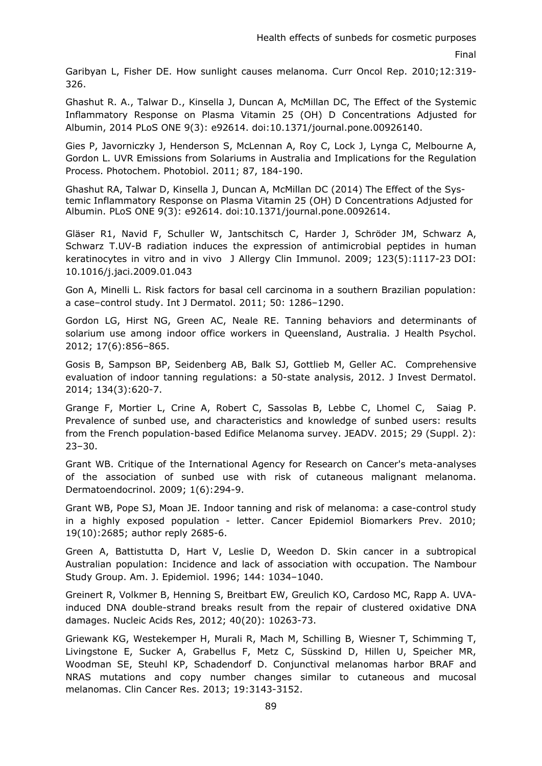Garibyan L, Fisher DE. How sunlight causes melanoma. Curr Oncol Rep. 2010;12:319- 326.

Ghashut R. A., Talwar D., Kinsella J, Duncan A, McMillan DC, The Effect of the Systemic Inflammatory Response on Plasma Vitamin 25 (OH) D Concentrations Adjusted for Albumin, 2014 PLoS ONE 9(3): e92614. doi:10.1371/journal.pone.00926140.

Gies P, Javorniczky J, Henderson S, McLennan A, Roy C, Lock J, Lynga C, Melbourne A, Gordon L. UVR Emissions from Solariums in Australia and Implications for the Regulation Process. Photochem. Photobiol. 2011; 87, 184-190.

Ghashut RA, Talwar D, Kinsella J, Duncan A, McMillan DC (2014) The Effect of the Systemic Inflammatory Response on Plasma Vitamin 25 (OH) D Concentrations Adjusted for Albumin. PLoS ONE 9(3): e92614. doi:10.1371/journal.pone.0092614.

[Gläser R1](https://www.ncbi.nlm.nih.gov/pubmed/?term=Gl%C3%A4ser%20R%5BAuthor%5D&cauthor=true&cauthor_uid=19342087), [Navid F,](https://www.ncbi.nlm.nih.gov/pubmed/?term=Navid%20F%5BAuthor%5D&cauthor=true&cauthor_uid=19342087) [Schuller W,](https://www.ncbi.nlm.nih.gov/pubmed/?term=Schuller%20W%5BAuthor%5D&cauthor=true&cauthor_uid=19342087) [Jantschitsch C,](https://www.ncbi.nlm.nih.gov/pubmed/?term=Jantschitsch%20C%5BAuthor%5D&cauthor=true&cauthor_uid=19342087) [Harder J,](https://www.ncbi.nlm.nih.gov/pubmed/?term=Harder%20J%5BAuthor%5D&cauthor=true&cauthor_uid=19342087) [Schröder JM,](https://www.ncbi.nlm.nih.gov/pubmed/?term=Schr%C3%B6der%20JM%5BAuthor%5D&cauthor=true&cauthor_uid=19342087) [Schwarz A,](https://www.ncbi.nlm.nih.gov/pubmed/?term=Schwarz%20A%5BAuthor%5D&cauthor=true&cauthor_uid=19342087) [Schwarz T.](https://www.ncbi.nlm.nih.gov/pubmed/?term=Schwarz%20T%5BAuthor%5D&cauthor=true&cauthor_uid=19342087)UV-B radiation induces the expression of antimicrobial peptides in human keratinocytes in vitro and in vivo J Allergy Clin Immunol. 2009; 123(5):1117-23 DOI: 10.1016/j.jaci.2009.01.043

Gon A, Minelli L. Risk factors for basal cell carcinoma in a southern Brazilian population: a case–control study. Int J Dermatol. 2011; 50: 1286–1290.

Gordon LG, Hirst NG, Green AC, Neale RE. Tanning behaviors and determinants of solarium use among indoor office workers in Queensland, Australia. J Health Psychol. 2012; 17(6):856–865.

Gosis B, Sampson BP, Seidenberg AB, Balk SJ, Gottlieb M, Geller AC. Comprehensive evaluation of indoor tanning regulations: a 50-state analysis, 2012. J Invest Dermatol. 2014; 134(3):620-7.

Grange F, Mortier L, Crine A, Robert C, Sassolas B, Lebbe C, Lhomel C, Saiag P. Prevalence of sunbed use, and characteristics and knowledge of sunbed users: results from the French population-based Edifice Melanoma survey. JEADV. 2015; 29 (Suppl. 2): 23–30.

Grant WB. Critique of the International Agency for Research on Cancer's meta-analyses of the association of sunbed use with risk of cutaneous malignant melanoma. Dermatoendocrinol. 2009; 1(6):294-9.

Grant WB, Pope SJ, Moan JE. Indoor tanning and risk of melanoma: a case-control study in a highly exposed population - letter. Cancer Epidemiol Biomarkers Prev. 2010; 19(10):2685; author reply 2685-6.

Green A, Battistutta D, Hart V, Leslie D, Weedon D. Skin cancer in a subtropical Australian population: Incidence and lack of association with occupation. The Nambour Study Group. Am. J. Epidemiol. 1996; 144: 1034–1040.

Greinert R, Volkmer B, Henning S, Breitbart EW, Greulich KO, Cardoso MC, Rapp A. UVAinduced DNA double-strand breaks result from the repair of clustered oxidative DNA damages. Nucleic Acids Res, 2012; 40(20): 10263-73.

Griewank KG, Westekemper H, Murali R, Mach M, Schilling B, Wiesner T, Schimming T, Livingstone E, Sucker A, Grabellus F, Metz C, Süsskind D, Hillen U, Speicher MR, Woodman SE, Steuhl KP, Schadendorf D. Conjunctival melanomas harbor BRAF and NRAS mutations and copy number changes similar to cutaneous and mucosal melanomas. Clin Cancer Res. 2013; 19:3143-3152.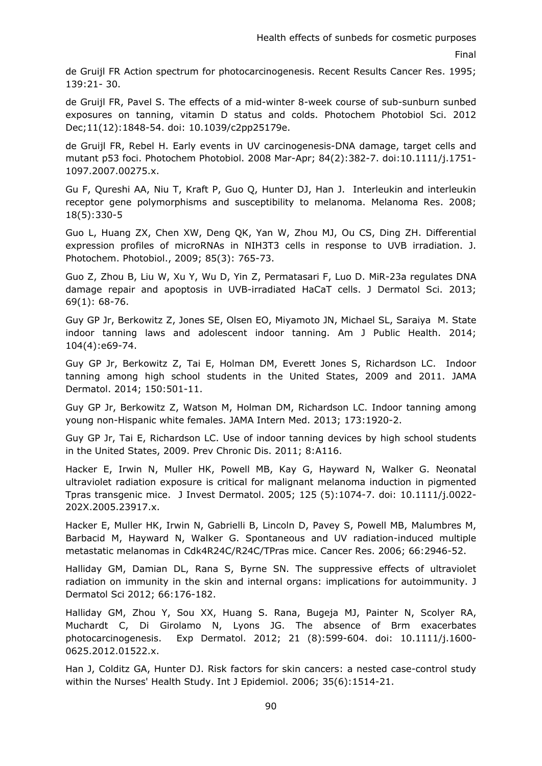de Gruijl FR Action spectrum for photocarcinogenesis. Recent Results Cancer Res. 1995; 139:21- 30.

de Gruijl FR, Pavel S. The effects of a mid-winter 8-week course of sub-sunburn sunbed exposures on tanning, vitamin D status and colds. Photochem Photobiol Sci. 2012 Dec;11(12):1848-54. doi: 10.1039/c2pp25179e.

de Gruijl FR, Rebel H. Early events in UV carcinogenesis-DNA damage, target cells and mutant p53 foci. Photochem Photobiol. 2008 Mar-Apr; 84(2):382-7. doi:10.1111/j.1751- 1097.2007.00275.x.

Gu F, Qureshi AA, Niu T, Kraft P, Guo Q, Hunter DJ, Han J. Interleukin and interleukin receptor gene polymorphisms and susceptibility to melanoma. Melanoma Res. 2008; 18(5):330-5

Guo L, Huang ZX, Chen XW, Deng QK, Yan W, Zhou MJ, Ou CS, Ding ZH. Differential expression profiles of microRNAs in NIH3T3 cells in response to UVB irradiation. J. Photochem. Photobiol., 2009; 85(3): 765-73.

Guo Z, Zhou B, Liu W, Xu Y, Wu D, Yin Z, Permatasari F, Luo D. MiR-23a regulates DNA damage repair and apoptosis in UVB-irradiated HaCaT cells. J Dermatol Sci. 2013; 69(1): 68-76.

Guy GP Jr, Berkowitz Z, Jones SE, Olsen EO, Miyamoto JN, Michael SL, Saraiya M. State indoor tanning laws and adolescent indoor tanning. Am J Public Health. 2014; 104(4):e69-74.

Guy GP Jr, Berkowitz Z, Tai E, Holman DM, Everett Jones S, Richardson LC. Indoor tanning among high school students in the United States, 2009 and 2011. JAMA Dermatol. 2014; 150:501-11.

Guy GP Jr, Berkowitz Z, Watson M, Holman DM, Richardson LC. Indoor tanning among young non-Hispanic white females. JAMA Intern Med. 2013; 173:1920-2.

Guy GP Jr, Tai E, Richardson LC. Use of indoor tanning devices by high school students in the United States, 2009. Prev Chronic Dis. 2011; 8:A116.

Hacker E, Irwin N, Muller HK, Powell MB, Kay G, Hayward N, Walker G. Neonatal ultraviolet radiation exposure is critical for malignant melanoma induction in pigmented Tpras transgenic mice. J Invest Dermatol. 2005; 125 (5):1074-7. doi: 10.1111/j.0022- 202X.2005.23917.x.

Hacker E, Muller HK, Irwin N, Gabrielli B, Lincoln D, Pavey S, Powell MB, Malumbres M, Barbacid M, Hayward N, Walker G. Spontaneous and UV radiation-induced multiple metastatic melanomas in Cdk4R24C/R24C/TPras mice. Cancer Res. 2006; 66:2946-52.

Halliday GM, Damian DL, Rana S, Byrne SN. The suppressive effects of ultraviolet radiation on immunity in the skin and internal organs: implications for autoimmunity. J Dermatol Sci 2012; 66:176-182.

Halliday GM, Zhou Y, Sou XX, Huang S. Rana, Bugeja MJ, Painter N, Scolyer RA, Muchardt C, Di Girolamo N, Lyons JG. The absence of Brm exacerbates photocarcinogenesis. Exp Dermatol. 2012; 21 (8):599-604. doi: 10.1111/j.1600- 0625.2012.01522.x.

Han J, Colditz GA, Hunter DJ. Risk factors for skin cancers: a nested case-control study within the Nurses' Health Study. Int J Epidemiol. 2006; 35(6):1514-21.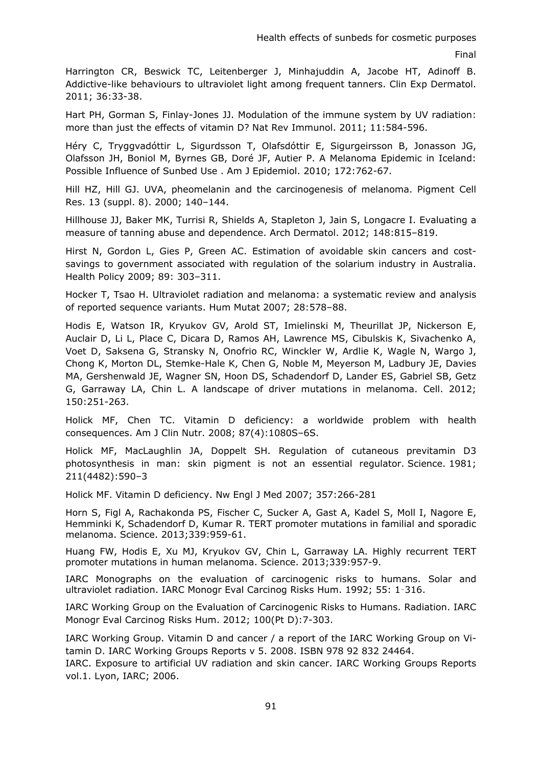Harrington CR, Beswick TC, Leitenberger J, Minhajuddin A, Jacobe HT, Adinoff B. Addictive-like behaviours to ultraviolet light among frequent tanners. Clin Exp Dermatol. 2011; 36:33-38.

Hart PH, Gorman S, Finlay-Jones JJ. Modulation of the immune system by UV radiation: more than just the effects of vitamin D? Nat Rev Immunol. 2011; 11:584-596.

Héry C, Tryggvadóttir L, Sigurdsson T, Olafsdóttir E, Sigurgeirsson B, Jonasson JG, Olafsson JH, Boniol M, Byrnes GB, Doré JF, Autier P. A Melanoma Epidemic in Iceland: Possible Influence of Sunbed Use . Am J Epidemiol. 2010; 172:762-67.

Hill HZ, Hill GJ. UVA, pheomelanin and the carcinogenesis of melanoma. Pigment Cell Res. 13 (suppl. 8). 2000; 140–144.

Hillhouse JJ, Baker MK, Turrisi R, Shields A, Stapleton J, Jain S, Longacre I. Evaluating a measure of tanning abuse and dependence. Arch Dermatol. 2012; 148:815–819.

Hirst N, Gordon L, Gies P, Green AC. Estimation of avoidable skin cancers and costsavings to government associated with regulation of the solarium industry in Australia. Health Policy 2009; 89: 303–311.

Hocker T, Tsao H. Ultraviolet radiation and melanoma: a systematic review and analysis of reported sequence variants. Hum Mutat 2007; 28:578–88.

Hodis E, Watson IR, Kryukov GV, Arold ST, Imielinski M, Theurillat JP, Nickerson E, Auclair D, Li L, Place C, Dicara D, Ramos AH, Lawrence MS, Cibulskis K, Sivachenko A, Voet D, Saksena G, Stransky N, Onofrio RC, Winckler W, Ardlie K, Wagle N, Wargo J, Chong K, Morton DL, Stemke-Hale K, Chen G, Noble M, Meyerson M, Ladbury JE, Davies MA, Gershenwald JE, Wagner SN, Hoon DS, Schadendorf D, Lander ES, Gabriel SB, Getz G, Garraway LA, Chin L. A landscape of driver mutations in melanoma. Cell. 2012; 150:251-263.

Holick MF, Chen TC. Vitamin D deficiency: a worldwide problem with health consequences. Am J Clin Nutr. 2008; 87(4):1080S–6S.

Holick MF, MacLaughlin JA, Doppelt SH. Regulation of cutaneous previtamin D3 photosynthesis in man: skin pigment is not an essential regulator. Science. 1981; 211(4482):590–3

Holick MF. Vitamin D deficiency. Nw Engl J Med 2007; 357:266-281

Horn S, Figl A, Rachakonda PS, Fischer C, Sucker A, Gast A, Kadel S, Moll I, Nagore E, Hemminki K, Schadendorf D, Kumar R. TERT promoter mutations in familial and sporadic melanoma. Science. 2013;339:959-61.

Huang FW, Hodis E, Xu MJ, Kryukov GV, Chin L, Garraway LA. Highly recurrent TERT promoter mutations in human melanoma. Science. 2013;339:957-9.

IARC Monographs on the evaluation of carcinogenic risks to humans. Solar and ultraviolet radiation. IARC Monogr Eval Carcinog Risks Hum. 1992; 55: 1–316.

IARC Working Group on the Evaluation of Carcinogenic Risks to Humans. Radiation. IARC Monogr Eval Carcinog Risks Hum. 2012; 100(Pt D):7-303.

IARC Working Group. Vitamin D and cancer / a report of the IARC Working Group on Vitamin D. IARC Working Groups Reports v 5. 2008. ISBN 978 92 832 24464.

IARC. Exposure to artificial UV radiation and skin cancer. IARC Working Groups Reports vol.1. Lyon, IARC; 2006.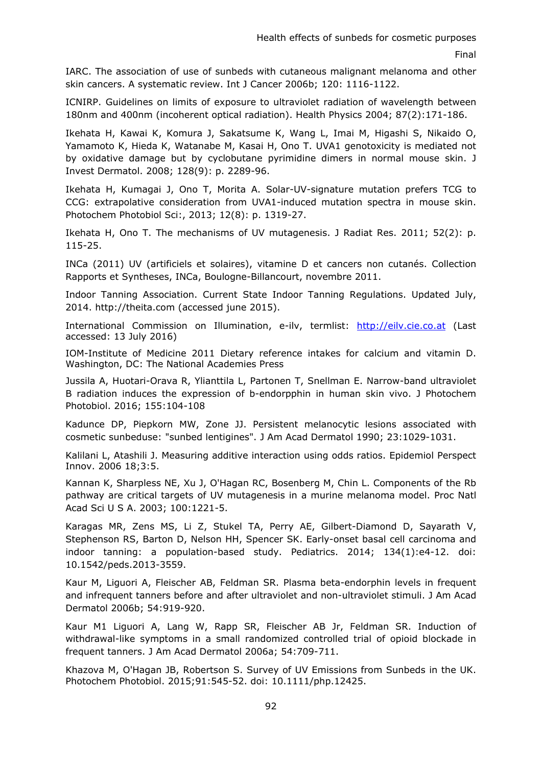IARC. The association of use of sunbeds with cutaneous malignant melanoma and other skin cancers. A systematic review. Int J Cancer 2006b; 120: 1116-1122.

ICNIRP. Guidelines on limits of exposure to ultraviolet radiation of wavelength between 180nm and 400nm (incoherent optical radiation). Health Physics 2004; 87(2):171-186.

Ikehata H, Kawai K, Komura J, Sakatsume K, Wang L, Imai M, Higashi S, Nikaido O, Yamamoto K, Hieda K, Watanabe M, Kasai H, Ono T. UVA1 genotoxicity is mediated not by oxidative damage but by cyclobutane pyrimidine dimers in normal mouse skin. J Invest Dermatol. 2008; 128(9): p. 2289-96.

Ikehata H, Kumagai J, Ono T, Morita A. Solar-UV-signature mutation prefers TCG to CCG: extrapolative consideration from UVA1-induced mutation spectra in mouse skin. Photochem Photobiol Sci:, 2013; 12(8): p. 1319-27.

Ikehata H, Ono T. The mechanisms of UV mutagenesis. J Radiat Res. 2011; 52(2): p. 115-25.

INCa (2011) UV (artificiels et solaires), vitamine D et cancers non cutanés. Collection Rapports et Syntheses, INCa, Boulogne-Billancourt, novembre 2011.

Indoor Tanning Association. Current State Indoor Tanning Regulations. Updated July, 2014[. http://theita.com](http://theita.com/) (accessed june 2015).

International Commission on Illumination, e-ilv, termlist: [http://eilv.cie.co.at](http://eilv.cie.co.at/) (Last accessed: 13 July 2016)

IOM-Institute of Medicine 2011 Dietary reference intakes for calcium and vitamin D. Washington, DC: The National Academies Press

Jussila A, Huotari-Orava R, Ylianttila L, Partonen T, Snellman E. Narrow-band ultraviolet B radiation induces the expression of b-endorpphin in human skin vivo. J Photochem Photobiol. 2016; 155:104-108

Kadunce DP, Piepkorn MW, Zone JJ. Persistent melanocytic lesions associated with cosmetic sunbeduse: "sunbed lentigines". J Am Acad Dermatol 1990; 23:1029-1031.

Kalilani L, Atashili J. Measuring additive interaction using odds ratios. Epidemiol Perspect Innov. 2006 18;3:5.

Kannan K, Sharpless NE, Xu J, O'Hagan RC, Bosenberg M, Chin L. Components of the Rb pathway are critical targets of UV mutagenesis in a murine melanoma model. Proc Natl Acad Sci U S A. 2003; 100:1221-5.

Karagas MR, Zens MS, Li Z, Stukel TA, Perry AE, Gilbert-Diamond D, Sayarath V, Stephenson RS, Barton D, Nelson HH, Spencer SK. Early-onset basal cell carcinoma and indoor tanning: a population-based study. Pediatrics. 2014; 134(1):e4-12. doi: 10.1542/peds.2013-3559.

Kaur M, Liguori A, Fleischer AB, Feldman SR. Plasma beta-endorphin levels in frequent and infrequent tanners before and after ultraviolet and non-ultraviolet stimuli. J Am Acad Dermatol 2006b; 54:919-920.

Kaur M1 Liguori A, Lang W, Rapp SR, Fleischer AB Jr, Feldman SR. Induction of withdrawal-like symptoms in a small randomized controlled trial of opioid blockade in frequent tanners. J Am Acad Dermatol 2006a; 54:709-711.

Khazova M, O'Hagan JB, Robertson S. Survey of UV Emissions from Sunbeds in the UK. Photochem Photobiol. 2015;91:545-52. doi: 10.1111/php.12425.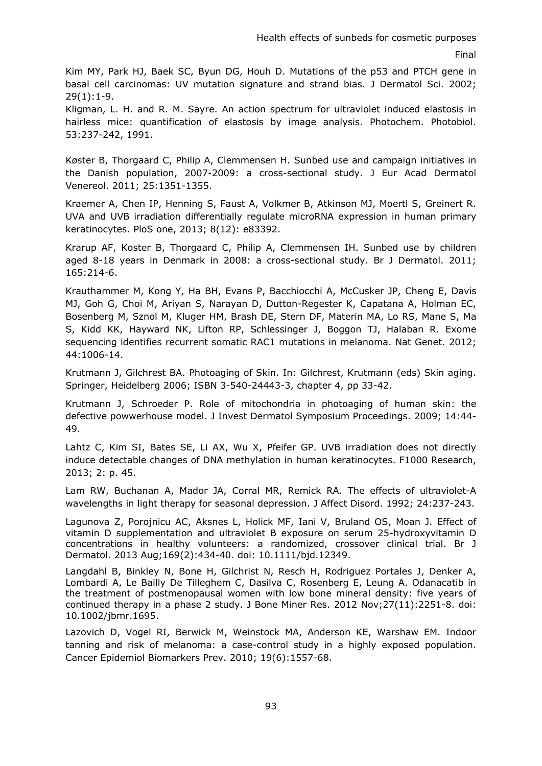Kim MY, Park HJ, Baek SC, Byun DG, Houh D. Mutations of the p53 and PTCH gene in basal cell carcinomas: UV mutation signature and strand bias. J Dermatol Sci. 2002; 29(1):1-9.

Kligman, L. H. and R. M. Sayre. An action spectrum for ultraviolet induced elastosis in hairless mice: quantification of elastosis by image analysis. Photochem. Photobiol. 53:237-242, 1991.

Køster B, Thorgaard C, Philip A, Clemmensen H. Sunbed use and campaign initiatives in the Danish population, 2007-2009: a cross-sectional study. J Eur Acad Dermatol Venereol. 2011; 25:1351-1355.

Kraemer A, Chen IP, Henning S, Faust A, Volkmer B, Atkinson MJ, Moertl S, Greinert R. UVA and UVB irradiation differentially regulate microRNA expression in human primary keratinocytes. PloS one, 2013; 8(12): e83392.

Krarup AF, Koster B, Thorgaard C, Philip A, Clemmensen IH. Sunbed use by children aged 8-18 years in Denmark in 2008: a cross-sectional study. Br J Dermatol. 2011; 165:214-6.

Krauthammer M, Kong Y, Ha BH, Evans P, Bacchiocchi A, McCusker JP, Cheng E, Davis MJ, Goh G, Choi M, Ariyan S, Narayan D, Dutton-Regester K, Capatana A, Holman EC, Bosenberg M, Sznol M, Kluger HM, Brash DE, Stern DF, Materin MA, Lo RS, Mane S, Ma S, Kidd KK, Hayward NK, Lifton RP, Schlessinger J, Boggon TJ, Halaban R. Exome sequencing identifies recurrent somatic RAC1 mutations in melanoma. Nat Genet. 2012; 44:1006-14.

Krutmann J, Gilchrest BA. Photoaging of Skin. In: Gilchrest, Krutmann (eds) Skin aging. Springer, Heidelberg 2006; ISBN 3-540-24443-3, chapter 4, pp 33-42.

Krutmann J, Schroeder P. Role of mitochondria in photoaging of human skin: the defective powwerhouse model. J Invest Dermatol Symposium Proceedings. 2009; 14:44- 49.

Lahtz C, Kim SI, Bates SE, Li AX, Wu X, Pfeifer GP. UVB irradiation does not directly induce detectable changes of DNA methylation in human keratinocytes. F1000 Research, 2013; 2: p. 45.

Lam RW, Buchanan A, Mador JA, Corral MR, Remick RA. The effects of ultraviolet-A wavelengths in light therapy for seasonal depression. J Affect Disord. 1992; 24:237-243.

[Lagunova Z,](https://www.ncbi.nlm.nih.gov/pubmed/?term=Lagunova%20Z%5BAuthor%5D&cauthor=true&cauthor_uid=23551243) [Porojnicu AC,](https://www.ncbi.nlm.nih.gov/pubmed/?term=Porojnicu%20AC%5BAuthor%5D&cauthor=true&cauthor_uid=23551243) [Aksnes L,](https://www.ncbi.nlm.nih.gov/pubmed/?term=Aksnes%20L%5BAuthor%5D&cauthor=true&cauthor_uid=23551243) [Holick MF,](https://www.ncbi.nlm.nih.gov/pubmed/?term=Holick%20MF%5BAuthor%5D&cauthor=true&cauthor_uid=23551243) [Iani V,](https://www.ncbi.nlm.nih.gov/pubmed/?term=Iani%20V%5BAuthor%5D&cauthor=true&cauthor_uid=23551243) [Bruland OS,](https://www.ncbi.nlm.nih.gov/pubmed/?term=Bruland%20OS%5BAuthor%5D&cauthor=true&cauthor_uid=23551243) [Moan J.](https://www.ncbi.nlm.nih.gov/pubmed/?term=Moan%20J%5BAuthor%5D&cauthor=true&cauthor_uid=23551243) Effect of vitamin D supplementation and ultraviolet B exposure on serum 25-hydroxyvitamin D concentrations in healthy volunteers: a randomized, crossover clinical trial. [Br J](https://www.ncbi.nlm.nih.gov/pubmed/23551243)  [Dermatol.](https://www.ncbi.nlm.nih.gov/pubmed/23551243) 2013 Aug;169(2):434-40. doi: 10.1111/bjd.12349.

[Langdahl B,](https://www.ncbi.nlm.nih.gov/pubmed/?term=Langdahl%20B%5BAuthor%5D&cauthor=true&cauthor_uid=22777865) [Binkley N,](https://www.ncbi.nlm.nih.gov/pubmed/?term=Binkley%20N%5BAuthor%5D&cauthor=true&cauthor_uid=22777865) [Bone H,](https://www.ncbi.nlm.nih.gov/pubmed/?term=Bone%20H%5BAuthor%5D&cauthor=true&cauthor_uid=22777865) [Gilchrist N,](https://www.ncbi.nlm.nih.gov/pubmed/?term=Gilchrist%20N%5BAuthor%5D&cauthor=true&cauthor_uid=22777865) [Resch H,](https://www.ncbi.nlm.nih.gov/pubmed/?term=Resch%20H%5BAuthor%5D&cauthor=true&cauthor_uid=22777865) [Rodriguez Portales J,](https://www.ncbi.nlm.nih.gov/pubmed/?term=Rodriguez%20Portales%20J%5BAuthor%5D&cauthor=true&cauthor_uid=22777865) [Denker A,](https://www.ncbi.nlm.nih.gov/pubmed/?term=Denker%20A%5BAuthor%5D&cauthor=true&cauthor_uid=22777865) [Lombardi A,](https://www.ncbi.nlm.nih.gov/pubmed/?term=Lombardi%20A%5BAuthor%5D&cauthor=true&cauthor_uid=22777865) [Le Bailly De Tilleghem C,](https://www.ncbi.nlm.nih.gov/pubmed/?term=Le%20Bailly%20De%20Tilleghem%20C%5BAuthor%5D&cauthor=true&cauthor_uid=22777865) [Dasilva C,](https://www.ncbi.nlm.nih.gov/pubmed/?term=Dasilva%20C%5BAuthor%5D&cauthor=true&cauthor_uid=22777865) [Rosenberg E,](https://www.ncbi.nlm.nih.gov/pubmed/?term=Rosenberg%20E%5BAuthor%5D&cauthor=true&cauthor_uid=22777865) [Leung A.](https://www.ncbi.nlm.nih.gov/pubmed/?term=Leung%20A%5BAuthor%5D&cauthor=true&cauthor_uid=22777865) Odanacatib in the treatment of postmenopausal women with low bone mineral density: five years of continued therapy in a phase 2 study. [J Bone Miner Res.](https://www.ncbi.nlm.nih.gov/pubmed/22777865) 2012 Nov;27(11):2251-8. doi: 10.1002/jbmr.1695.

Lazovich D, Vogel RI, Berwick M, Weinstock MA, Anderson KE, Warshaw EM. Indoor tanning and risk of melanoma: a case-control study in a highly exposed population. Cancer Epidemiol Biomarkers Prev. 2010; 19(6):1557-68.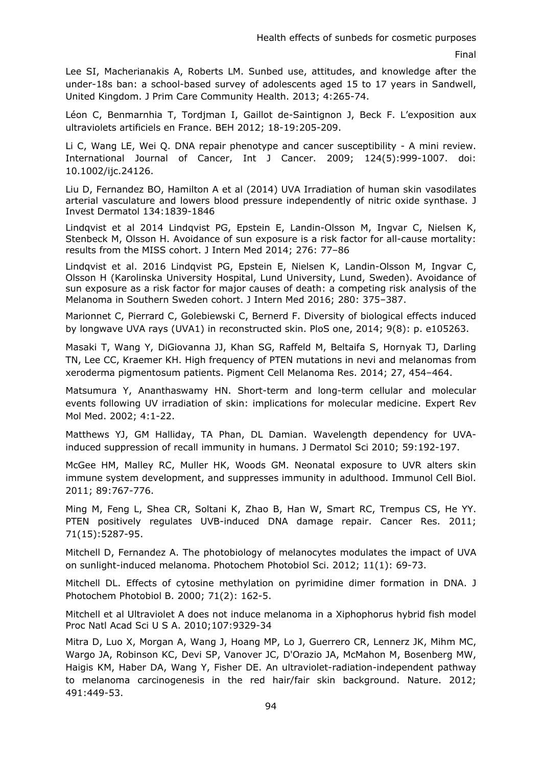Lee SI, Macherianakis A, Roberts LM. Sunbed use, attitudes, and knowledge after the under-18s ban: a school-based survey of adolescents aged 15 to 17 years in Sandwell, United Kingdom. J Prim Care Community Health. 2013; 4:265-74.

Léon C, Benmarnhia T, Tordjman I, Gaillot de-Saintignon J, Beck F. L'exposition aux ultraviolets artificiels en France. BEH 2012; 18-19:205-209.

Li C, Wang LE, Wei Q. DNA repair phenotype and cancer susceptibility - A mini review. International Journal of Cancer, Int J Cancer. 2009; 124(5):999-1007. doi: 10.1002/ijc.24126.

Liu D, Fernandez BO, Hamilton A et al (2014) UVA Irradiation of human skin vasodilates arterial vasculature and lowers blood pressure independently of nitric oxide synthase. J Invest Dermatol 134:1839-1846

Lindqvist et al 2014 Lindqvist PG, Epstein E, Landin-Olsson M, Ingvar C, Nielsen K, Stenbeck M, Olsson H. Avoidance of sun exposure is a risk factor for all-cause mortality: results from the MISS cohort. J Intern Med 2014; 276: 77–86

Lindqvist et al. 2016 Lindqvist PG, Epstein E, Nielsen K, Landin-Olsson M, Ingvar C, Olsson H (Karolinska University Hospital, Lund University, Lund, Sweden). Avoidance of sun exposure as a risk factor for major causes of death: a competing risk analysis of the Melanoma in Southern Sweden cohort. J Intern Med 2016; 280: 375–387.

Marionnet C, Pierrard C, Golebiewski C, Bernerd F. Diversity of biological effects induced by longwave UVA rays (UVA1) in reconstructed skin. PloS one, 2014; 9(8): p. e105263.

Masaki T, Wang Y, DiGiovanna JJ, Khan SG, Raffeld M, Beltaifa S, Hornyak TJ, Darling TN, Lee CC, Kraemer KH. High frequency of PTEN mutations in nevi and melanomas from xeroderma pigmentosum patients. Pigment Cell Melanoma Res. 2014; 27, 454–464.

Matsumura Y, Ananthaswamy HN. Short-term and long-term cellular and molecular events following UV irradiation of skin: implications for molecular medicine. Expert Rev Mol Med. 2002; 4:1-22.

Matthews YJ, GM Halliday, TA Phan, DL Damian. Wavelength dependency for UVAinduced suppression of recall immunity in humans. J Dermatol Sci 2010; 59:192-197.

McGee HM, Malley RC, Muller HK, Woods GM. Neonatal exposure to UVR alters skin immune system development, and suppresses immunity in adulthood. Immunol Cell Biol. 2011; 89:767-776.

Ming M, Feng L, Shea CR, Soltani K, Zhao B, Han W, Smart RC, Trempus CS, He YY. PTEN positively regulates UVB-induced DNA damage repair. Cancer Res. 2011; 71(15):5287-95.

Mitchell D, Fernandez A. The photobiology of melanocytes modulates the impact of UVA on sunlight-induced melanoma. Photochem Photobiol Sci. 2012; 11(1): 69-73.

Mitchell DL. Effects of cytosine methylation on pyrimidine dimer formation in DNA. J Photochem Photobiol B. 2000; 71(2): 162-5.

Mitchell et al Ultraviolet A does not induce melanoma in a Xiphophorus hybrid fish model Proc Natl Acad Sci U S A. 2010;107:9329-34

Mitra D, Luo X, Morgan A, Wang J, Hoang MP, Lo J, Guerrero CR, Lennerz JK, Mihm MC, Wargo JA, Robinson KC, Devi SP, Vanover JC, D'Orazio JA, McMahon M, Bosenberg MW, Haigis KM, Haber DA, Wang Y, Fisher DE. An ultraviolet-radiation-independent pathway to melanoma carcinogenesis in the red hair/fair skin background. Nature. 2012; 491:449-53.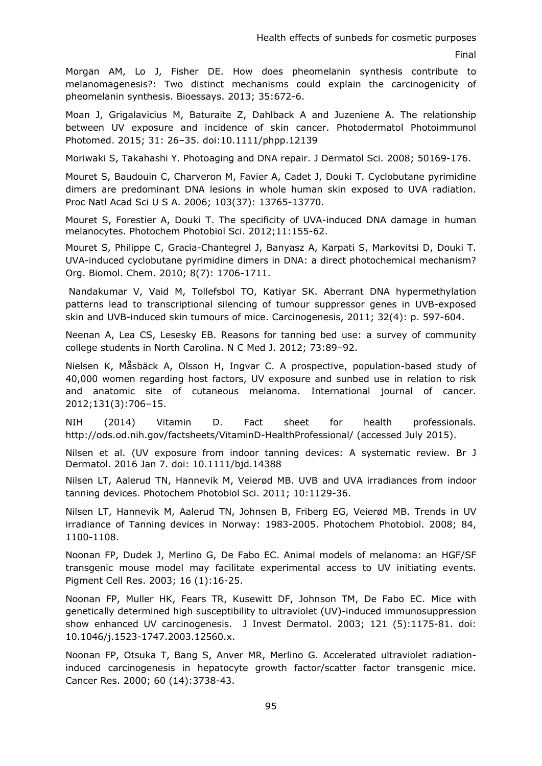Morgan AM, Lo J, Fisher DE. How does pheomelanin synthesis contribute to melanomagenesis?: Two distinct mechanisms could explain the carcinogenicity of pheomelanin synthesis. Bioessays. 2013; 35:672-6.

Moan J, Grigalavicius M, Baturaite Z, Dahlback A and Juzeniene A. The relationship between UV exposure and incidence of skin cancer. Photodermatol Photoimmunol Photomed. 2015; 31: 26–35. doi:10.1111/phpp.12139

Moriwaki S, Takahashi Y. Photoaging and DNA repair. J Dermatol Sci. 2008; 50169-176.

Mouret S, Baudouin C, Charveron M, Favier A, Cadet J, Douki T. Cyclobutane pyrimidine dimers are predominant DNA lesions in whole human skin exposed to UVA radiation. Proc Natl Acad Sci U S A. 2006; 103(37): 13765-13770.

Mouret S, Forestier A, Douki T. The specificity of UVA-induced DNA damage in human melanocytes. Photochem Photobiol Sci. 2012;11:155-62.

Mouret S, Philippe C, Gracia-Chantegrel J, Banyasz A, Karpati S, Markovitsi D, Douki T. UVA-induced cyclobutane pyrimidine dimers in DNA: a direct photochemical mechanism? Org. Biomol. Chem. 2010; 8(7): 1706-1711.

 Nandakumar V, Vaid M, Tollefsbol TO, Katiyar SK. Aberrant DNA hypermethylation patterns lead to transcriptional silencing of tumour suppressor genes in UVB-exposed skin and UVB-induced skin tumours of mice. Carcinogenesis, 2011; 32(4): p. 597-604.

Neenan A, Lea CS, Lesesky EB. Reasons for tanning bed use: a survey of community college students in North Carolina. N C Med J. 2012; 73:89–92.

Nielsen K, Måsbäck A, Olsson H, Ingvar C. A prospective, population-based study of 40,000 women regarding host factors, UV exposure and sunbed use in relation to risk and anatomic site of cutaneous melanoma. International journal of cancer. 2012;131(3):706–15.

NIH (2014) Vitamin D. Fact sheet for health professionals. [http://ods.od.nih.gov/factsheets/VitaminD-HealthProfessional/](https://mail.umcg.nl/owa/redir.aspx?SURL=GujRX7fw1S0r8BPMxwhrajT8bzZeLoCaRmcGM5o8Jeyi1sdFoJzSCGgAdAB0AHAAOgAvAC8AbwBkAHMALgBvAGQALgBuAGkAaAAuAGcAbwB2AC8AZgBhAGMAdABzAGgAZQBlAHQAcwAvAFYAaQB0AGEAbQBpAG4ARAAtAEgAZQBhAGwAdABoAFAAcgBvAGYAZQBzAHMAaQBvAG4AYQBsAC8A&URL=http://ods.od.nih.gov/factsheets/VitaminD-HealthProfessional/) (accessed July 2015).

Nilsen et al. (UV exposure from indoor tanning devices: A systematic review. Br J Dermatol. 2016 Jan 7. doi: 10.1111/bjd.14388

Nilsen LT, Aalerud TN, Hannevik M, Veierød MB. UVB and UVA irradiances from indoor tanning devices. Photochem Photobiol Sci. 2011; 10:1129-36.

Nilsen LT, Hannevik M, Aalerud TN, Johnsen B, Friberg EG, Veierød MB. Trends in UV irradiance of Tanning devices in Norway: 1983-2005. Photochem Photobiol. 2008; 84, 1100-1108.

Noonan FP, Dudek J, Merlino G, De Fabo EC. Animal models of melanoma: an HGF/SF transgenic mouse model may facilitate experimental access to UV initiating events. Pigment Cell Res. 2003; 16 (1):16-25.

Noonan FP, Muller HK, Fears TR, Kusewitt DF, Johnson TM, De Fabo EC. Mice with genetically determined high susceptibility to ultraviolet (UV)-induced immunosuppression show enhanced UV carcinogenesis. J Invest Dermatol. 2003; 121 (5):1175-81. doi: 10.1046/j.1523-1747.2003.12560.x.

Noonan FP, Otsuka T, Bang S, Anver MR, Merlino G. Accelerated ultraviolet radiationinduced carcinogenesis in hepatocyte growth factor/scatter factor transgenic mice. Cancer Res. 2000; 60 (14):3738-43.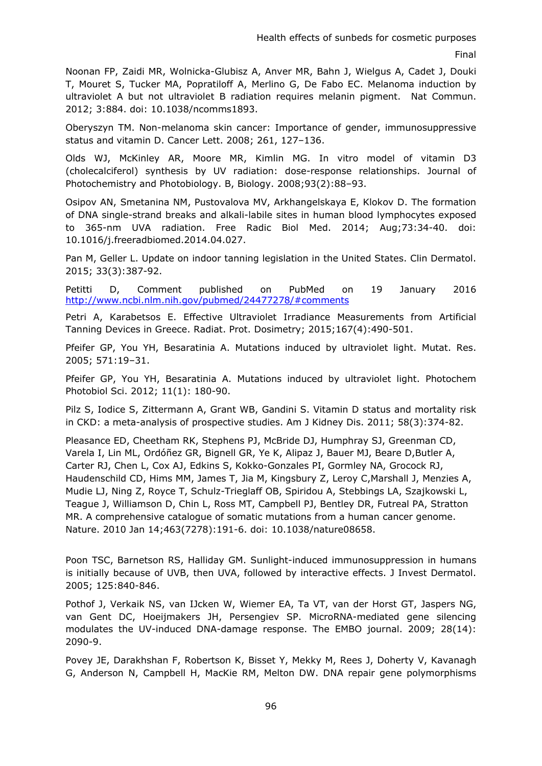Noonan FP, Zaidi MR, Wolnicka-Glubisz A, Anver MR, Bahn J, Wielgus A, Cadet J, Douki T, Mouret S, Tucker MA, Popratiloff A, Merlino G, De Fabo EC. Melanoma induction by ultraviolet A but not ultraviolet B radiation requires melanin pigment. Nat Commun. 2012; 3:884. doi: 10.1038/ncomms1893.

Oberyszyn TM. Non-melanoma skin cancer: Importance of gender, immunosuppressive status and vitamin D. Cancer Lett. 2008; 261, 127–136.

Olds WJ, McKinley AR, Moore MR, Kimlin MG. In vitro model of vitamin D3 (cholecalciferol) synthesis by UV radiation: dose-response relationships. Journal of Photochemistry and Photobiology. B, Biology. 2008;93(2):88–93.

Osipov AN, Smetanina NM, Pustovalova MV, Arkhangelskaya E, Klokov D. The formation of DNA single-strand breaks and alkali-labile sites in human blood lymphocytes exposed to 365-nm UVA radiation. Free Radic Biol Med. 2014; Aug;73:34-40. doi: 10.1016/j.freeradbiomed.2014.04.027.

Pan M, Geller L. Update on indoor tanning legislation in the United States. Clin Dermatol. 2015; 33(3):387-92.

Petitti D, Comment published on PubMed on 19 January 2016 <http://www.ncbi.nlm.nih.gov/pubmed/24477278/#comments>

Petri A, Karabetsos E. Effective Ultraviolet Irradiance Measurements from Artificial Tanning Devices in Greece. Radiat. Prot. Dosimetry; 2015;167(4):490-501.

Pfeifer GP, You YH, Besaratinia A. Mutations induced by ultraviolet light. Mutat. Res. 2005; 571:19–31.

Pfeifer GP, You YH, Besaratinia A. Mutations induced by ultraviolet light. Photochem Photobiol Sci. 2012; 11(1): 180-90.

Pilz S, Iodice S, Zittermann A, Grant WB, Gandini S. Vitamin D status and mortality risk in CKD: a meta-analysis of prospective studies. Am J Kidney Dis. 2011; 58(3):374-82.

Pleasance ED, Cheetham RK, Stephens PJ, McBride DJ, Humphray SJ, Greenman CD, Varela I, Lin ML, Ordóñez GR, Bignell GR, Ye K, Alipaz J, Bauer MJ, Beare D,Butler A, Carter RJ, Chen L, Cox AJ, Edkins S, Kokko-Gonzales PI, Gormley NA, Grocock RJ, Haudenschild CD, Hims MM, James T, Jia M, Kingsbury Z, Leroy C,Marshall J, Menzies A, Mudie LJ, Ning Z, Royce T, Schulz-Trieglaff OB, Spiridou A, Stebbings LA, Szajkowski L, Teague J, Williamson D, Chin L, Ross MT, Campbell PJ, Bentley DR, Futreal PA, Stratton MR. A comprehensive catalogue of somatic mutations from a human cancer genome. Nature. 2010 Jan 14;463(7278):191-6. doi: 10.1038/nature08658.

Poon TSC, Barnetson RS, Halliday GM. Sunlight-induced immunosuppression in humans is initially because of UVB, then UVA, followed by interactive effects. J Invest Dermatol. 2005; 125:840-846.

Pothof J, Verkaik NS, van IJcken W, Wiemer EA, Ta VT, van der Horst GT, Jaspers NG, van Gent DC, Hoeijmakers JH, Persengiev SP. MicroRNA-mediated gene silencing modulates the UV-induced DNA-damage response. The EMBO journal. 2009; 28(14): 2090-9.

Povey JE, Darakhshan F, Robertson K, Bisset Y, Mekky M, Rees J, Doherty V, Kavanagh G, Anderson N, Campbell H, MacKie RM, Melton DW. DNA repair gene polymorphisms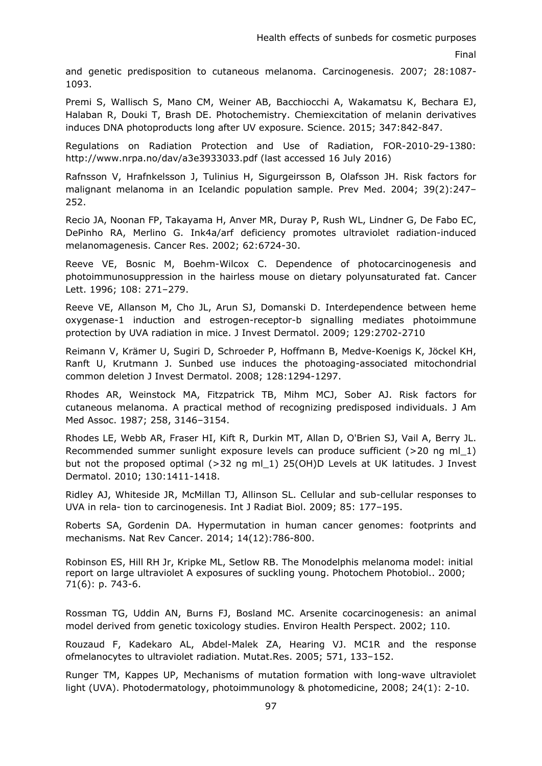and genetic predisposition to cutaneous melanoma. Carcinogenesis. 2007; 28:1087- 1093.

Premi S, Wallisch S, Mano CM, Weiner AB, Bacchiocchi A, Wakamatsu K, Bechara EJ, Halaban R, Douki T, Brash DE. Photochemistry. Chemiexcitation of melanin derivatives induces DNA photoproducts long after UV exposure. Science. 2015; 347:842-847.

Regulations on Radiation Protection and Use of Radiation, FOR-2010-29-1380: <http://www.nrpa.no/dav/a3e3933033.pdf>(last accessed 16 July 2016)

Rafnsson V, Hrafnkelsson J, Tulinius H, Sigurgeirsson B, Olafsson JH. Risk factors for malignant melanoma in an Icelandic population sample. Prev Med. 2004; 39(2):247– 252.

Recio JA, Noonan FP, Takayama H, Anver MR, Duray P, Rush WL, Lindner G, De Fabo EC, DePinho RA, Merlino G. Ink4a/arf deficiency promotes ultraviolet radiation-induced melanomagenesis. Cancer Res. 2002; 62:6724-30.

Reeve VE, Bosnic M, Boehm-Wilcox C. Dependence of photocarcinogenesis and photoimmunosuppression in the hairless mouse on dietary polyunsaturated fat. Cancer Lett. 1996; 108: 271–279.

Reeve VE, Allanson M, Cho JL, Arun SJ, Domanski D. Interdependence between heme oxygenase-1 induction and estrogen-receptor-b signalling mediates photoimmune protection by UVA radiation in mice. J Invest Dermatol. 2009; 129:2702-2710

Reimann V, Krämer U, Sugiri D, Schroeder P, Hoffmann B, Medve-Koenigs K, Jöckel KH, Ranft U, Krutmann J. Sunbed use induces the photoaging-associated mitochondrial common deletion J Invest Dermatol. 2008; 128:1294-1297.

Rhodes AR, Weinstock MA, Fitzpatrick TB, Mihm MCJ, Sober AJ. Risk factors for cutaneous melanoma. A practical method of recognizing predisposed individuals. J Am Med Assoc. 1987; 258, 3146–3154.

Rhodes LE, Webb AR, Fraser HI, Kift R, Durkin MT, Allan D, O'Brien SJ, Vail A, Berry JL. Recommended summer sunlight exposure levels can produce sufficient (>20 ng ml\_1) but not the proposed optimal (>32 ng ml 1) 25(OH)D Levels at UK latitudes. J Invest Dermatol. 2010; 130:1411-1418.

Ridley AJ, Whiteside JR, McMillan TJ, Allinson SL. Cellular and sub-cellular responses to UVA in rela- tion to carcinogenesis. Int J Radiat Biol. 2009; 85: 177–195.

Roberts SA, Gordenin DA. Hypermutation in human cancer genomes: footprints and mechanisms. Nat Rev Cancer. 2014; 14(12):786-800.

Robinson ES, Hill RH Jr, Kripke ML, Setlow RB. The Monodelphis melanoma model: initial report on large ultraviolet A exposures of suckling young. Photochem Photobiol.. 2000; 71(6): p. 743-6.

Rossman TG, Uddin AN, Burns FJ, Bosland MC. Arsenite cocarcinogenesis: an animal model derived from genetic toxicology studies. Environ Health Perspect. 2002; 110.

Rouzaud F, Kadekaro AL, Abdel-Malek ZA, Hearing VJ. MC1R and the response ofmelanocytes to ultraviolet radiation. Mutat.Res. 2005; 571, 133–152.

Runger TM, Kappes UP, Mechanisms of mutation formation with long-wave ultraviolet light (UVA). Photodermatology, photoimmunology & photomedicine, 2008; 24(1): 2-10.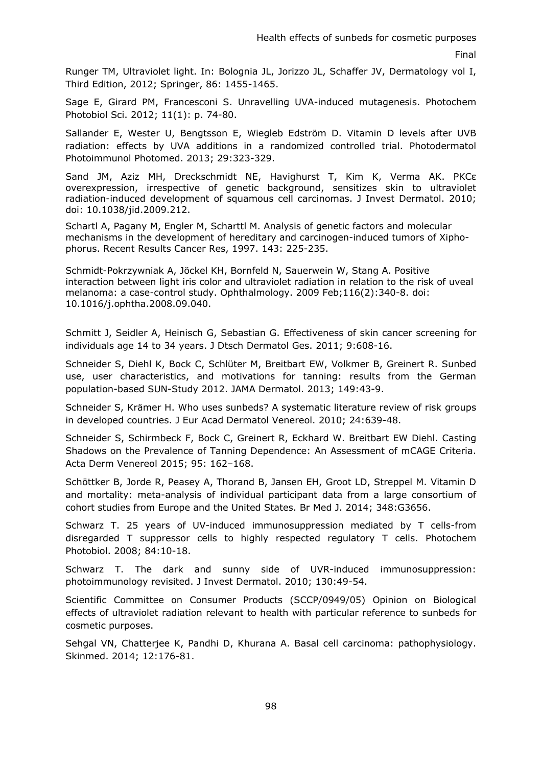Runger TM, Ultraviolet light. In: Bolognia JL, Jorizzo JL, Schaffer JV, Dermatology vol I, Third Edition, 2012; Springer, 86: 1455-1465.

Sage E, Girard PM, Francesconi S. Unravelling UVA-induced mutagenesis. Photochem Photobiol Sci. 2012; 11(1): p. 74-80.

Sallander E, Wester U, Bengtsson E, Wiegleb Edström D. Vitamin D levels after UVB radiation: effects by UVA additions in a randomized controlled trial. Photodermatol Photoimmunol Photomed. 2013; 29:323-329.

Sand JM, Aziz MH, Dreckschmidt NE, Havighurst T, Kim K, Verma AK. PKCε overexpression, irrespective of genetic background, sensitizes skin to ultraviolet radiation-induced development of squamous cell carcinomas. J Invest Dermatol. 2010; doi: 10.1038/jid.2009.212.

Schartl A, Pagany M, Engler M, Scharttl M. Analysis of genetic factors and molecular mechanisms in the development of hereditary and carcinogen-induced tumors of Xiphophorus. Recent Results Cancer Res, 1997. 143: 225-235.

Schmidt-Pokrzywniak A, Jöckel KH, Bornfeld N, Sauerwein W, Stang A. Positive interaction between light iris color and ultraviolet radiation in relation to the risk of uveal melanoma: a case-control study. Ophthalmology. 2009 Feb;116(2):340-8. doi: 10.1016/j.ophtha.2008.09.040.

Schmitt J, Seidler A, Heinisch G, Sebastian G. Effectiveness of skin cancer screening for individuals age 14 to 34 years. J Dtsch Dermatol Ges. 2011; 9:608-16.

Schneider S, Diehl K, Bock C, Schlüter M, Breitbart EW, Volkmer B, Greinert R. Sunbed use, user characteristics, and motivations for tanning: results from the German population-based SUN-Study 2012. JAMA Dermatol. 2013; 149:43-9.

Schneider S, Krämer H. Who uses sunbeds? A systematic literature review of risk groups in developed countries. J Eur Acad Dermatol Venereol. 2010; 24:639-48.

Schneider S, Schirmbeck F, Bock C, Greinert R, Eckhard W. Breitbart EW Diehl. Casting Shadows on the Prevalence of Tanning Dependence: An Assessment of mCAGE Criteria. Acta Derm Venereol 2015; 95: 162–168.

Schöttker B, Jorde R, Peasey A, Thorand B, Jansen EH, Groot LD, Streppel M. Vitamin D and mortality: meta-analysis of individual participant data from a large consortium of cohort studies from Europe and the United States. Br Med J. 2014; 348:G3656.

Schwarz T. 25 years of UV-induced immunosuppression mediated by T cells-from disregarded T suppressor cells to highly respected regulatory T cells. Photochem Photobiol. 2008; 84:10-18.

Schwarz T. The dark and sunny side of UVR-induced immunosuppression: photoimmunology revisited. J Invest Dermatol. 2010; 130:49-54.

Scientific Committee on Consumer Products (SCCP/0949/05) Opinion on Biological effects of ultraviolet radiation relevant to health with particular reference to sunbeds for cosmetic purposes.

Sehgal VN, Chatterjee K, Pandhi D, Khurana A. Basal cell carcinoma: pathophysiology. Skinmed. 2014; 12:176-81.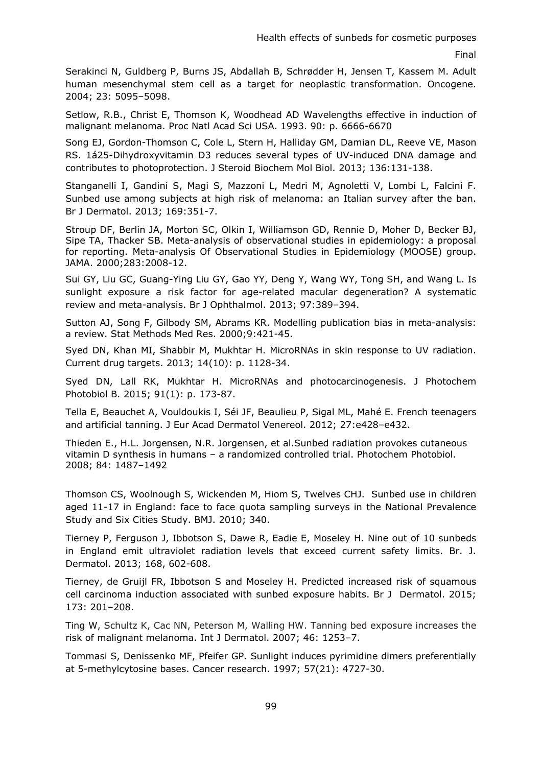Serakinci N, Guldberg P, Burns JS, Abdallah B, Schrødder H, Jensen T, Kassem M. Adult human mesenchymal stem cell as a target for neoplastic transformation. Oncogene. 2004; 23: 5095–5098.

Setlow, R.B., Christ E, Thomson K, Woodhead AD Wavelengths effective in induction of malignant melanoma. Proc Natl Acad Sci USA. 1993. 90: p. 6666-6670

Song EJ, Gordon-Thomson C, Cole L, Stern H, Halliday GM, Damian DL, Reeve VE, Mason RS. [1á25-Dihydroxyvitamin D3 reduces several types of UV-induced DNA damage and](http://www.ncbi.nlm.nih.gov/pubmed/23165145)  [contributes to photoprotection.](http://www.ncbi.nlm.nih.gov/pubmed/23165145) J Steroid Biochem Mol Biol. 2013; 136:131-138.

Stanganelli I, Gandini S, Magi S, Mazzoni L, Medri M, Agnoletti V, Lombi L, Falcini F. Sunbed use among subjects at high risk of melanoma: an Italian survey after the ban. Br J Dermatol. 2013; 169:351-7.

Stroup DF, Berlin JA, Morton SC, Olkin I, Williamson GD, Rennie D, Moher D, Becker BJ, Sipe TA, Thacker SB. Meta-analysis of observational studies in epidemiology: a proposal for reporting. Meta-analysis Of Observational Studies in Epidemiology (MOOSE) group. JAMA. 2000;283:2008-12.

Sui GY, Liu GC, Guang-Ying Liu GY, Gao YY, Deng Y, Wang WY, Tong SH, and Wang L. Is sunlight exposure a risk factor for age-related macular degeneration? A systematic review and meta-analysis. Br J Ophthalmol. 2013; 97:389–394.

Sutton AJ, Song F, Gilbody SM, Abrams KR. Modelling publication bias in meta-analysis: a review. Stat Methods Med Res. 2000;9:421-45.

Syed DN, Khan MI, Shabbir M, Mukhtar H. MicroRNAs in skin response to UV radiation. Current drug targets. 2013; 14(10): p. 1128-34.

Syed DN, Lall RK, Mukhtar H. MicroRNAs and photocarcinogenesis. J Photochem Photobiol B. 2015; 91(1): p. 173-87.

Tella E, Beauchet A, Vouldoukis I, Séi JF, Beaulieu P, Sigal ML, Mahé E. French teenagers and artificial tanning. J Eur Acad Dermatol Venereol. 2012; 27:e428–e432.

Thieden E., H.L. Jorgensen, N.R. Jorgensen, et al.Sunbed radiation provokes cutaneous vitamin D synthesis in humans – a randomized controlled trial. Photochem Photobiol. 2008; 84: 1487–1492

Thomson CS, Woolnough S, Wickenden M, Hiom S, Twelves CHJ. Sunbed use in children aged 11-17 in England: face to face quota sampling surveys in the National Prevalence Study and Six Cities Study. BMJ. 2010; 340.

Tierney P, Ferguson J, Ibbotson S, Dawe R, Eadie E, Moseley H. Nine out of 10 sunbeds in England emit ultraviolet radiation levels that exceed current safety limits. Br. J. Dermatol. 2013; 168, 602-608.

Tierney, de Gruijl FR, Ibbotson S and Moseley H. Predicted increased risk of squamous cell carcinoma induction associated with sunbed exposure habits. Br J Dermatol. 2015; 173: 201–208.

Ting W, Schultz K, Cac NN, Peterson M, Walling HW. Tanning bed exposure increases the risk of malignant melanoma. Int J Dermatol. 2007; 46: 1253–7.

Tommasi S, Denissenko MF, Pfeifer GP. Sunlight induces pyrimidine dimers preferentially at 5-methylcytosine bases. Cancer research. 1997; 57(21): 4727-30.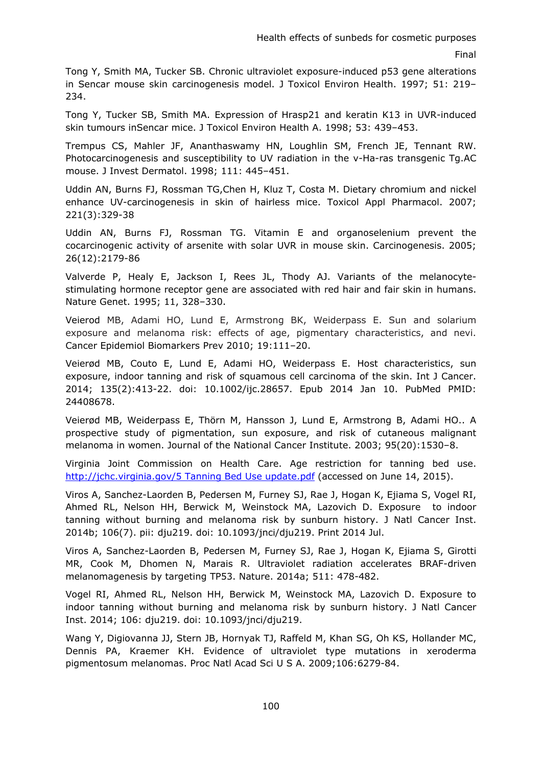Tong Y, Smith MA, Tucker SB. Chronic ultraviolet exposure-induced p53 gene alterations in Sencar mouse skin carcinogenesis model. J Toxicol Environ Health. 1997; 51: 219– 234.

Tong Y, Tucker SB, Smith MA. Expression of Hrasp21 and keratin K13 in UVR-induced skin tumours inSencar mice. J Toxicol Environ Health A. 1998; 53: 439–453.

Trempus CS, Mahler JF, Ananthaswamy HN, Loughlin SM, French JE, Tennant RW. Photocarcinogenesis and susceptibility to UV radiation in the v-Ha-ras transgenic Tg.AC mouse. J Invest Dermatol. 1998; 111: 445–451.

Uddin AN, Burns FJ, Rossman TG,Chen H, Kluz T, Costa M. Dietary chromium and nickel enhance UV-carcinogenesis in skin of hairless mice. Toxicol Appl Pharmacol. 2007; 221(3):329-38

Uddin AN, Burns FJ, Rossman TG. Vitamin E and organoselenium prevent the cocarcinogenic activity of arsenite with solar UVR in mouse skin. Carcinogenesis. 2005; 26(12):2179-86

Valverde P, Healy E, Jackson I, Rees JL, Thody AJ. Variants of the melanocytestimulating hormone receptor gene are associated with red hair and fair skin in humans. Nature Genet. 1995; 11, 328–330.

Veierod MB, Adami HO, Lund E, Armstrong BK, Weiderpass E. Sun and solarium exposure and melanoma risk: effects of age, pigmentary characteristics, and nevi. Cancer Epidemiol Biomarkers Prev 2010; 19:111–20.

Veierød MB, Couto E, Lund E, Adami HO, Weiderpass E. Host characteristics, sun exposure, indoor tanning and risk of squamous cell carcinoma of the skin. Int J Cancer. 2014; 135(2):413-22. doi: 10.1002/ijc.28657. Epub 2014 Jan 10. PubMed PMID: 24408678.

Veierød MB, Weiderpass E, Thörn M, Hansson J, Lund E, Armstrong B, Adami HO.. A prospective study of pigmentation, sun exposure, and risk of cutaneous malignant melanoma in women. Journal of the National Cancer Institute. 2003; 95(20):1530–8.

Virginia Joint Commission on Health Care. Age restriction for tanning bed use. [http://jchc.virginia.gov/5 Tanning Bed Use update.pdf](http://jchc.virginia.gov/5%20Tanning%20Bed%20Use%20update.pdf) (accessed on June 14, 2015).

Viros A, Sanchez-Laorden B, Pedersen M, Furney SJ, Rae J, Hogan K, Ejiama S, Vogel RI, Ahmed RL, Nelson HH, Berwick M, Weinstock MA, Lazovich D. Exposure to indoor tanning without burning and melanoma risk by sunburn history. J Natl Cancer Inst. 2014b; 106(7). pii: dju219. doi: 10.1093/jnci/dju219. Print 2014 Jul.

Viros A, Sanchez-Laorden B, Pedersen M, Furney SJ, Rae J, Hogan K, Ejiama S, Girotti MR, Cook M, Dhomen N, Marais R. Ultraviolet radiation accelerates BRAF-driven melanomagenesis by targeting TP53. Nature. 2014a; 511: 478-482.

Vogel RI, Ahmed RL, Nelson HH, Berwick M, Weinstock MA, Lazovich D. Exposure to indoor tanning without burning and melanoma risk by sunburn history. J Natl Cancer Inst. 2014; 106: dju219. doi: 10.1093/jnci/dju219.

Wang Y, Digiovanna JJ, Stern JB, Hornyak TJ, Raffeld M, Khan SG, Oh KS, Hollander MC, Dennis PA, Kraemer KH. Evidence of ultraviolet type mutations in xeroderma pigmentosum melanomas. Proc Natl Acad Sci U S A. 2009;106:6279-84.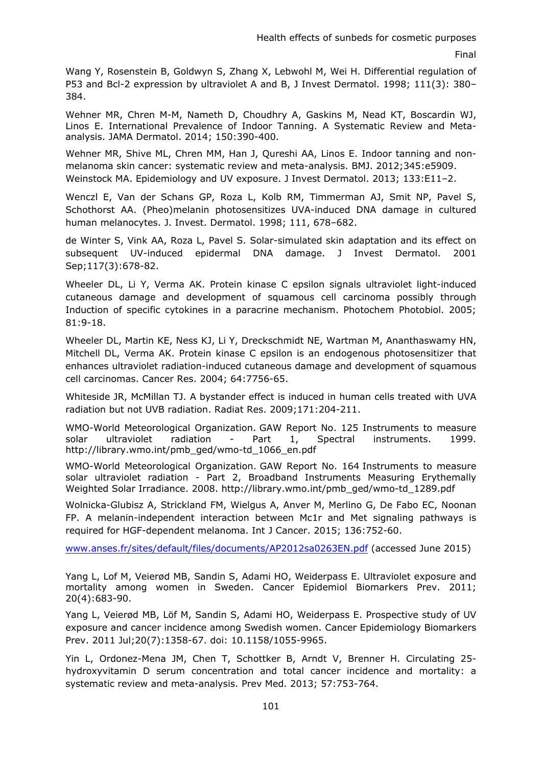Wang Y, Rosenstein B, Goldwyn S, Zhang X, Lebwohl M, Wei H. Differential regulation of P53 and Bcl-2 expression by ultraviolet A and B, J Invest Dermatol. 1998; 111(3): 380– 384.

Wehner MR, Chren M-M, Nameth D, Choudhry A, Gaskins M, Nead KT, Boscardin WJ, Linos E. International Prevalence of Indoor Tanning. A Systematic Review and Metaanalysis. JAMA Dermatol. 2014; 150:390-400.

Wehner MR, Shive ML, Chren MM, Han J, Qureshi AA, Linos E. Indoor tanning and nonmelanoma skin cancer: systematic review and meta-analysis. BMJ. 2012;345:e5909. Weinstock MA. Epidemiology and UV exposure. J Invest Dermatol. 2013; 133:E11–2.

Wenczl E, Van der Schans GP, Roza L, Kolb RM, Timmerman AJ, Smit NP, Pavel S, Schothorst AA. (Pheo)melanin photosensitizes UVA-induced DNA damage in cultured human melanocytes. J. Invest. Dermatol. 1998; 111, 678–682.

de Winter S, Vink AA, Roza L, Pavel S. Solar-simulated skin adaptation and its effect on subsequent UV-induced epidermal DNA damage. J Invest Dermatol. 2001 Sep;117(3):678-82.

Wheeler DL, Li Y, Verma AK. Protein kinase C epsilon signals ultraviolet light-induced cutaneous damage and development of squamous cell carcinoma possibly through Induction of specific cytokines in a paracrine mechanism. Photochem Photobiol. 2005; 81:9-18.

Wheeler DL, Martin KE, Ness KJ, Li Y, Dreckschmidt NE, Wartman M, Ananthaswamy HN, Mitchell DL, Verma AK. Protein kinase C epsilon is an endogenous photosensitizer that enhances ultraviolet radiation-induced cutaneous damage and development of squamous cell carcinomas. Cancer Res. 2004; 64:7756-65.

Whiteside JR, McMillan TJ. A bystander effect is induced in human cells treated with UVA radiation but not UVB radiation. Radiat Res. 2009;171:204-211.

WMO-World Meteorological Organization. GAW Report No. 125 Instruments to measure solar ultraviolet radiation - Part 1, Spectral instruments. 1999. http://library.wmo.int/pmb\_ged/wmo-td\_1066\_en.pdf

WMO-World Meteorological Organization. GAW Report No. 164 Instruments to measure solar ultraviolet radiation - Part 2, Broadband Instruments Measuring Erythemally Weighted Solar Irradiance. 2008. http://library.wmo.int/pmb\_ged/wmo-td\_1289.pdf

Wolnicka-Glubisz A, Strickland FM, Wielgus A, Anver M, Merlino G, De Fabo EC, Noonan FP. A melanin-independent interaction between Mc1r and Met signaling pathways is required for HGF-dependent melanoma. Int J Cancer. 2015; 136:752-60.

[www.anses.fr/sites/default/files/documents/AP2012sa0263EN.pdf](http://www.anses.fr/sites/default/files/documents/AP2012sa0263EN.pdf) (accessed June 2015)

Yang L, Lof M, Veierød MB, Sandin S, Adami HO, Weiderpass E. Ultraviolet exposure and mortality among women in Sweden. Cancer Epidemiol Biomarkers Prev. 2011; 20(4):683-90.

Yang L, Veierød MB, Löf M, Sandin S, Adami HO, Weiderpass E. Prospective study of UV exposure and cancer incidence among Swedish women. Cancer Epidemiology Biomarkers Prev. 2011 Jul;20(7):1358-67. doi: 10.1158/1055-9965.

Yin L, Ordonez-Mena JM, Chen T, Schottker B, Arndt V, Brenner H. Circulating 25 hydroxyvitamin D serum concentration and total cancer incidence and mortality: a systematic review and meta-analysis. Prev Med. 2013; 57:753-764.